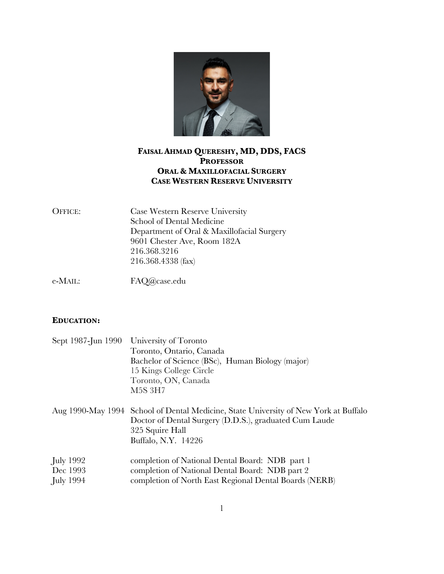

# **FAISAL AHMAD QUERESHY, MD, DDS, FACS PROFESSOR ORAL & MAXILLOFACIAL SURGERY CASE WESTERN RESERVE UNIVERSITY**

| <b>OFFICE:</b> | Case Western Reserve University            |
|----------------|--------------------------------------------|
|                | School of Dental Medicine                  |
|                | Department of Oral & Maxillofacial Surgery |
|                | 9601 Chester Ave, Room 182A                |
|                | 216.368.3216                               |
|                | 216.368.4338 (fax)                         |
|                |                                            |

e-MAIL: FAQ@case.edu

# **EDUCATION:**

|                                                 | Sept 1987-Jun 1990 University of Toronto<br>Toronto, Ontario, Canada<br>Bachelor of Science (BSc), Human Biology (major)<br>15 Kings College Circle<br>Toronto, ON, Canada<br><b>M5S 3H7</b> |
|-------------------------------------------------|----------------------------------------------------------------------------------------------------------------------------------------------------------------------------------------------|
|                                                 | Aug 1990-May 1994 School of Dental Medicine, State University of New York at Buffalo<br>Doctor of Dental Surgery (D.D.S.), graduated Cum Laude<br>325 Squire Hall<br>Buffalo, N.Y. 14226     |
| July 1992 <sub>.</sub><br>Dec 1993<br>July 1994 | completion of National Dental Board: NDB part 1<br>completion of National Dental Board: NDB part 2<br>completion of North East Regional Dental Boards (NERB)                                 |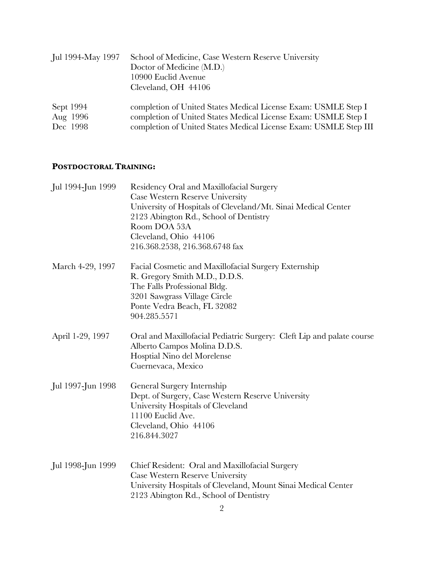| Jul 1994-May 1997 | School of Medicine, Case Western Reserve University<br>Doctor of Medicine (M.D.)<br>10900 Euclid Avenue<br>Cleveland, OH 44106 |
|-------------------|--------------------------------------------------------------------------------------------------------------------------------|
| Sept 1994         | completion of United States Medical License Exam: USMLE Step I                                                                 |
| Aug 1996          | completion of United States Medical License Exam: USMLE Step I                                                                 |
| Dec 1998          | completion of United States Medical License Exam: USMLE Step III                                                               |

# **POSTDOCTORAL TRAINING:**

| Jul 1994-Jun 1999 | Residency Oral and Maxillofacial Surgery<br>Case Western Reserve University<br>University of Hospitals of Cleveland/Mt. Sinai Medical Center<br>2123 Abington Rd., School of Dentistry<br>Room DOA 53A<br>Cleveland, Ohio 44106<br>216.368.2538, 216.368.6748 fax |
|-------------------|-------------------------------------------------------------------------------------------------------------------------------------------------------------------------------------------------------------------------------------------------------------------|
| March 4-29, 1997  | Facial Cosmetic and Maxillofacial Surgery Externship<br>R. Gregory Smith M.D., D.D.S.<br>The Falls Professional Bldg.<br>3201 Sawgrass Village Circle<br>Ponte Vedra Beach, FL 32082<br>904.285.5571                                                              |
| April 1-29, 1997  | Oral and Maxillofacial Pediatric Surgery: Cleft Lip and palate course<br>Alberto Campos Molina D.D.S.<br>Hosptial Nino del Morelense<br>Cuernevaca, Mexico                                                                                                        |
| Jul 1997-Jun 1998 | General Surgery Internship<br>Dept. of Surgery, Case Western Reserve University<br>University Hospitals of Cleveland<br>11100 Euclid Ave.<br>Cleveland, Ohio 44106<br>216.844.3027                                                                                |
| Jul 1998-Jun 1999 | Chief Resident: Oral and Maxillofacial Surgery<br>Case Western Reserve University<br>University Hospitals of Cleveland, Mount Sinai Medical Center<br>2123 Abington Rd., School of Dentistry                                                                      |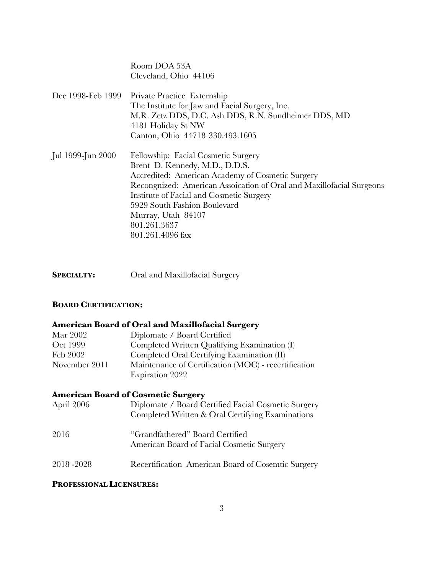Room DOA 53A Cleveland, Ohio 44106

- Dec 1998-Feb 1999 Private Practice Externship The Institute for Jaw and Facial Surgery, Inc. M.R. Zetz DDS, D.C. Ash DDS, R.N. Sundheimer DDS, MD 4181 Holiday St NW Canton, Ohio 44718 330.493.1605
- Jul 1999-Jun 2000 Fellowship: Facial Cosmetic Surgery Brent D. Kennedy, M.D., D.D.S. Accredited: American Academy of Cosmetic Surgery Recongnized: American Assoication of Oral and Maxillofacial Surgeons Institute of Facial and Cosmetic Surgery 5929 South Fashion Boulevard Murray, Utah 84107 801.261.3637 801.261.4096 fax
- **SPECIALTY:** Oral and Maxillofacial Surgery

#### **BOARD CERTIFICATION:**

#### **American Board of Oral and Maxillofacial Surgery**

| Mar 2002      | Diplomate / Board Certified                          |
|---------------|------------------------------------------------------|
| Oct 1999      | Completed Written Qualifying Examination (I)         |
| Feb 2002      | Completed Oral Certifying Examination (II)           |
| November 2011 | Maintenance of Certification (MOC) - recertification |
|               | Expiration 2022                                      |

#### **American Board of Cosmetic Surgery**

| April 2006 | Diplomate / Board Certified Facial Cosmetic Surgery<br>Completed Written & Oral Certifying Examinations |
|------------|---------------------------------------------------------------------------------------------------------|
| 2016       | "Grandfathered" Board Certified<br>American Board of Facial Cosmetic Surgery                            |
| 2018 -2028 | Recertification American Board of Cosemtic Surgery                                                      |

#### **PROFESSIONAL LICENSURES:**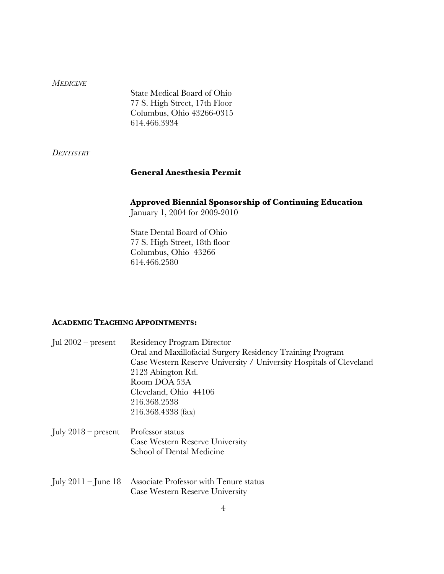#### *MEDICINE*

State Medical Board of Ohio 77 S. High Street, 17th Floor Columbus, Ohio 43266-0315 614.466.3934

*DENTISTRY*

# **General Anesthesia Permit**

# **Approved Biennial Sponsorship of Continuing Education**

January 1, 2004 for 2009-2010

State Dental Board of Ohio 77 S. High Street, 18th floor Columbus, Ohio 43266 614.466.2580

#### **ACADEMIC TEACHING APPOINTMENTS:**

| Jul $2002$ – present  | <b>Residency Program Director</b><br>Oral and Maxillofacial Surgery Residency Training Program<br>Case Western Reserve University / University Hospitals of Cleveland<br>2123 Abington Rd.<br>Room DOA 53A<br>Cleveland, Ohio 44106<br>216.368.2538<br>216.368.4338 (fax) |
|-----------------------|---------------------------------------------------------------------------------------------------------------------------------------------------------------------------------------------------------------------------------------------------------------------------|
| July $2018$ – present | Professor status<br>Case Western Reserve University<br>School of Dental Medicine                                                                                                                                                                                          |
| July $2011 -$ June 18 | Associate Professor with Tenure status<br><b>Case Western Reserve University</b>                                                                                                                                                                                          |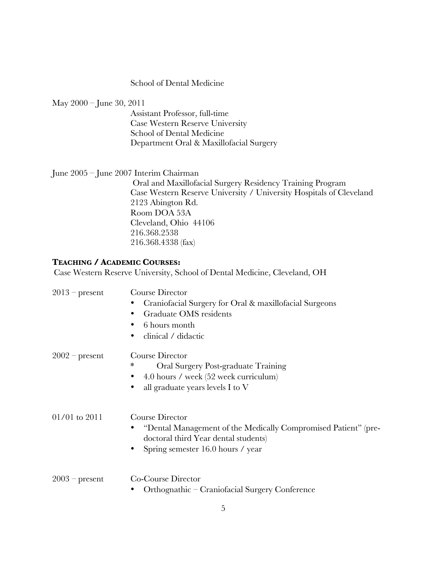#### School of Dental Medicine

May 2000 – June 30, 2011

Assistant Professor, full-time Case Western Reserve University School of Dental Medicine Department Oral & Maxillofacial Surgery

#### June 2005 – June 2007 Interim Chairman

Oral and Maxillofacial Surgery Residency Training Program Case Western Reserve University / University Hospitals of Cleveland 2123 Abington Rd. Room DOA 53A Cleveland, Ohio 44106 216.368.2538 216.368.4338 (fax)

#### **TEACHING / ACADEMIC COURSES:**

Case Western Reserve University, School of Dental Medicine, Cleveland, OH

| $2013$ – present  | Course Director                                                                                        |
|-------------------|--------------------------------------------------------------------------------------------------------|
|                   | Craniofacial Surgery for Oral & maxillofacial Surgeons                                                 |
|                   | Graduate OMS residents                                                                                 |
|                   | 6 hours month                                                                                          |
|                   | clinical / didactic<br>٠                                                                               |
| $2002$ – present  | Course Director                                                                                        |
|                   | ∗<br>Oral Surgery Post-graduate Training                                                               |
|                   | 4.0 hours / week (52 week curriculum)                                                                  |
|                   | all graduate years levels I to $V$<br>٠                                                                |
| $01/01$ to $2011$ | Course Director                                                                                        |
|                   | "Dental Management of the Medically Compromised Patient" (pre-<br>doctoral third Year dental students) |
|                   | Spring semester 16.0 hours / year<br>٠                                                                 |
| $2003$ – present  | Co-Course Director                                                                                     |
|                   | Orthognathic – Craniofacial Surgery Conference                                                         |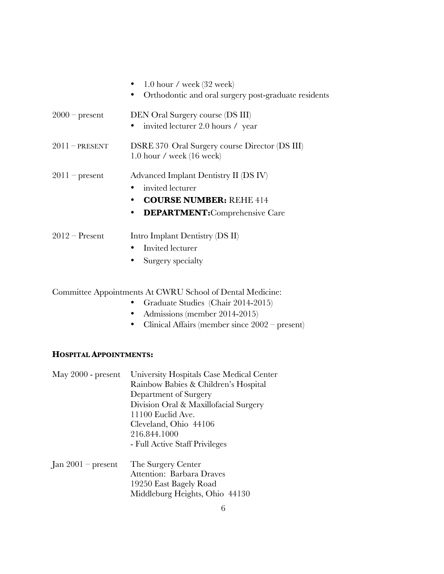|                  | 1.0 hour / week $(32 \text{ week})$<br>Orthodontic and oral surgery post-graduate residents<br>$\bullet$                                            |
|------------------|-----------------------------------------------------------------------------------------------------------------------------------------------------|
| $2000$ – present | DEN Oral Surgery course (DS III)<br>invited lecturer 2.0 hours / year                                                                               |
| $2011$ – PRESENT | DSRE 370 Oral Surgery course Director (DS III)<br>$1.0$ hour / week $(16$ week)                                                                     |
| $2011$ – present | Advanced Implant Dentistry II (DS IV)<br>• invited lecturer<br><b>COURSE NUMBER: REHE 414</b><br><b>DEPARTMENT:</b> Comprehensive Care<br>$\bullet$ |

- 2012 Present Intro Implant Dentistry (DS II)
	- Invited lecturer
	- Surgery specialty

Committee Appointments At CWRU School of Dental Medicine:

- Graduate Studies (Chair 2014-2015)
- Admissions (member 2014-2015)
- Clinical Affairs (member since 2002 present)

# **HOSPITAL APPOINTMENTS:**

| May 2000 - present   | University Hospitals Case Medical Center |
|----------------------|------------------------------------------|
|                      | Rainbow Babies & Children's Hospital     |
|                      | Department of Surgery                    |
|                      | Division Oral & Maxillofacial Surgery    |
|                      | 11100 Euclid Ave.                        |
|                      | Cleveland, Ohio 44106                    |
|                      | 216.844.1000                             |
|                      | - Full Active Staff Privileges           |
| Jan $2001$ – present | The Surgery Center                       |
|                      | Attention: Barbara Draves                |
|                      | 19250 East Bagely Road                   |
|                      | Middleburg Heights, Ohio 44130           |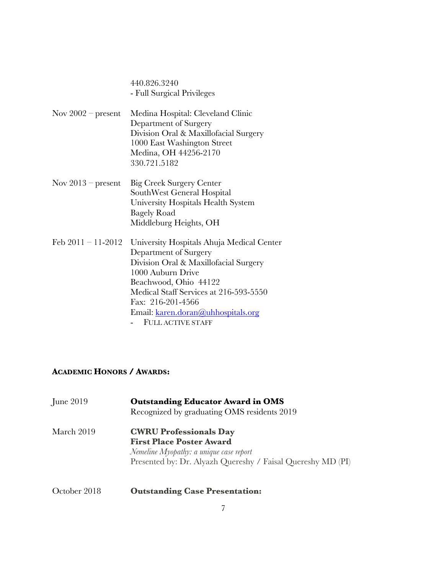440.826.3240 - Full Surgical Privileges

- Nov 2002 present Medina Hospital: Cleveland Clinic Department of Surgery Division Oral & Maxillofacial Surgery 1000 East Washington Street Medina, OH 44256-2170 330.721.5182
- Nov 2013 present Big Creek Surgery Center SouthWest General Hospital University Hospitals Health System Bagely Road Middleburg Heights, OH
- Feb 2011 11-2012 University Hospitals Ahuja Medical Center Department of Surgery Division Oral & Maxillofacial Surgery 1000 Auburn Drive Beachwood, Ohio 44122 Medical Staff Services at 216-593-5550 Fax: 216-201-4566 Email: karen.doran@uhhospitals.org - FULL ACTIVE STAFF

# **ACADEMIC HONORS / AWARDS:**

| June 2019    | <b>Outstanding Educator Award in OMS</b><br>Recognized by graduating OMS residents 2019                                                                                    |
|--------------|----------------------------------------------------------------------------------------------------------------------------------------------------------------------------|
| March 2019   | <b>CWRU Professionals Day</b><br><b>First Place Poster Award</b><br>Nemeline Myopathy: a unique case report<br>Presented by: Dr. Alyazh Quereshy / Faisal Quereshy MD (PI) |
| October 2018 | <b>Outstanding Case Presentation:</b>                                                                                                                                      |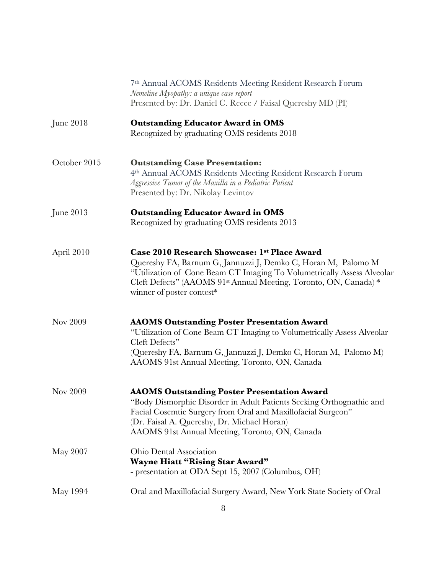|              | 7th Annual ACOMS Residents Meeting Resident Research Forum<br>Nemeline Myopathy: a unique case report<br>Presented by: Dr. Daniel C. Reece / Faisal Quereshy MD (PI)                                                                                                                        |
|--------------|---------------------------------------------------------------------------------------------------------------------------------------------------------------------------------------------------------------------------------------------------------------------------------------------|
| June 2018    | <b>Outstanding Educator Award in OMS</b><br>Recognized by graduating OMS residents 2018                                                                                                                                                                                                     |
| October 2015 | <b>Outstanding Case Presentation:</b><br>4th Annual ACOMS Residents Meeting Resident Research Forum<br>Aggressive Tumor of the Maxilla in a Pediatric Patient<br>Presented by: Dr. Nikolay Levintov                                                                                         |
| June 2013    | <b>Outstanding Educator Award in OMS</b><br>Recognized by graduating OMS residents 2013                                                                                                                                                                                                     |
| April 2010   | Case 2010 Research Showcase: 1st Place Award<br>Quereshy FA, Barnum G, Jannuzzi J, Demko C, Horan M, Palomo M<br>"Utilization of Cone Beam CT Imaging To Volumetrically Assess Alveolar<br>Cleft Defects" (AAOMS 91st Annual Meeting, Toronto, ON, Canada) *<br>winner of poster contest*   |
| Nov 2009     | <b>AAOMS Outstanding Poster Presentation Award</b><br>"Utilization of Cone Beam CT Imaging to Volumetrically Assess Alveolar<br>Cleft Defects"<br>(Quereshy FA, Barnum G, Jannuzzi J, Demko C, Horan M, Palomo M)<br>AAOMS 91st Annual Meeting, Toronto, ON, Canada                         |
| Nov 2009     | <b>AAOMS Outstanding Poster Presentation Award</b><br>"Body Dismorphic Disorder in Adult Patients Seeking Orthognathic and<br>Facial Cosemtic Surgery from Oral and Maxillofacial Surgeon"<br>(Dr. Faisal A. Quereshy, Dr. Michael Horan)<br>AAOMS 91st Annual Meeting, Toronto, ON, Canada |
| May 2007     | Ohio Dental Association<br><b>Wayne Hiatt "Rising Star Award"</b><br>- presentation at ODA Sept 15, 2007 (Columbus, OH)                                                                                                                                                                     |
| May 1994     | Oral and Maxillofacial Surgery Award, New York State Society of Oral                                                                                                                                                                                                                        |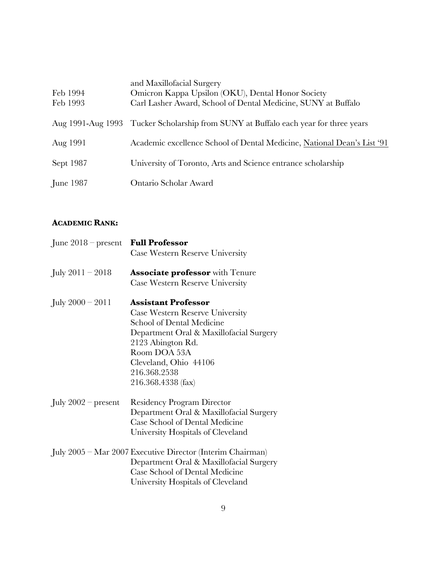| Feb 1994<br>Feb 1993 | and Maxillofacial Surgery<br>Omicron Kappa Upsilon (OKU), Dental Honor Society<br>Carl Lasher Award, School of Dental Medicine, SUNY at Buffalo |
|----------------------|-------------------------------------------------------------------------------------------------------------------------------------------------|
|                      | Aug 1991-Aug 1993 Tucker Scholarship from SUNY at Buffalo each year for three years                                                             |
| Aug 1991             | Academic excellence School of Dental Medicine, National Dean's List '91                                                                         |
| Sept 1987            | University of Toronto, Arts and Science entrance scholarship                                                                                    |
| June 1987            | Ontario Scholar Award                                                                                                                           |

## **ACADEMIC RANK:**

| June $2018$ – present | <b>Full Professor</b><br>Case Western Reserve University   |
|-----------------------|------------------------------------------------------------|
| July $2011 - 2018$    | <b>Associate professor</b> with Tenure                     |
|                       | Case Western Reserve University                            |
| July $2000 - 2011$    | <b>Assistant Professor</b>                                 |
|                       | Case Western Reserve University                            |
|                       | School of Dental Medicine                                  |
|                       | Department Oral & Maxillofacial Surgery                    |
|                       | 2123 Abington Rd.                                          |
|                       | Room DOA 53A                                               |
|                       | Cleveland, Ohio 44106                                      |
|                       | 216.368.2538                                               |
|                       | 216.368.4338 (fax)                                         |
| July $2002$ – present | <b>Residency Program Director</b>                          |
|                       | Department Oral & Maxillofacial Surgery                    |
|                       | Case School of Dental Medicine                             |
|                       | University Hospitals of Cleveland                          |
|                       | July 2005 – Mar 2007 Executive Director (Interim Chairman) |
|                       | Department Oral & Maxillofacial Surgery                    |
|                       | Case School of Dental Medicine                             |
|                       | University Hospitals of Cleveland                          |
|                       |                                                            |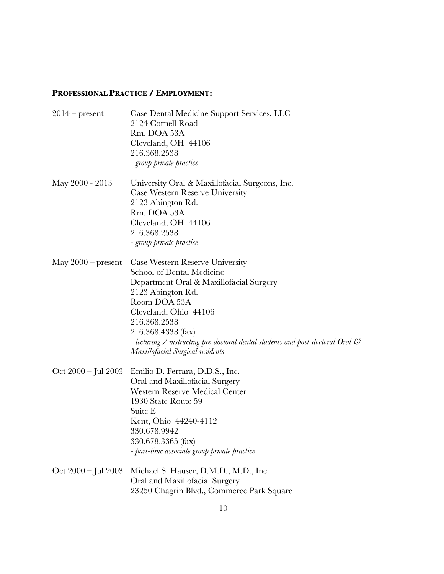# **PROFESSIONAL PRACTICE / EMPLOYMENT:**

| $2014$ – present        | Case Dental Medicine Support Services, LLC<br>2124 Cornell Road<br>Rm. DOA 53A<br>Cleveland, OH 44106<br>216.368.2538<br>- group private practice                                                                                                                                                                                  |
|-------------------------|------------------------------------------------------------------------------------------------------------------------------------------------------------------------------------------------------------------------------------------------------------------------------------------------------------------------------------|
| May 2000 - 2013         | University Oral & Maxillofacial Surgeons, Inc.<br>Case Western Reserve University<br>2123 Abington Rd.<br>Rm. DOA 53A<br>Cleveland, OH 44106<br>216.368.2538<br>- group private practice                                                                                                                                           |
| May $2000$ – present    | Case Western Reserve University<br>School of Dental Medicine<br>Department Oral & Maxillofacial Surgery<br>2123 Abington Rd.<br>Room DOA 53A<br>Cleveland, Ohio 44106<br>216.368.2538<br>216.368.4338 (fax)<br>- lecturing / instructing pre-doctoral dental students and post-doctoral Oral &<br>Maxillofacial Surgical residents |
| Oct $2000 -$ Jul $2003$ | Emilio D. Ferrara, D.D.S., Inc.<br>Oral and Maxillofacial Surgery<br><b>Western Reserve Medical Center</b><br>1930 State Route 59<br>Suite E<br>Kent, Ohio 44240-4112<br>330.678.9942<br>330.678.3365 (fax)<br>- part-time associate group private practice                                                                        |
| Oct $2000 -$ Jul $2003$ | Michael S. Hauser, D.M.D., M.D., Inc.<br>Oral and Maxillofacial Surgery<br>23250 Chagrin Blvd., Commerce Park Square                                                                                                                                                                                                               |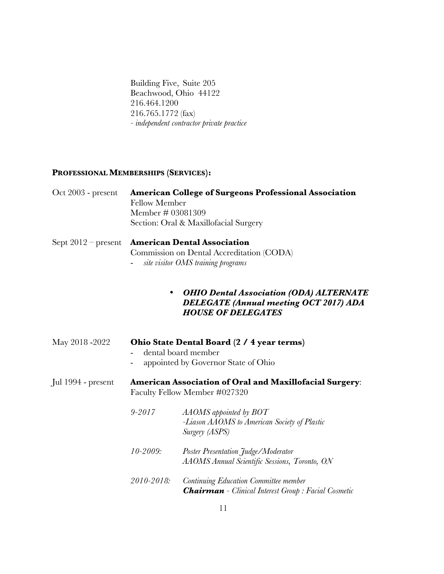Building Five, Suite 205 Beachwood, Ohio 44122 216.464.1200 216.765.1772 (fax) *- independent contractor private practice* 

# **PROFESSIONAL MEMBERSHIPS (SERVICES):**

| $Oct$ 2003 - present  | <b>Fellow Member</b><br>Member # 03081309                                                                             | <b>American College of Surgeons Professional Association</b><br>Section: Oral & Maxillofacial Surgery                        |  |
|-----------------------|-----------------------------------------------------------------------------------------------------------------------|------------------------------------------------------------------------------------------------------------------------------|--|
| Sept $2012$ – present | <b>American Dental Association</b><br>Commission on Dental Accreditation (CODA)<br>site visitor OMS training programs |                                                                                                                              |  |
|                       | ٠                                                                                                                     | <b>OHIO Dental Association (ODA) ALTERNATE</b><br><b>DELEGATE</b> (Annual meeting OCT 2017) ADA<br><b>HOUSE OF DELEGATES</b> |  |
| May 2018 -2022        | Ohio State Dental Board (2 / 4 year terms)<br>dental board member<br>appointed by Governor State of Ohio              |                                                                                                                              |  |
| Jul 1994 - present    | <b>American Association of Oral and Maxillofacial Surgery:</b><br>Faculty Fellow Member #027320                       |                                                                                                                              |  |
|                       | $9 - 2017$                                                                                                            | $AAOMS$ appointed by $BOT$<br>-Liason AAOMS to American Society of Plastic<br>Surgery (ASPS)                                 |  |
|                       | $10 - 2009$ :                                                                                                         | Poster Presentation Judge/Moderator<br>AAOMS Annual Scientific Sessions, Toronto, ON                                         |  |
|                       | 2010-2018:                                                                                                            | Continuing Education Committee member<br><b>Chairman</b> - Clinical Interest Group : Facial Cosmetic                         |  |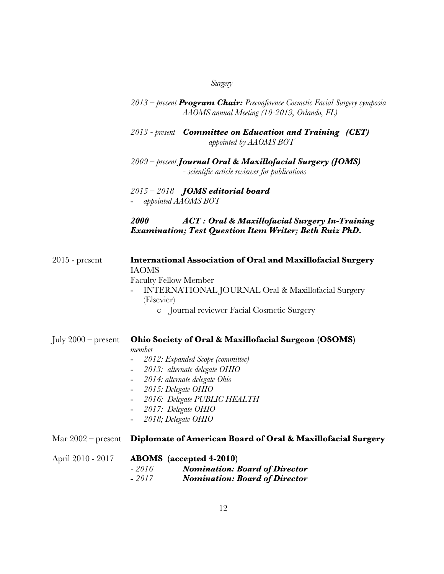| 1111.0 <i>01</i> |
|------------------|
|                  |

| 2013 – present <b>Program Chair:</b> Preconference Cosmetic Facial Surgery symposia |
|-------------------------------------------------------------------------------------|
| AAOMS annual Meeting (10-2013, Orlando, FL)                                         |

- *2013 - present Committee on Education and Training (CET) appointed by AAOMS BOT*
- *2009 – present Journal Oral & Maxillofacial Surgery (JOMS) - scientific article reviewer for publications*

*2015 – 2018 JOMS editorial board* - *appointed AAOMS BOT*

# *2000 ACT : Oral & Maxillofacial Surgery In-Training Examination; Test Question Item Writer; Beth Ruiz PhD.*

2015 - present **International Association of Oral and Maxillofacial Surgery** IAOMS Faculty Fellow Member - INTERNATIONAL JOURNAL Oral & Maxillofacial Surgery (Elsevier)

o Journal reviewer Facial Cosmetic Surgery

July 2000 – present **Ohio Society of Oral & Maxillofacial Surgeon (OSOMS)** *member* - *2012: Expanded Scope (committee)* - *2013: alternate delegate OHIO* - *2014: alternate delegate Ohio* - *2015: Delegate OHIO* - *2016: Delegate PUBLIC HEALTH* - *2017: Delegate OHIO* - *2018; Delegate OHIO* Mar 2002 – present **Diplomate of American Board of Oral & Maxillofacial Surgery**

| April 2010 - 2017 |         | <b>ABOMS</b> (accepted 4-2010)       |
|-------------------|---------|--------------------------------------|
|                   | - 2016  | <b>Nomination: Board of Director</b> |
|                   | $-2017$ | <b>Nomination: Board of Director</b> |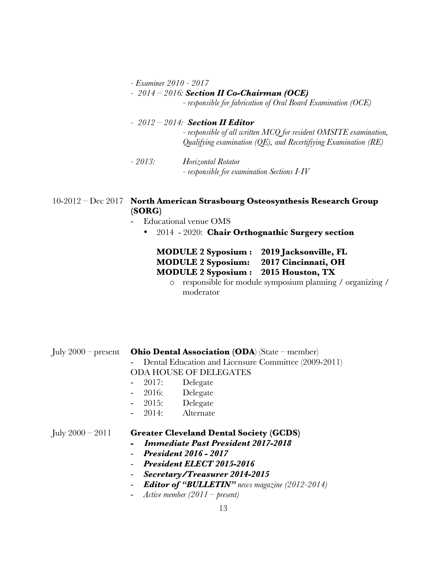*- Examiner 2010 - 2017*

# *- 2014 – 2016: Section II Co-Chairman (OCE)*

*- responsible for fabrication of Oral Board Examination (OCE)* 

# *- 2012 – 2014: Section II Editor - responsible of all written MCQ for resident OMSITE examination, Qualifying examination (QE), and Recertifiying Examination (RE)*

*- 2013: Horizontal Rotator - responsible for examination Sections I-IV*

## 10-2012 – Dec 2017 **North American Strasbourg Osteosynthesis Research Group (SORG)**

- Educational venue OMS
	- 2014 2020: **Chair Orthognathic Surgery section**

# **MODULE 2 Syposium : 2019 Jacksonville, FL MODULE 2 Syposium: 2017 Cincinnati, OH MODULE 2 Syposium : 2015 Houston, TX**

o responsible for module symposium planning / organizing / moderator

July 2000 – present **Ohio Dental Association (ODA**) (State – member) Dental Education and Licensure Committee (2009-2011) ODA HOUSE OF DELEGATES 2017: Delegate 2016: Delegate - 2015: Delegate 2014: Alternate July 2000 – 2011 **Greater Cleveland Dental Society (GCDS)**

- *Immediate Past President 2017-2018*
- *President 2016 - 2017*
- *President ELECT 2015-2016*
- *Secretary/Treasurer 2014-2015*
- *Editor of "BULLETIN" news magazine (2012-2014)*
- *Active member (2011 – present)*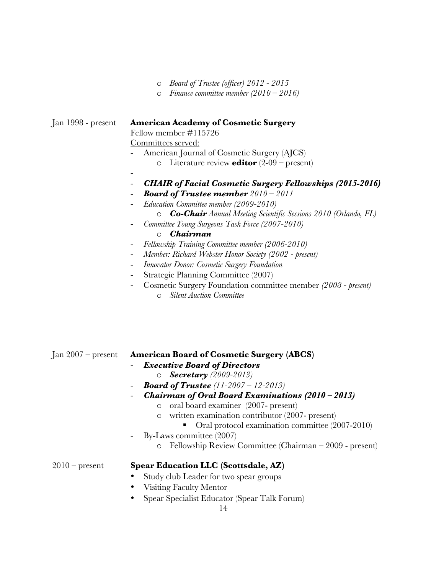|  | $\circ$ Board of Trustee (officer) 2012 - 2015 |  |  |  |  |
|--|------------------------------------------------|--|--|--|--|
|--|------------------------------------------------|--|--|--|--|

o *Finance committee member (2010 – 2016)*

## Jan 1998 - present **American Academy of Cosmetic Surgery**

Fellow member #115726 Committees served:

- American Journal of Cosmetic Surgery (AJCS)
	- o Literature review **editor** (2-09 present)
- -
- *CHAIR of Facial Cosmetic Surgery Fellowships (2015-2016)*
- *Board of Trustee member 2010 – 2011*
- *Education Committee member (2009-2010)*
	- o *Co-Chair Annual Meeting Scientific Sessions 2010 (Orlando, FL)*
	- *Committee Young Surgeons Task Force (2007-2010)*

#### o *Chairman*

- *Fellowship Training Committee member (2006-2010)*
- *Member: Richard Webster Honor Society (2002 - present)*
- *Innovator Donor: Cosmetic Surgery Foundation*
- Strategic Planning Committee (2007)
- Cosmetic Surgery Foundation committee member *(2008 - present)* o *Silent Auction Committee*

Jan 2007 – present **American Board of Cosmetic Surgery (ABCS)**

- *Executive Board of Directors*
	- o *Secretary (2009-2013)*
- *Board of Trustee (11-2007 – 12-2013)*
- *Chairman of Oral Board Examinations (2010 – 2013)*
	- o oral board examiner (2007- present)
	- o written examination contributor (2007- present)
		- Oral protocol examination committee (2007-2010)
- By-Laws committee (2007)
	- o Fellowship Review Committee (Chairman 2009 present)

#### 2010 – present **Spear Education LLC (Scottsdale, AZ)**

- Study club Leader for two spear groups
- Visiting Faculty Mentor
- Spear Specialist Educator (Spear Talk Forum)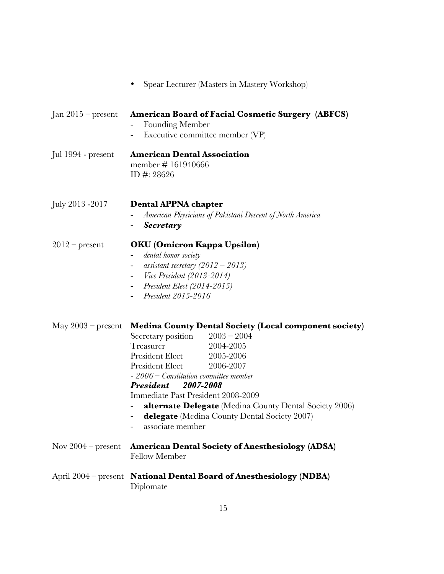|                         | Spear Lecturer (Masters in Mastery Workshop)                                                                                                                                                                                                                                                                                                                                                                                                                                    |
|-------------------------|---------------------------------------------------------------------------------------------------------------------------------------------------------------------------------------------------------------------------------------------------------------------------------------------------------------------------------------------------------------------------------------------------------------------------------------------------------------------------------|
| $Jan 2015 - present$    | <b>American Board of Facial Cosmetic Surgery (ABFCS)</b><br>Founding Member<br>Executive committee member (VP)<br>$\sim$                                                                                                                                                                                                                                                                                                                                                        |
| Jul 1994 - present      | <b>American Dental Association</b><br>member #161940666<br>ID #: $28626$                                                                                                                                                                                                                                                                                                                                                                                                        |
| July 2013 -2017         | <b>Dental APPNA chapter</b><br>American Physicians of Pakistani Descent of North America<br>Secretary                                                                                                                                                                                                                                                                                                                                                                           |
| $2012$ – present        | OKU (Omicron Kappa Upsilon)<br>dental honor society<br>$\blacksquare$<br>assistant secretary $(2012 - 2013)$<br>$\sim$<br><i>Vice President (2013-2014)</i><br>Ξ.<br>President Elect (2014-2015)<br>President 2015-2016                                                                                                                                                                                                                                                         |
| $\rm May\ 2003-present$ | <b>Medina County Dental Society (Local component society)</b><br>Secretary position $2003 - 2004$<br>Treasurer<br>2004-2005<br>President Elect 2005-2006<br><b>President Elect</b><br>2006-2007<br>$-2006$ – Constitution committee member<br><b>President</b> 2007-2008<br>Immediate Past President 2008-2009<br>alternate Delegate (Medina County Dental Society 2006)<br><b>delegate</b> (Medina County Dental Society 2007)<br>associate member<br>$\overline{\phantom{0}}$ |
| Nov $2004$ – present    | <b>American Dental Society of Anesthesiology (ADSA)</b><br><b>Fellow Member</b>                                                                                                                                                                                                                                                                                                                                                                                                 |
|                         | April 2004 – present National Dental Board of Anesthesiology (NDBA)<br>Diplomate                                                                                                                                                                                                                                                                                                                                                                                                |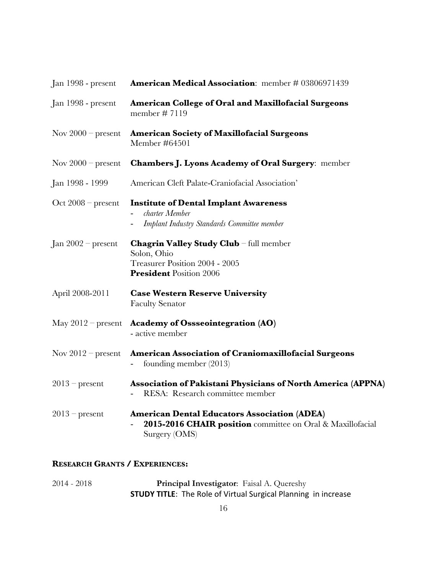| Jan 1998 - present   | American Medical Association: member # 03806971439                                                                                 |
|----------------------|------------------------------------------------------------------------------------------------------------------------------------|
| Jan 1998 - present   | American College of Oral and Maxillofacial Surgeons<br>member #7119                                                                |
| Nov $2000$ – present | <b>American Society of Maxillofacial Surgeons</b><br>Member #64501                                                                 |
| Nov $2000$ – present | <b>Chambers J. Lyons Academy of Oral Surgery: member</b>                                                                           |
| Jan 1998 - 1999      | American Cleft Palate-Craniofacial Association'                                                                                    |
| Oct $2008$ – present | <b>Institute of Dental Implant Awareness</b><br>charter Member<br>Implant Industry Standards Committee member                      |
| Jan $2002$ – present | Chagrin Valley Study Club - full member<br>Solon, Ohio<br>Treasurer Position 2004 - 2005<br><b>President Position 2006</b>         |
| April 2008-2011      | <b>Case Western Reserve University</b><br><b>Faculty Senator</b>                                                                   |
| May $2012$ – present | <b>Academy of Ossseointegration (AO)</b><br>- active member                                                                        |
| Nov $2012$ – present | American Association of Craniomaxillofacial Surgeons<br>founding member $(2013)$                                                   |
| $2013$ – present     | Association of Pakistani Physicians of North America (APPNA)<br>RESA: Research committee member                                    |
| $2013$ – present     | <b>American Dental Educators Association (ADEA)</b><br>2015-2016 CHAIR position committee on Oral & Maxillofacial<br>Surgery (OMS) |
|                      |                                                                                                                                    |

# **RESEARCH GRANTS / EXPERIENCES:**

2014 - 2018 **Principal Investigator**: Faisal A. Quereshy **STUDY TITLE:** The Role of Virtual Surgical Planning in increase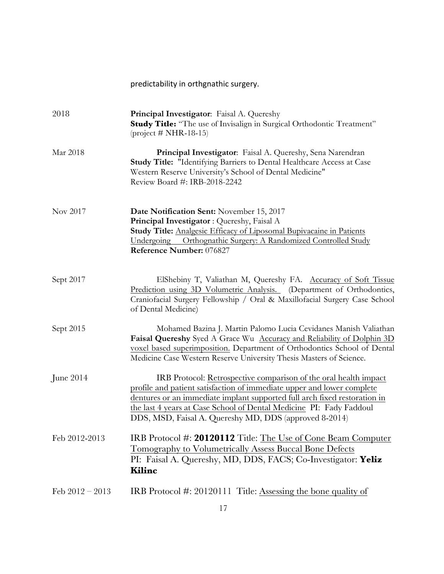|                   | predictability in orthgnathic surgery.                                                                                                                                                                                                                                                                                                                   |
|-------------------|----------------------------------------------------------------------------------------------------------------------------------------------------------------------------------------------------------------------------------------------------------------------------------------------------------------------------------------------------------|
| 2018              | Principal Investigator: Faisal A. Quereshy<br><b>Study Title:</b> "The use of Invisalign in Surgical Orthodontic Treatment"<br>$(project # NHR-18-15)$                                                                                                                                                                                                   |
| Mar 2018          | Principal Investigator: Faisal A. Quereshy, Sena Narendran<br><b>Study Title: "Identifying Barriers to Dental Healthcare Access at Case</b><br>Western Reserve University's School of Dental Medicine"<br>Review Board #: IRB-2018-2242                                                                                                                  |
| Nov 2017          | Date Notification Sent: November 15, 2017<br>Principal Investigator: Quereshy, Faisal A<br>Study Title: Analgesic Efficacy of Liposomal Bupivacaine in Patients<br>Undergoing Orthognathic Surgery: A Randomized Controlled Study<br>Reference Number: 076827                                                                                            |
| Sept 2017         | ElShebiny T, Valiathan M, Quereshy FA. Accuracy of Soft Tissue<br>Prediction using 3D Volumetric Analysis. (Department of Orthodontics,<br>Craniofacial Surgery Fellowship / Oral & Maxillofacial Surgery Case School<br>of Dental Medicine)                                                                                                             |
| Sept 2015         | Mohamed Bazina J. Martin Palomo Lucia Cevidanes Manish Valiathan<br>Faisal Quereshy Syed A Grace Wu Accuracy and Reliability of Dolphin 3D<br>voxel based superimposition. Department of Orthodontics School of Dental<br>Medicine Case Western Reserve University Thesis Masters of Science.                                                            |
| June $2014$       | IRB Protocol: Retrospective comparison of the oral health impact<br>profile and patient satisfaction of immediate upper and lower complete<br>dentures or an immediate implant supported full arch fixed restoration in<br>the last 4 years at Case School of Dental Medicine PI: Fady Faddoul<br>DDS, MSD, Faisal A. Quereshy MD, DDS (approved 8-2014) |
| Feb 2012-2013     | IRB Protocol #: 20120112 Title: The Use of Cone Beam Computer<br><b>Tomography to Volumetrically Assess Buccal Bone Defects</b><br>PI: Faisal A. Quereshy, MD, DDS, FACS; Co-Investigator: Yeliz<br>Kilinc                                                                                                                                               |
| Feb $2012 - 2013$ | IRB Protocol #: 20120111 Title: Assessing the bone quality of                                                                                                                                                                                                                                                                                            |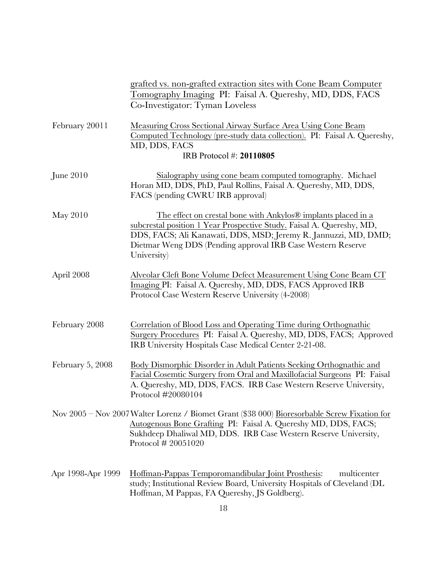|                   | grafted vs. non-grafted extraction sites with Cone Beam Computer<br>Tomography Imaging PI: Faisal A. Quereshy, MD, DDS, FACS<br>Co-Investigator: Tyman Loveless                                                                                                                         |
|-------------------|-----------------------------------------------------------------------------------------------------------------------------------------------------------------------------------------------------------------------------------------------------------------------------------------|
| February 20011    | Measuring Cross Sectional Airway Surface Area Using Cone Beam<br>Computed Technology (pre-study data collection). PI: Faisal A. Quereshy,<br>MD, DDS, FACS<br>IRB Protocol #: 20110805                                                                                                  |
| June $2010$       | Sialography using cone beam computed tomography. Michael<br>Horan MD, DDS, PhD, Paul Rollins, Faisal A. Quereshy, MD, DDS,<br>FACS (pending CWRU IRB approval)                                                                                                                          |
| May 2010          | The effect on crestal bone with Ankylos® implants placed in a<br>subcrestal position 1 Year Prospective Study. Faisal A. Quereshy, MD,<br>DDS, FACS; Ali Kanawati, DDS, MSD; Jeremy R. Jannuzzi, MD, DMD;<br>Dietmar Weng DDS (Pending approval IRB Case Western Reserve<br>University) |
| April 2008        | Alveolar Cleft Bone Volume Defect Measurement Using Cone Beam CT<br>Imaging PI: Faisal A. Quereshy, MD, DDS, FACS Approved IRB<br>Protocol Case Western Reserve University (4-2008)                                                                                                     |
| February 2008     | Correlation of Blood Loss and Operating Time during Orthognathic<br>Surgery Procedures PI: Faisal A. Quereshy, MD, DDS, FACS; Approved<br>IRB University Hospitals Case Medical Center 2-21-08.                                                                                         |
| February 5, 2008  | Body Dismorphic Disorder in Adult Patients Seeking Orthognathic and<br>Facial Cosemtic Surgery from Oral and Maxillofacial Surgeons PI: Faisal<br>A. Quereshy, MD, DDS, FACS. IRB Case Western Reserve University,<br>Protocol #20080104                                                |
|                   | Nov 2005 - Nov 2007 Walter Lorenz / Biomet Grant (\$38 000) Bioresorbable Screw Fixation for<br>Autogenous Bone Grafting PI: Faisal A. Quereshy MD, DDS, FACS;<br>Sukhdeep Dhaliwal MD, DDS. IRB Case Western Reserve University,<br>Protocol # 20051020                                |
| Apr 1998-Apr 1999 | Hoffman-Pappas Temporomandibular Joint Prosthesis:<br>multicenter<br>study; Institutional Review Board, University Hospitals of Cleveland (DL<br>Hoffman, M Pappas, FA Quereshy, JS Goldberg).                                                                                          |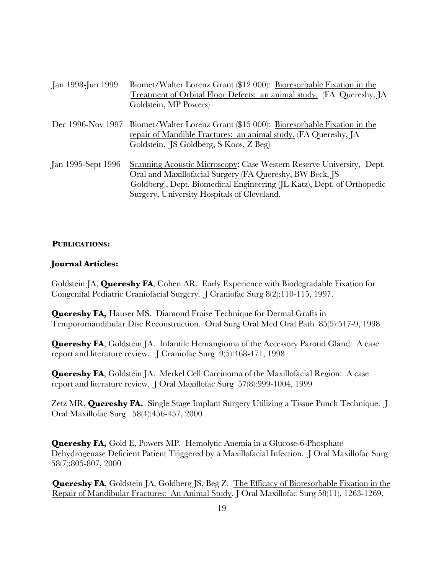| Jan 1998-Jun 1999  | Biomet/Walter Lorenz Grant (\$12 000): Bioresorbable Fixation in the<br>Treatment of Orbital Floor Defects: an animal study. (FA Quereshy, JA<br>Goldstein, MP Powers)                                                                                    |
|--------------------|-----------------------------------------------------------------------------------------------------------------------------------------------------------------------------------------------------------------------------------------------------------|
|                    | Dec 1996-Nov 1997 Biomet/Walter Lorenz Grant (\$15 000): Bioresorbable Fixation in the<br>repair of Mandible Fractures: an animal study. (FA Quereshy, JA<br>Goldstein, JS Goldberg, S Koos, Z Beg)                                                       |
| Jan 1995-Sept 1996 | Scanning Acoustic Microscopy; Case Western Reserve University, Dept.<br>Oral and Maxillofacial Surgery (FA Quereshy, BW Beck, JS<br>Goldberg), Dept. Biomedical Engineering (JL Katz), Dept. of Orthopedic<br>Surgery, University Hospitals of Cleveland. |

#### **PUBLICATIONS:**

#### **Journal Articles:**

Goldstein JA, **Quereshy FA**, Cohen AR. Early Experience with Biodegradable Fixation for Congenital Pediatric Craniofacial Surgery. J Craniofac Surg 8(2):110-115, 1997.

**Quereshy FA,** Hauser MS. Diamond Fraise Technique for Dermal Grafts in Temporomandibular Disc Reconstruction. Oral Surg Oral Med Oral Path 85(5):517-9, 1998

**Quereshy FA**, Goldstein JA. Infantile Hemangioma of the Accessory Parotid Gland: A case report and literature review. J Craniofac Surg 9(5):468-471, 1998

**Quereshy FA**, Goldstein JA. Merkel Cell Carcinoma of the Maxillofacial Region: A case report and literature review. J Oral Maxillofac Surg 57(8):999-1004, 1999

Zetz MR, **Quereshy FA.** Single Stage Implant Surgery Utilizing a Tissue Punch Technique. J Oral Maxillofac Surg 58(4):456-457, 2000

**Quereshy FA,** Gold E, Powers MP. Hemolytic Anemia in a Glucose-6-Phosphate Dehydrogenase Deficient Patient Triggered by a Maxillofacial Infection. J Oral Maxillofac Surg 58(7):805-807, 2000

**Quereshy FA**, Goldstein JA, Goldberg JS, Beg Z. The Efficacy of Bioresorbable Fixation in the Repair of Mandibular Fractures: An Animal Study. J Oral Maxillofac Surg 58(11), 1263-1269,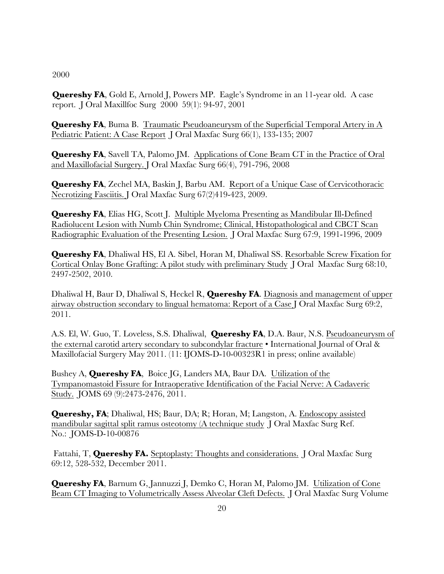2000

**Quereshy FA**, Gold E, Arnold J, Powers MP. Eagle's Syndrome in an 11-year old. A case report. J Oral Maxillfoc Surg 2000 59(1): 94-97, 2001

**Quereshy FA**, Buma B. Traumatic Pseudoaneurysm of the Superficial Temporal Artery in A Pediatric Patient: A Case Report J Oral Maxfac Surg 66(1), 133-135; 2007

**Quereshy FA**, Savell TA, Palomo JM. Applications of Cone Beam CT in the Practice of Oral and Maxillofacial Surgery. J Oral Maxfac Surg 66(4), 791-796, 2008

**Quereshy FA**, Zechel MA, Baskin J, Barbu AM. Report of a Unique Case of Cervicothoracic Necrotizing Fasciitis. J Oral Maxfac Surg 67(2)419-423, 2009.

**Quereshy FA**, Elias HG, Scott J. Multiple Myeloma Presenting as Mandibular Ill-Defined Radiolucent Lesion with Numb Chin Syndrome; Clinical, Histopathological and CBCT Scan Radiographic Evaluation of the Presenting Lesion. J Oral Maxfac Surg 67:9, 1991-1996, 2009

**Quereshy FA**, Dhaliwal HS, El A. Sibel, Horan M, Dhaliwal SS. Resorbable Screw Fixation for Cortical Onlay Bone Grafting: A pilot study with preliminary Study J Oral Maxfac Surg 68:10, 2497-2502, 2010.

Dhaliwal H, Baur D, Dhaliwal S, Heckel R, **Quereshy FA**. Diagnosis and management of upper airway obstruction secondary to lingual hematoma: Report of a Case J Oral Maxfac Surg 69:2, 2011.

A.S. El, W. Guo, T. Loveless, S.S. Dhaliwal, **Quereshy FA**, D.A. Baur, N.S. Pseudoaneurysm of the external carotid artery secondary to subcondylar fracture • International Journal of Oral & Maxillofacial Surgery May 2011. (11: IJOMS-D-10-00323R1 in press; online available)

Bushey A, **Quereshy FA**, Boice JG, Landers MA, Baur DA. Utilization of the Tympanomastoid Fissure for Intraoperative Identification of the Facial Nerve: A Cadaveric Study. JOMS 69 (9):2473-2476, 2011.

**Quereshy, FA**; Dhaliwal, HS; Baur, DA; R; Horan, M; Langston, A. Endoscopy assisted mandibular sagittal split ramus osteotomy (A technique study J Oral Maxfac Surg Ref. No.: JOMS-D-10-00876

Fattahi, T, **Quereshy FA.** Septoplasty: Thoughts and considerations. J Oral Maxfac Surg 69:12, 528-532, December 2011.

**Quereshy FA**, Barnum G, Jannuzzi J, Demko C, Horan M, Palomo JM. Utilization of Cone Beam CT Imaging to Volumetrically Assess Alveolar Cleft Defects. J Oral Maxfac Surg Volume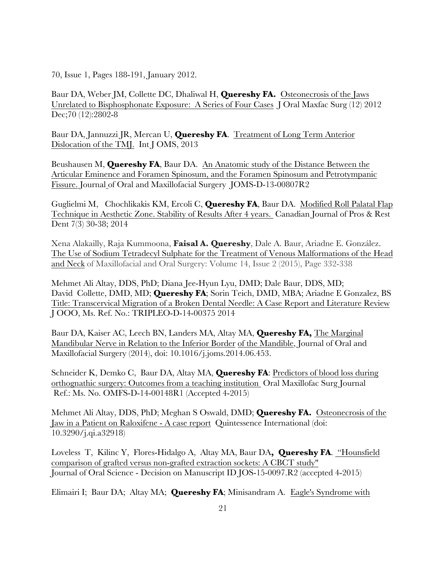70, Issue 1, Pages 188-191, January 2012.

Baur DA, Weber JM, Collette DC, Dhaliwal H, **Quereshy FA.** Osteonecrosis of the Jaws Unrelated to Bisphosphonate Exposure: A Series of Four Cases J Oral Maxfac Surg (12) 2012 Dec;70 (12):2802-8

Baur DA, Jannuzzi JR, Mercan U, **Quereshy FA**. Treatment of Long Term Anterior Dislocation of the TMJ. Int J OMS, 2013

Beushausen M, **Quereshy FA**, Baur DA. An Anatomic study of the Distance Between the Articular Eminence and Foramen Spinosum, and the Foramen Spinosum and Petrotympanic Fissure. Journal of Oral and Maxillofacial Surgery JOMS-D-13-00807R2

Guglielmi M, Chochlikakis KM, Ercoli C, **Quereshy FA**, Baur DA. Modified Roll Palatal Flap Technique in Aesthetic Zone. Stability of Results After 4 years. Canadian Journal of Pros & Rest Dent 7(3) 30-38; 2014

Xena Alakailly, Raja Kummoona, **Faisal A. Quereshy**, Dale A. Baur, Ariadne E. González. The Use of Sodium Tetradecyl Sulphate for the Treatment of Venous Malformations of the Head and Neck of Maxillofacial and Oral Surgery: Volume 14, Issue 2 (2015), Page 332-338

Mehmet Ali Altay, DDS, PhD; Diana Jee-Hyun Lyu, DMD; Dale Baur, DDS, MD; David Collette, DMD, MD; **Quereshy FA**; Sorin Teich, DMD, MBA; Ariadne E Gonzalez, BS Title: Transcervical Migration of a Broken Dental Needle: A Case Report and Literature Review J OOO, Ms. Ref. No.: TRIPLEO-D-14-00375 2014

Baur DA, Kaiser AC, Leech BN, Landers MA, Altay MA, **Quereshy FA,** The Marginal Mandibular Nerve in Relation to the Inferior Border of the Mandible, Journal of Oral and Maxillofacial Surgery (2014), doi: 10.1016/j.joms.2014.06.453.

Schneider K, Demko C, Baur DA, Altay MA, **Quereshy FA**: Predictors of blood loss during orthognathic surgery: Outcomes from a teaching institution Oral Maxillofac Surg Journal Ref.: Ms. No. OMFS-D-14-00148R1 (Accepted 4-2015)

Mehmet Ali Altay, DDS, PhD; Meghan S Oswald, DMD; **Quereshy FA.** Osteonecrosis of the Jaw in a Patient on Raloxifene - A case report Quintessence International (doi: 10.3290/j.qi.a32918)

Loveless T, Kilinc Y, Flores-Hidalgo A, Altay MA, Baur DA**, Quereshy FA**. "Hounsfield comparison of grafted versus non-grafted extraction sockets: A CBCT study" Journal of Oral Science - Decision on Manuscript ID JOS-15-0097.R2 (accepted 4-2015)

Elimairi I; Baur DA; Altay MA; **Quereshy FA**; Minisandram A. Eagle's Syndrome with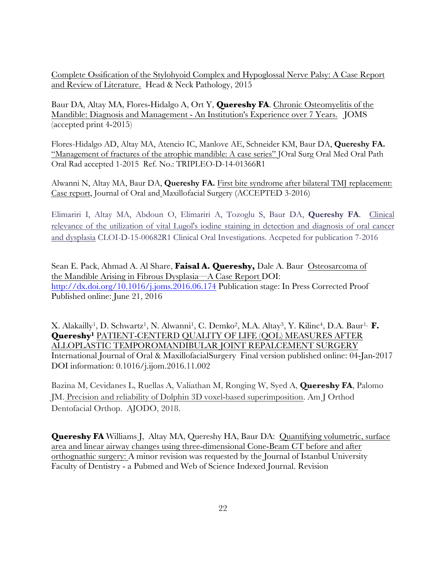Complete Ossification of the Stylohyoid Complex and Hypoglossal Nerve Palsy: A Case Report and Review of Literature. Head & Neck Pathology, 2015

Baur DA, Altay MA, Flores-Hidalgo A, Ort Y, **Quereshy FA**. Chronic Osteomyelitis of the Mandible: Diagnosis and Management - An Institution's Experience over 7 Years. JOMS (accepted print 4-2015)

Flores-Hidalgo AD, Altay MA, Atencio IC, Manlove AE, Schneider KM, Baur DA, **Quereshy FA.** "Management of fractures of the atrophic mandible: A case series" JOral Surg Oral Med Oral Path Oral Rad accepted 1-2015 Ref. No.: TRIPLEO-D-14-01366R1

Alwanni N, Altay MA, Baur DA, **Quereshy FA.** First bite syndrome after bilateral TMJ replacement: Case report, Journal of Oral and Maxillofacial Surgery (ACCEPTED 3-2016)

Elimariri I, Altay MA, Abdoun O, Elimariri A, Tozoglu S, Baur DA, **Quereshy FA**. Clinical relevance of the utilization of vital Lugol's iodine staining in detection and diagnosis of oral cancer and dysplasia CLOI-D-15-00682R1 Clinical Oral Investigations. Accpeted for publication 7-2016

Sean E. Pack, Ahmad A. Al Share, **Faisal A. Quereshy,** Dale A. Baur Osteosarcoma of the Mandible Arising in Fibrous Dysplasia—A Case Report DOI: http://dx.doi.org/10.1016/j.joms.2016.06.174 Publication stage: In Press Corrected Proof Published online: June 21, 2016

X. Alakailly<sup>1</sup>, D. Schwartz<sup>1</sup>, N. Alwanni<sup>1</sup>, C. Demko<sup>2</sup>, M.A. Altay<sup>3</sup>, Y. Kilinc<sup>4</sup>, D.A. Baur<sup>1,</sup> **F. Quereshy1** PATIENT-CENTERD QUALITY OF LIFE (QOL) MEASURES AFTER ALLOPLASTIC TEMPOROMANDIBULAR JOINT REPALCEMENT SURGERY International Journal of Oral & MaxillofacialSurgery Final version published online: 04-Jan-2017 DOI information: 0.1016/j.ijom.2016.11.002

Bazina M, Cevidanes L, Ruellas A, Valiathan M, Ronging W, Syed A, **Quereshy FA**, Palomo JM. Precision and reliability of Dolphin 3D voxel-based superimposition. Am J Orthod Dentofacial Orthop. AJODO, 2018.

**Quereshy FA** Williams J, Altay MA, Quereshy HA, Baur DA: Quantifying volumetric, surface area and linear airway changes using three-dimensional Cone-Beam CT before and after orthognathic surgery: A minor revision was requested by the Journal of Istanbul University Faculty of Dentistry - a Pubmed and Web of Science Indexed Journal. Revision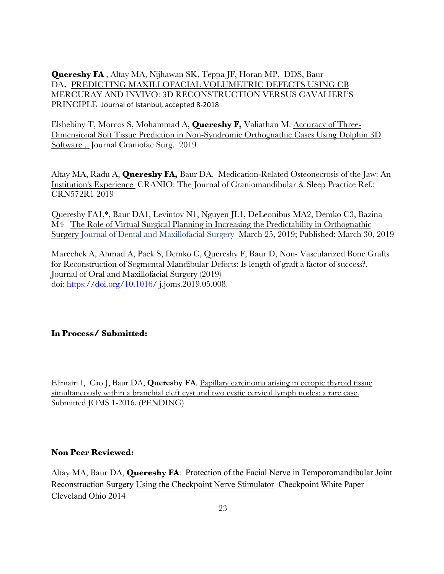**Quereshy FA** , Altay MA, Nijhawan SK, Teppa JF, Horan MP, DDS, Baur DA**.** PREDICTING MAXILLOFACIAL VOLUMETRIC DEFECTS USING CB MERCURAY AND INVIVO: 3D RECONSTRUCTION VERSUS CAVALIERI'S PRINCIPLE Journal of Istanbul, accepted 8-2018

Elshebiny T, Morcos S, Mohammad A, **Quereshy F,** Valiathan M. Accuracy of Three-Dimensional Soft Tissue Prediction in Non-Syndromic Orthognathic Cases Using Dolphin 3D Software . Journal Craniofac Surg. 2019

Altay MA, Radu A, **Quereshy FA,** Baur DA. Medication-Related Osteonecrosis of the Jaw: An Institution's Experience CRANIO: The Journal of Craniomandibular & Sleep Practice Ref.: CRN572R1 2019

Quereshy FA1,\*, Baur DA1, Levintov N1, Nguyen JL1, DeLeonibus MA2, Demko C3, Bazina M4 The Role of Virtual Surgical Planning in Increasing the Predictability in Orthognathic Surgery Journal of Dental and Maxillofacial Surgery March 25, 2019; Published: March 30, 2019

Marechek A, Ahmad A, Pack S, Demko C, Quereshy F, Baur D, Non- Vascularized Bone Grafts for Reconstruction of Segmental Mandibular Defects: Is length of graft a factor of success?, Journal of Oral and Maxillofacial Surgery (2019) doi: https://doi.org/10.1016/ j.joms.2019.05.008.

# **In Process/ Submitted:**

Elimairi I, Cao J, Baur DA, **Quereshy FA**. Papillary carcinoma arising in ectopic thyroid tissue simultaneously within a branchial cleft cyst and two cystic cervical lymph nodes: a rare case. Submitted JOMS 1-2016. (PENDING)

## **Non Peer Reviewed:**

Altay MA, Baur DA, **Quereshy FA**: Protection of the Facial Nerve in Temporomandibular Joint Reconstruction Surgery Using the Checkpoint Nerve Stimulator Checkpoint White Paper Cleveland Ohio 2014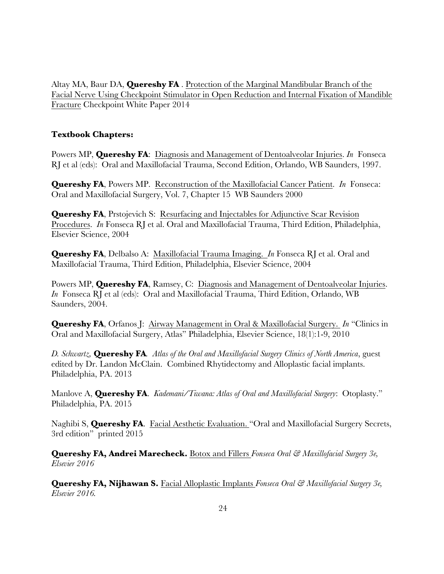Altay MA, Baur DA, **Quereshy FA** . Protection of the Marginal Mandibular Branch of the Facial Nerve Using Checkpoint Stimulator in Open Reduction and Internal Fixation of Mandible Fracture Checkpoint White Paper 2014

## **Textbook Chapters:**

Powers MP, **Quereshy FA**: Diagnosis and Management of Dentoalveolar Injuries. *In* Fonseca RJ et al (eds): Oral and Maxillofacial Trauma, Second Edition, Orlando, WB Saunders, 1997.

**Quereshy FA**, Powers MP. Reconstruction of the Maxillofacial Cancer Patient. *In* Fonseca: Oral and Maxillofacial Surgery, Vol. 7, Chapter 15 WB Saunders 2000

**Quereshy FA**, Prstojevich S: Resurfacing and Injectables for Adjunctive Scar Revision Procedures. *In* Fonseca RJ et al. Oral and Maxillofacial Trauma, Third Edition, Philadelphia, Elsevier Science, 2004

**Quereshy FA**, Delbalso A: Maxillofacial Trauma Imaging. *In* Fonseca RJ et al. Oral and Maxillofacial Trauma, Third Edition, Philadelphia, Elsevier Science, 2004

Powers MP, **Quereshy FA**, Ramsey, C: Diagnosis and Management of Dentoalveolar Injuries. *In* Fonseca RJ et al (eds): Oral and Maxillofacial Trauma, Third Edition, Orlando, WB Saunders, 2004.

**Quereshy FA**, Orfanos J: Airway Management in Oral & Maxillofacial Surgery. *In* "Clinics in Oral and Maxillofacial Surgery, Atlas" Philadelphia, Elsevier Science, 18(1):1-9, 2010

*D. Schwartz,* **Quereshy FA***. Atlas of the Oral and Maxillofacial Surgery Clinics of North America*, guest edited by Dr. Landon McClain. Combined Rhytidectomy and Alloplastic facial implants. Philadelphia, PA. 2013

Manlove A, **Quereshy FA**. *Kademani/Tiwana: Atlas of Oral and Maxillofacial Surgery*: Otoplasty." Philadelphia, PA. 2015

Naghibi S, **Quereshy FA**. Facial Aesthetic Evaluation. "Oral and Maxillofacial Surgery Secrets, 3rd edition" printed 2015

**Quereshy FA, Andrei Marecheck.** Botox and Fillers *Fonseca Oral & Maxillofacial Surgery 3e, Elsevier 2016*

**Quereshy FA, Nijhawan S.** Facial Alloplastic Implants *Fonseca Oral & Maxillofacial Surgery 3e, Elsevier 2016.*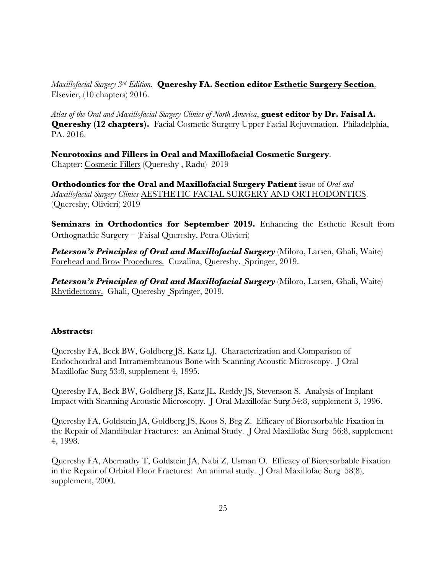*Maxillofacial Surgery 3rd Edition.* **Quereshy FA. Section editor Esthetic Surgery Section**. Elsevier, (10 chapters) 2016.

*Atlas of the Oral and Maxillofacial Surgery Clinics of North America*, **guest editor by Dr. Faisal A. Quereshy (12 chapters).** Facial Cosmetic Surgery Upper Facial Rejuvenation. Philadelphia, PA. 2016.

**Neurotoxins and Fillers in Oral and Maxillofacial Cosmetic Surgery**. Chapter: Cosmetic Fillers (Quereshy , Radu) 2019

**Orthodontics for the Oral and Maxillofacial Surgery Patient** issue of *Oral and Maxillofacial Surgery Clinics* AESTHETIC FACIAL SURGERY AND ORTHODONTICS. (Quereshy, Olivieri) 2019

**Seminars in Orthodontics for September 2019.** Enhancing the Esthetic Result from Orthognathic Surgery – (Faisal Quereshy, Petra Olivieri)

*Peterson's Principles of Oral and Maxillofacial Surgery* (Miloro, Larsen, Ghali, Waite) Forehead and Brow Procedures. Cuzalina, Quereshy. Springer, 2019.

**Peterson's Principles of Oral and Maxillofacial Surgery** (Miloro, Larsen, Ghali, Waite) Rhytidectomy. Ghali, Quereshy Springer, 2019.

# **Abstracts:**

Quereshy FA, Beck BW, Goldberg JS, Katz LJ. Characterization and Comparison of Endochondral and Intramembranous Bone with Scanning Acoustic Microscopy. J Oral Maxillofac Surg 53:8, supplement 4, 1995.

Quereshy FA, Beck BW, Goldberg JS, Katz JL, Reddy JS, Stevenson S. Analysis of Implant Impact with Scanning Acoustic Microscopy. J Oral Maxillofac Surg 54:8, supplement 3, 1996.

Quereshy FA, Goldstein JA, Goldberg JS, Koos S, Beg Z. Efficacy of Bioresorbable Fixation in the Repair of Mandibular Fractures: an Animal Study. J Oral Maxillofac Surg 56:8, supplement 4, 1998.

Quereshy FA, Abernathy T, Goldstein JA, Nabi Z, Usman O. Efficacy of Bioresorbable Fixation in the Repair of Orbital Floor Fractures: An animal study. J Oral Maxillofac Surg 58(8), supplement, 2000.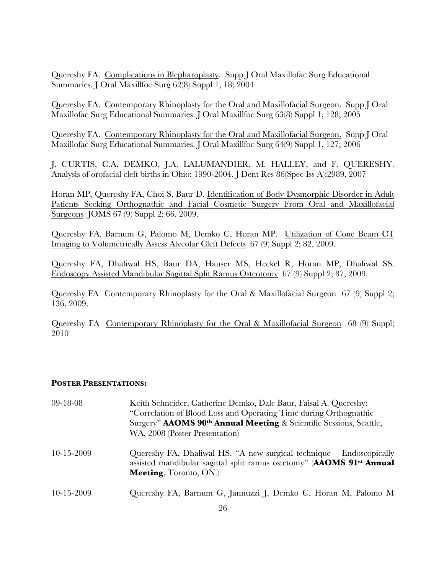Quereshy FA. Complications in Blepharoplasty. Supp J Oral Maxillofac Surg Educational Summaries. J Oral Maxillfoc Surg 62(8) Suppl 1, 18; 2004

Quereshy FA. Contemporary Rhinoplasty for the Oral and Maxillofacial Surgeon. Supp J Oral Maxillofac Surg Educational Summaries. J Oral Maxillfoc Surg 63(8) Suppl 1, 128; 2005

Quereshy FA. Contemporary Rhinoplasty for the Oral and Maxillofacial Surgeon. Supp J Oral Maxillofac Surg Educational Summaries. J Oral Maxillfoc Surg 64(9) Suppl 1, 127; 2006

J. CURTIS, C.A. DEMKO, J.A. LALUMANDIER, M. HALLEY, and F. QUERESHY. Analysis of orofacial cleft births in Ohio: 1990-2004. J Dent Res 86(Spec Iss A):2989, 2007

Horan MP, Quereshy FA, Choi S, Baur D. Identification of Body Dysmorphic Disorder in Adult Patients Seeking Orthognathic and Facial Cosmetic Surgery From Oral and Maxillofacial Surgeons JOMS 67 (9) Suppl 2; 66, 2009.

Quereshy FA, Barnum G, Palomo M, Demko C, Horan MP. Utilization of Cone Beam CT Imaging to Volumetrically Assess Alveolar Cleft Defects 67 (9) Suppl 2; 82, 2009.

Quereshy FA, Dhaliwal HS, Baur DA, Hauser MS, Heckel R, Horan MP, Dhaliwal SS. Endoscopy Assisted Mandibular Sagittal Split Ramus Osteotomy 67 (9) Suppl 2; 87, 2009.

Quereshy FA Contemporary Rhinoplasty for the Oral & Maxillofacial Surgeon 67 (9) Suppl 2; 136, 2009.

Quereshy FA Contemporary Rhinoplasty for the Oral & Maxillofacial Surgeon 68 (9) Suppl; 2010

#### **POSTER PRESENTATIONS:**

| 09-18-08         | Keith Schneider, Catherine Demko, Dale Baur, Faisal A. Quereshy:<br>"Correlation of Blood Loss and Operating Time during Orthognathic                                            |
|------------------|----------------------------------------------------------------------------------------------------------------------------------------------------------------------------------|
|                  | Surgery" <b>AAOMS 90th Annual Meeting</b> & Scientific Sessions, Seattle,                                                                                                        |
|                  | WA, 2008 (Poster Presentation)                                                                                                                                                   |
| $10 - 15 - 2009$ | Quereshy FA, Dhaliwal HS. "A new surgical technique $-$ Endoscopically<br>assisted mandibular sagittal split ramus ostetomy" (AAOMS 91st Annual<br><b>Meeting, Toronto, ON.)</b> |
| $10 - 15 - 2009$ | Quereshy FA, Barnum G, Jannuzzi J, Demko C, Horan M, Palomo M                                                                                                                    |
|                  |                                                                                                                                                                                  |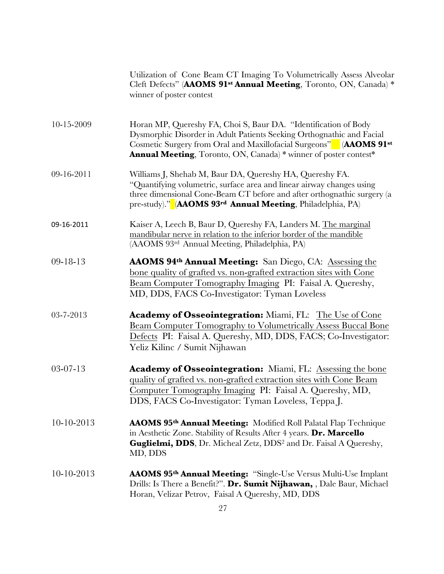|                  | Utilization of Cone Beam CT Imaging To Volumetrically Assess Alveolar<br>Cleft Defects" (AAOMS 91 <sup>st</sup> Annual Meeting, Toronto, ON, Canada) *<br>winner of poster contest                                                                                                                     |
|------------------|--------------------------------------------------------------------------------------------------------------------------------------------------------------------------------------------------------------------------------------------------------------------------------------------------------|
| 10-15-2009       | Horan MP, Quereshy FA, Choi S, Baur DA. "Identification of Body<br>Dysmorphic Disorder in Adult Patients Seeking Orthognathic and Facial<br>Cosmetic Surgery from Oral and Maxillofacial Surgeons" (AAOMS 91 <sup>st</sup><br><b>Annual Meeting</b> , Toronto, ON, Canada) * winner of poster contest* |
| 09-16-2011       | Williams J, Shehab M, Baur DA, Quereshy HA, Quereshy FA.<br>"Quantifying volumetric, surface area and linear airway changes using<br>three dimensional Cone-Beam CT before and after orthognathic surgery (a<br>pre-study)." (AAOMS 93 <sup>rd</sup> Annual Meeting, Philadelphia, PA)                 |
| 09-16-2011       | Kaiser A, Leech B, Baur D, Quereshy FA, Landers M. The marginal<br>mandibular nerve in relation to the inferior border of the mandible<br>(AAOMS 93rd Annual Meeting, Philadelphia, PA)                                                                                                                |
| $09-18-13$       | AAOMS 94th Annual Meeting: San Diego, CA: Assessing the<br>bone quality of grafted vs. non-grafted extraction sites with Cone<br>Beam Computer Tomography Imaging PI: Faisal A. Quereshy,<br>MD, DDS, FACS Co-Investigator: Tyman Loveless                                                             |
| 03-7-2013        | Academy of Osseointegration: Miami, FL: The Use of Cone<br><b>Beam Computer Tomography to Volumetrically Assess Buccal Bone</b><br>Defects PI: Faisal A. Quereshy, MD, DDS, FACS; Co-Investigator:<br>Yeliz Kilinc / Sumit Nijhawan                                                                    |
| $03-07-13$       | <b>Academy of Osseointegration:</b> Miami, FL: Assessing the bone<br>quality of grafted vs. non-grafted extraction sites with Cone Beam<br>Computer Tomography Imaging PI: Faisal A. Quereshy, MD,<br>DDS, FACS Co-Investigator: Tyman Loveless, Teppa J.                                              |
| $10-10-2013$     | AAOMS 95 <sup>th</sup> Annual Meeting: Modified Roll Palatal Flap Technique<br>in Aesthetic Zone. Stability of Results After 4 years. Dr. Marcello<br>Guglielmi, DDS, Dr. Micheal Zetz, DDS <sup>2</sup> and Dr. Faisal A Quereshy,<br>MD, DDS                                                         |
| $10 - 10 - 2013$ | <b>AAOMS 95th Annual Meeting:</b> "Single-Use Versus Multi-Use Implant<br>Drills: Is There a Benefit?". Dr. Sumit Nijhawan, , Dale Baur, Michael<br>Horan, Velizar Petrov, Faisal A Quereshy, MD, DDS                                                                                                  |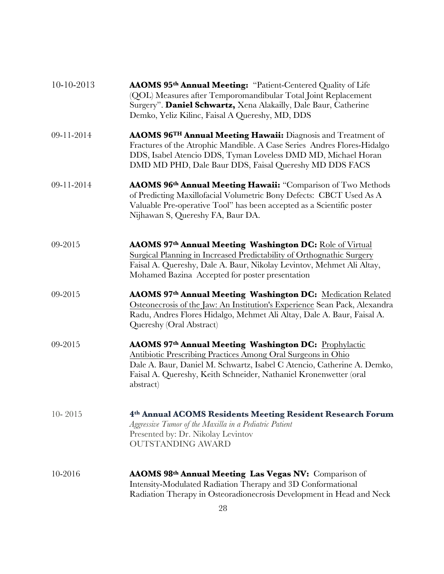| $10-10-2013$ | AAOMS 95 <sup>th</sup> Annual Meeting: "Patient-Centered Quality of Life<br>(QOL) Measures after Temporomandibular Total Joint Replacement<br>Surgery". Daniel Schwartz, Xena Alakailly, Dale Baur, Catherine<br>Demko, Yeliz Kilinc, Faisal A Quereshy, MD, DDS                   |
|--------------|------------------------------------------------------------------------------------------------------------------------------------------------------------------------------------------------------------------------------------------------------------------------------------|
| 09-11-2014   | <b>AAOMS 96TH Annual Meeting Hawaii:</b> Diagnosis and Treatment of<br>Fractures of the Atrophic Mandible. A Case Series Andres Flores-Hidalgo<br>DDS, Isabel Atencio DDS, Tyman Loveless DMD MD, Michael Horan<br>DMD MD PHD, Dale Baur DDS, Faisal Quereshy MD DDS FACS          |
| 09-11-2014   | AAOMS 96th Annual Meeting Hawaii: "Comparison of Two Methods<br>of Predicting Maxillofacial Volumetric Bony Defects: CBCT Used As A<br>Valuable Pre-operative Tool" has been accepted as a Scientific poster<br>Nijhawan S, Quereshy FA, Baur DA.                                  |
| 09-2015      | AAOMS 97th Annual Meeting Washington DC: Role of Virtual<br>Surgical Planning in Increased Predictability of Orthognathic Surgery<br>Faisal A. Quereshy, Dale A. Baur, Nikolay Levintov, Mehmet Ali Altay,<br>Mohamed Bazina Accepted for poster presentation                      |
| 09-2015      | AAOMS 97th Annual Meeting Washington DC: Medication Related<br>Osteonecrosis of the Jaw: An Institution's Experience Sean Pack, Alexandra<br>Radu, Andres Flores Hidalgo, Mehmet Ali Altay, Dale A. Baur, Faisal A.<br>Quereshy (Oral Abstract)                                    |
| 09-2015      | AAOMS 97th Annual Meeting Washington DC: Prophylactic<br>Antibiotic Prescribing Practices Among Oral Surgeons in Ohio<br>Dale A. Baur, Daniel M. Schwartz, Isabel C Atencio, Catherine A. Demko,<br>Faisal A. Quereshy, Keith Schneider, Nathaniel Kronenwetter (oral<br>abstract) |
| $10 - 2015$  | 4th Annual ACOMS Residents Meeting Resident Research Forum<br>Aggressive Tumor of the Maxilla in a Pediatric Patient<br>Presented by: Dr. Nikolay Levintov<br><b>OUTSTANDING AWARD</b>                                                                                             |
| 10-2016      | AAOMS 98th Annual Meeting Las Vegas NV: Comparison of<br>Intensity-Modulated Radiation Therapy and 3D Conformational<br>Radiation Therapy in Osteoradionecrosis Development in Head and Neck                                                                                       |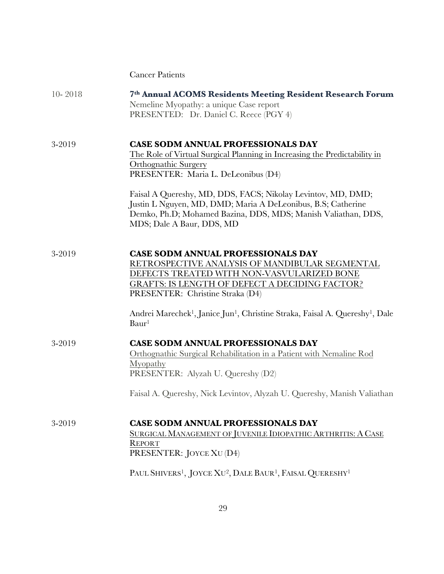|             | <b>Cancer Patients</b>                                                                                                                                                                                                                                                                                                                                                                                                     |
|-------------|----------------------------------------------------------------------------------------------------------------------------------------------------------------------------------------------------------------------------------------------------------------------------------------------------------------------------------------------------------------------------------------------------------------------------|
| $10 - 2018$ | 7th Annual ACOMS Residents Meeting Resident Research Forum<br>Nemeline Myopathy: a unique Case report<br>PRESENTED: Dr. Daniel C. Reece (PGY 4)                                                                                                                                                                                                                                                                            |
| 3-2019      | <b>CASE SODM ANNUAL PROFESSIONALS DAY</b><br>The Role of Virtual Surgical Planning in Increasing the Predictability in<br><b>Orthognathic Surgery</b><br>PRESENTER: Maria L. DeLeonibus (D4)<br>Faisal A Quereshy, MD, DDS, FACS; Nikolay Levintov, MD, DMD;<br>Justin L Nguyen, MD, DMD; Maria A DeLeonibus, B.S; Catherine<br>Demko, Ph.D; Mohamed Bazina, DDS, MDS; Manish Valiathan, DDS,<br>MDS; Dale A Baur, DDS, MD |
| 3-2019      | <b>CASE SODM ANNUAL PROFESSIONALS DAY</b><br>RETROSPECTIVE ANALYSIS OF MANDIBULAR SEGMENTAL<br>DEFECTS TREATED WITH NON-VASVULARIZED BONE<br><b>GRAFTS: IS LENGTH OF DEFECT A DECIDING FACTOR?</b><br>PRESENTER: Christine Straka (D4)<br>Andrei Marechek <sup>1</sup> , Janice Jun <sup>1</sup> , Christine Straka, Faisal A. Quereshy <sup>1</sup> , Dale<br>Baur <sup>1</sup>                                           |
| 3-2019      | <b>CASE SODM ANNUAL PROFESSIONALS DAY</b><br>Orthognathic Surgical Rehabilitation in a Patient with Nemaline Rod<br>Myopathy<br>PRESENTER: Alyzah U. Quereshy (D2)<br>Faisal A. Quereshy, Nick Levintov, Alyzah U. Quereshy, Manish Valiathan                                                                                                                                                                              |
| 3-2019      | <b>CASE SODM ANNUAL PROFESSIONALS DAY</b><br>SURGICAL MANAGEMENT OF JUVENILE IDIOPATHIC ARTHRITIS: A CASE<br><b>REPORT</b><br>PRESENTER: JOYCE XU (D4)<br>PAUL SHIVERS <sup>1</sup> , JOYCE XU <sup>2</sup> , DALE BAUR <sup>1</sup> , FAISAL QUERESHY <sup>1</sup>                                                                                                                                                        |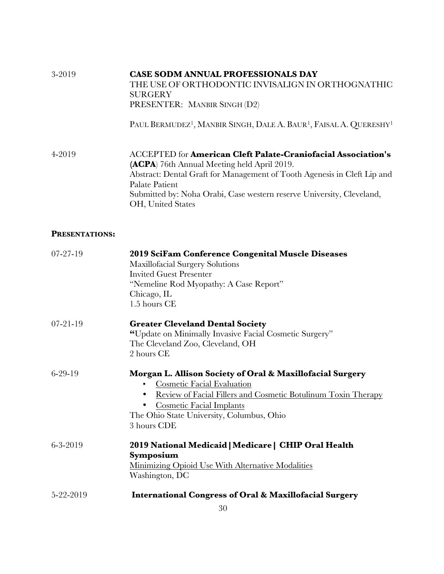| 3-2019                | <b>CASE SODM ANNUAL PROFESSIONALS DAY</b>                                                              |
|-----------------------|--------------------------------------------------------------------------------------------------------|
|                       | THE USE OF ORTHODONTIC INVISALIGN IN ORTHOGNATHIC                                                      |
|                       | SURGERY                                                                                                |
|                       | PRESENTER: MANBIR SINGH (D2)                                                                           |
|                       | PAUL BERMUDEZ <sup>1</sup> , MANBIR SINGH, DALE A. BAUR <sup>1</sup> , FAISAL A. QUERESHY <sup>1</sup> |
| 4-2019                | <b>ACCEPTED for American Cleft Palate-Craniofacial Association's</b>                                   |
|                       | <b>(ACPA)</b> 76th Annual Meeting held April 2019.                                                     |
|                       | Abstract: Dental Graft for Management of Tooth Agenesis in Cleft Lip and<br>Palate Patient             |
|                       | Submitted by: Noha Orabi, Case western reserve University, Cleveland,                                  |
|                       | OH, United States                                                                                      |
| <b>PRESENTATIONS:</b> |                                                                                                        |
| $07 - 27 - 19$        | 2019 SciFam Conference Congenital Muscle Diseases                                                      |
|                       |                                                                                                        |

| $0/-2/-19$     | 2019 Scifam Conference Congenital Muscle Diseases<br><b>Maxillofacial Surgery Solutions</b> |
|----------------|---------------------------------------------------------------------------------------------|
|                | <b>Invited Guest Presenter</b>                                                              |
|                | "Nemeline Rod Myopathy: A Case Report"<br>Chicago, IL                                       |
|                | 1.5 hours CE                                                                                |
| $07 - 21 - 19$ | <b>Greater Cleveland Dental Society</b>                                                     |
|                | "Update on Minimally Invasive Facial Cosmetic Surgery"                                      |
|                | The Cleveland Zoo, Cleveland, OH                                                            |
|                | 2 hours CE                                                                                  |
| $6 - 29 - 19$  | Morgan L. Allison Society of Oral & Maxillofacial Surgery                                   |
|                | <b>Cosmetic Facial Evaluation</b>                                                           |
|                | Review of Facial Fillers and Cosmetic Botulinum Toxin Therapy                               |
|                | <b>Cosmetic Facial Implants</b>                                                             |
|                | The Ohio State University, Columbus, Ohio                                                   |
|                | 3 hours CDE                                                                                 |
| $6 - 3 - 2019$ | 2019 National Medicaid   Medicare   CHIP Oral Health                                        |
|                | Symposium                                                                                   |
|                | Minimizing Opioid Use With Alternative Modalities<br>Washington, DC                         |
| 5-22-2019      | <b>International Congress of Oral &amp; Maxillofacial Surgery</b>                           |
|                |                                                                                             |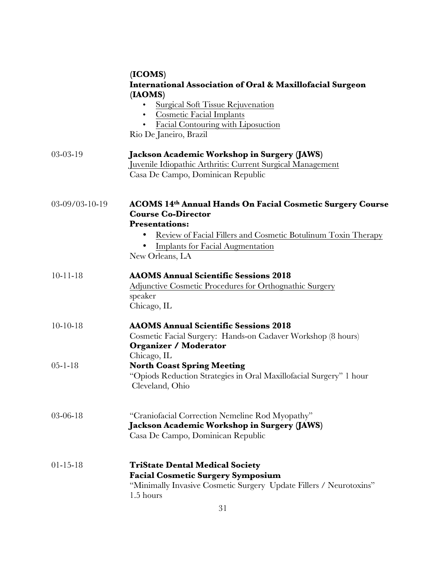|                | (ICOMS)<br><b>International Association of Oral &amp; Maxillofacial Surgeon</b><br>(IAOMS)                                                                                                                                                                   |
|----------------|--------------------------------------------------------------------------------------------------------------------------------------------------------------------------------------------------------------------------------------------------------------|
|                | <b>Surgical Soft Tissue Rejuvenation</b><br><b>Cosmetic Facial Implants</b><br>Facial Contouring with Liposuction<br>Rio De Janeiro, Brazil                                                                                                                  |
| $03-03-19$     | Jackson Academic Workshop in Surgery (JAWS)<br>Juvenile Idiopathic Arthritis: Current Surgical Management<br>Casa De Campo, Dominican Republic                                                                                                               |
| 03-09/03-10-19 | <b>ACOMS 14th Annual Hands On Facial Cosmetic Surgery Course</b><br><b>Course Co-Director</b><br><b>Presentations:</b><br><u>Review of Facial Fillers and Cosmetic Botulinum Toxin Therapy</u><br><b>Implants for Facial Augmentation</b><br>New Orleans, LA |
| $10 - 11 - 18$ | <b>AAOMS Annual Scientific Sessions 2018</b><br>Adjunctive Cosmetic Procedures for Orthognathic Surgery<br>speaker<br>Chicago, IL                                                                                                                            |
| $10-10-18$     | <b>AAOMS Annual Scientific Sessions 2018</b><br>Cosmetic Facial Surgery: Hands-on Cadaver Workshop (8 hours)<br><b>Organizer / Moderator</b><br>Chicago, IL                                                                                                  |
| $05 - 1 - 18$  | <b>North Coast Spring Meeting</b><br>"Opiods Reduction Strategies in Oral Maxillofacial Surgery" 1 hour<br>Cleveland, Ohio                                                                                                                                   |
| $03 - 06 - 18$ | "Craniofacial Correction Nemeline Rod Myopathy"<br>Jackson Academic Workshop in Surgery (JAWS)<br>Casa De Campo, Dominican Republic                                                                                                                          |
| $01 - 15 - 18$ | <b>TriState Dental Medical Society</b><br><b>Facial Cosmetic Surgery Symposium</b><br>"Minimally Invasive Cosmetic Surgery Update Fillers / Neurotoxins"<br>1.5 hours                                                                                        |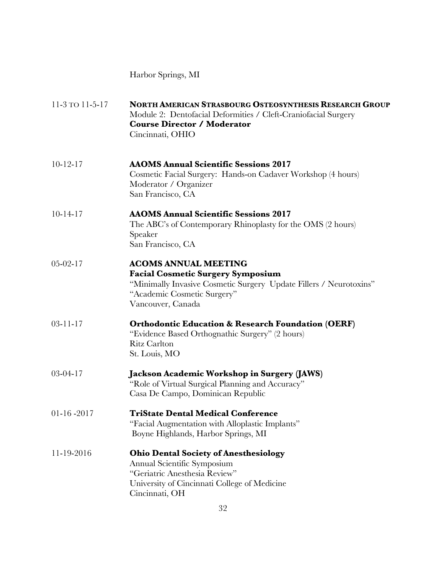Harbor Springs, MI

| 11-3 TO 11-5-17 | <b>NORTH AMERICAN STRASBOURG OSTEOSYNTHESIS RESEARCH GROUP</b><br>Module 2: Dentofacial Deformities / Cleft-Craniofacial Surgery<br><b>Course Director / Moderator</b><br>Cincinnati, OHIO        |
|-----------------|---------------------------------------------------------------------------------------------------------------------------------------------------------------------------------------------------|
| $10-12-17$      | <b>AAOMS Annual Scientific Sessions 2017</b><br>Cosmetic Facial Surgery: Hands-on Cadaver Workshop (4 hours)<br>Moderator / Organizer<br>San Francisco, CA                                        |
| $10 - 14 - 17$  | <b>AAOMS Annual Scientific Sessions 2017</b><br>The ABC's of Contemporary Rhinoplasty for the OMS (2 hours)<br>Speaker<br>San Francisco, CA                                                       |
| $05 - 02 - 17$  | <b>ACOMS ANNUAL MEETING</b><br><b>Facial Cosmetic Surgery Symposium</b><br>"Minimally Invasive Cosmetic Surgery Update Fillers / Neurotoxins"<br>"Academic Cosmetic Surgery"<br>Vancouver, Canada |
| $03 - 11 - 17$  | <b>Orthodontic Education &amp; Research Foundation (OERF)</b><br>"Evidence Based Orthognathic Surgery" (2 hours)<br><b>Ritz Carlton</b><br>St. Louis, MO                                          |
| $03-04-17$      | Jackson Academic Workshop in Surgery (JAWS)<br>"Role of Virtual Surgical Planning and Accuracy"<br>Casa De Campo, Dominican Republic                                                              |
| $01-16-2017$    | <b>TriState Dental Medical Conference</b><br>"Facial Augmentation with Alloplastic Implants"<br>Boyne Highlands, Harbor Springs, MI                                                               |
| 11-19-2016      | <b>Ohio Dental Society of Anesthesiology</b><br>Annual Scientific Symposium<br>"Geriatric Anesthesia Review"<br>University of Cincinnati College of Medicine<br>Cincinnati, OH                    |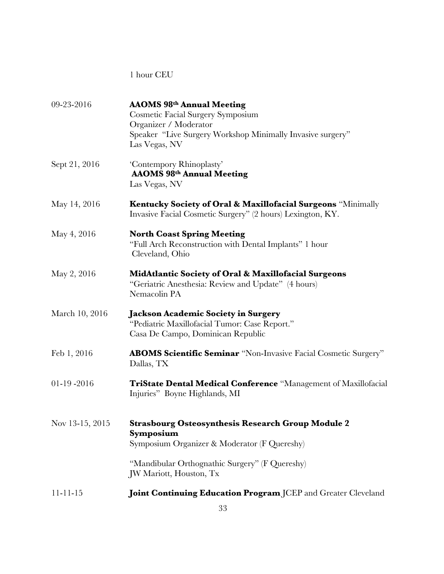# 1 hour CEU

| 09-23-2016      | <b>AAOMS 98th Annual Meeting</b><br>Cosmetic Facial Surgery Symposium<br>Organizer / Moderator<br>Speaker "Live Surgery Workshop Minimally Invasive surgery" |
|-----------------|--------------------------------------------------------------------------------------------------------------------------------------------------------------|
| Sept 21, 2016   | Las Vegas, NV<br>'Contempory Rhinoplasty'<br><b>AAOMS 98th Annual Meeting</b><br>Las Vegas, NV                                                               |
| May 14, 2016    | Kentucky Society of Oral & Maxillofacial Surgeons "Minimally<br>Invasive Facial Cosmetic Surgery" (2 hours) Lexington, KY.                                   |
| May 4, 2016     | <b>North Coast Spring Meeting</b><br>"Full Arch Reconstruction with Dental Implants" 1 hour<br>Cleveland, Ohio                                               |
| May 2, 2016     | MidAtlantic Society of Oral & Maxillofacial Surgeons<br>"Geriatric Anesthesia: Review and Update" (4 hours)<br>Nemacolin PA                                  |
| March 10, 2016  | <b>Jackson Academic Society in Surgery</b><br>"Pediatric Maxillofacial Tumor: Case Report."<br>Casa De Campo, Dominican Republic                             |
| Feb 1, 2016     | <b>ABOMS Scientific Seminar</b> "Non-Invasive Facial Cosmetic Surgery"<br>Dallas, TX                                                                         |
| $01-19-2016$    | <b>TriState Dental Medical Conference</b> "Management of Maxillofacial<br>Injuries" Boyne Highlands, MI                                                      |
| Nov 13-15, 2015 | <b>Strasbourg Osteosynthesis Research Group Module 2</b><br>Symposium<br>Symposium Organizer & Moderator (F Quereshy)                                        |
|                 | "Mandibular Orthognathic Surgery" (F Quereshy)<br>JW Mariott, Houston, Tx                                                                                    |
| $11 - 11 - 15$  | Joint Continuing Education Program JCEP and Greater Cleveland                                                                                                |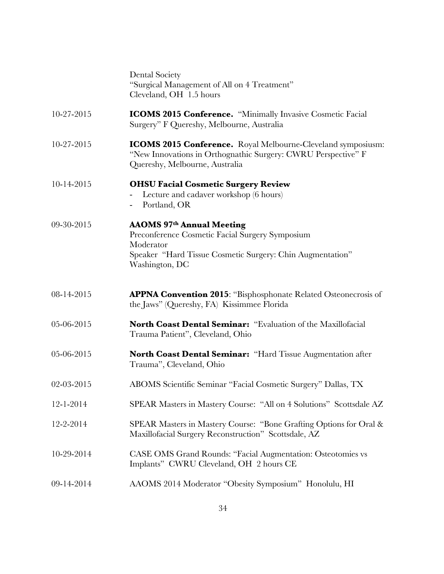|            | <b>Dental Society</b><br>"Surgical Management of All on 4 Treatment"<br>Cleveland, OH 1.5 hours                                                                                 |
|------------|---------------------------------------------------------------------------------------------------------------------------------------------------------------------------------|
| 10-27-2015 | <b>ICOMS 2015 Conference.</b> "Minimally Invasive Cosmetic Facial<br>Surgery" F Quereshy, Melbourne, Australia                                                                  |
| 10-27-2015 | <b>ICOMS 2015 Conference.</b> Royal Melbourne-Cleveland symposiusm:<br>"New Innovations in Orthognathic Surgery: CWRU Perspective" F<br>Quereshy, Melbourne, Australia          |
| 10-14-2015 | <b>OHSU Facial Cosmetic Surgery Review</b><br>Lecture and cadaver workshop (6 hours)<br>Portland, OR<br>$\overline{\phantom{0}}$                                                |
| 09-30-2015 | <b>AAOMS 97th Annual Meeting</b><br>Preconference Cosmetic Facial Surgery Symposium<br>Moderator<br>Speaker "Hard Tissue Cosmetic Surgery: Chin Augmentation"<br>Washington, DC |
| 08-14-2015 | <b>APPNA Convention 2015:</b> "Bisphosphonate Related Osteonecrosis of<br>the Jaws" (Quereshy, FA) Kissimmee Florida                                                            |
| 05-06-2015 | North Coast Dental Seminar: "Evaluation of the Maxillofacial<br>Trauma Patient", Cleveland, Ohio                                                                                |
| 05-06-2015 | <b>North Coast Dental Seminar:</b> "Hard Tissue Augmentation after<br>Trauma", Cleveland, Ohio                                                                                  |
| 02-03-2015 | ABOMS Scientific Seminar "Facial Cosmetic Surgery" Dallas, TX                                                                                                                   |
| 12-1-2014  | SPEAR Masters in Mastery Course: "All on 4 Solutions" Scottsdale AZ                                                                                                             |
| 12-2-2014  | SPEAR Masters in Mastery Course: "Bone Grafting Options for Oral &<br>Maxillofacial Surgery Reconstruction" Scottsdale, AZ                                                      |
| 10-29-2014 | <b>CASE OMS Grand Rounds: "Facial Augmentation: Osteotomies vs</b><br>Implants" CWRU Cleveland, OH 2 hours CE                                                                   |
| 09-14-2014 | AAOMS 2014 Moderator "Obesity Symposium" Honolulu, HI                                                                                                                           |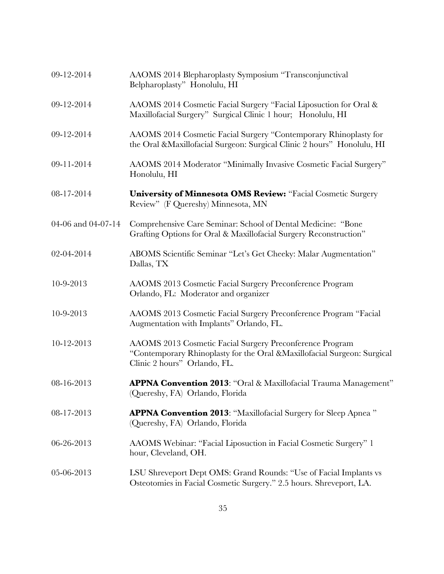| 09-12-2014         | AAOMS 2014 Blepharoplasty Symposium "Transconjunctival<br>Belpharoplasty" Honolulu, HI                                                                              |
|--------------------|---------------------------------------------------------------------------------------------------------------------------------------------------------------------|
| 09-12-2014         | AAOMS 2014 Cosmetic Facial Surgery "Facial Liposuction for Oral &<br>Maxillofacial Surgery" Surgical Clinic 1 hour; Honolulu, HI                                    |
| 09-12-2014         | AAOMS 2014 Cosmetic Facial Surgery "Contemporary Rhinoplasty for<br>the Oral & Maxillofacial Surgeon: Surgical Clinic 2 hours" Honolulu, HI                         |
| 09-11-2014         | AAOMS 2014 Moderator "Minimally Invasive Cosmetic Facial Surgery"<br>Honolulu, HI                                                                                   |
| 08-17-2014         | <b>University of Minnesota OMS Review: "Facial Cosmetic Surgery</b><br>Review" (F Quereshy) Minnesota, MN                                                           |
| 04-06 and 04-07-14 | Comprehensive Care Seminar: School of Dental Medicine: "Bone<br>Grafting Options for Oral & Maxillofacial Surgery Reconstruction"                                   |
| 02-04-2014         | ABOMS Scientific Seminar "Let's Get Cheeky: Malar Augmentation"<br>Dallas, TX                                                                                       |
| 10-9-2013          | AAOMS 2013 Cosmetic Facial Surgery Preconference Program<br>Orlando, FL: Moderator and organizer                                                                    |
| 10-9-2013          | AAOMS 2013 Cosmetic Facial Surgery Preconference Program "Facial<br>Augmentation with Implants" Orlando, FL.                                                        |
| 10-12-2013         | AAOMS 2013 Cosmetic Facial Surgery Preconference Program<br>"Contemporary Rhinoplasty for the Oral &Maxillofacial Surgeon: Surgical<br>Clinic 2 hours" Orlando, FL. |
| 08-16-2013         | APPNA Convention 2013: "Oral & Maxillofacial Trauma Management"<br>(Quereshy, FA) Orlando, Florida                                                                  |
| 08-17-2013         | <b>APPNA Convention 2013:</b> "Maxillofacial Surgery for Sleep Apnea"<br>(Quereshy, FA) Orlando, Florida                                                            |
| 06-26-2013         | AAOMS Webinar: "Facial Liposuction in Facial Cosmetic Surgery" 1<br>hour, Cleveland, OH.                                                                            |
| 05-06-2013         | LSU Shreveport Dept OMS: Grand Rounds: "Use of Facial Implants vs<br>Osteotomies in Facial Cosmetic Surgery." 2.5 hours. Shreveport, LA.                            |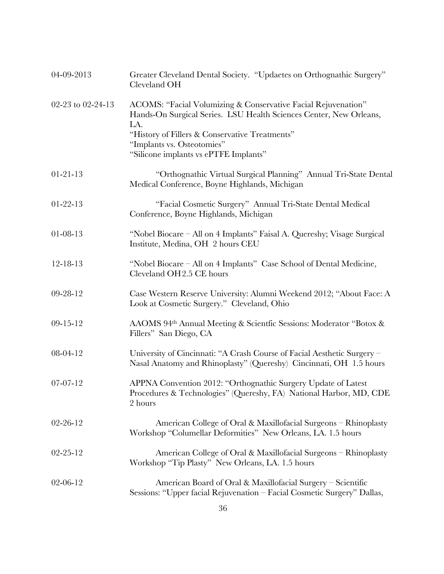| 04-09-2013        | Greater Cleveland Dental Society. "Updaetes on Orthognathic Surgery"<br>Cleveland OH                                                                                                                                                                                |
|-------------------|---------------------------------------------------------------------------------------------------------------------------------------------------------------------------------------------------------------------------------------------------------------------|
| 02-23 to 02-24-13 | ACOMS: "Facial Volumizing & Conservative Facial Rejuvenation"<br>Hands-On Surgical Series. LSU Health Sciences Center, New Orleans,<br>LA.<br>"History of Fillers & Conservative Treatments"<br>"Implants vs. Osteotomies"<br>"Silicone implants vs ePTFE Implants" |
| $01 - 21 - 13$    | "Orthognathic Virtual Surgical Planning" Annual Tri-State Dental<br>Medical Conference, Boyne Highlands, Michigan                                                                                                                                                   |
| $01-22-13$        | "Facial Cosmetic Surgery" Annual Tri-State Dental Medical<br>Conference, Boyne Highlands, Michigan                                                                                                                                                                  |
| $01 - 08 - 13$    | "Nobel Biocare – All on 4 Implants" Faisal A. Quereshy; Visage Surgical<br>Institute, Medina, OH 2 hours CEU                                                                                                                                                        |
| 12-18-13          | "Nobel Biocare – All on 4 Implants" Case School of Dental Medicine,<br>Cleveland OH2.5 CE hours                                                                                                                                                                     |
| 09-28-12          | Case Western Reserve University: Alumni Weekend 2012; "About Face: A<br>Look at Cosmetic Surgery." Cleveland, Ohio                                                                                                                                                  |
| $09 - 15 - 12$    | AAOMS 94th Annual Meeting & Scientfic Sessions: Moderator "Botox &<br>Fillers" San Diego, CA                                                                                                                                                                        |
| 08-04-12          | University of Cincinnati: "A Crash Course of Facial Aesthetic Surgery -<br>Nasal Anatomy and Rhinoplasty" (Quereshy) Cincinnati, OH 1.5 hours                                                                                                                       |
| $07-07-12$        | APPNA Convention 2012: "Orthognathic Surgery Update of Latest<br>Procedures & Technologies" (Quereshy, FA) National Harbor, MD, CDE<br>2 hours                                                                                                                      |
| $02 - 26 - 12$    | American College of Oral & Maxillofacial Surgeons - Rhinoplasty<br>Workshop "Columellar Deformities" New Orleans, LA. 1.5 hours                                                                                                                                     |
| $02 - 25 - 12$    | American College of Oral & Maxillofacial Surgeons – Rhinoplasty<br>Workshop "Tip Plasty" New Orleans, LA. 1.5 hours                                                                                                                                                 |
| $02 - 06 - 12$    | American Board of Oral & Maxillofacial Surgery – Scientific<br>Sessions: "Upper facial Rejuvenation - Facial Cosmetic Surgery" Dallas,                                                                                                                              |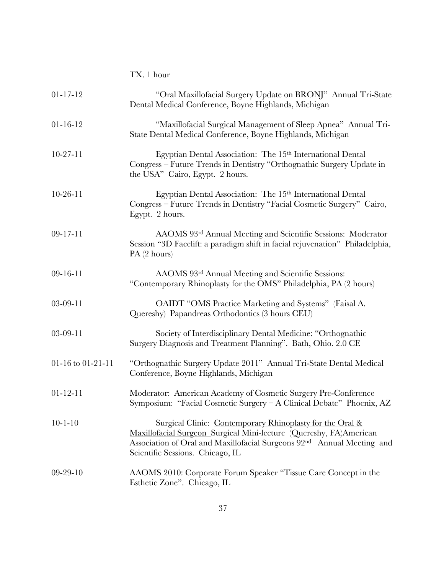|                   | TX. 1 hour                                                                                                                                                                                                                                   |
|-------------------|----------------------------------------------------------------------------------------------------------------------------------------------------------------------------------------------------------------------------------------------|
| $01 - 17 - 12$    | "Oral Maxillofacial Surgery Update on BRONJ" Annual Tri-State<br>Dental Medical Conference, Boyne Highlands, Michigan                                                                                                                        |
| $01 - 16 - 12$    | "Maxillofacial Surgical Management of Sleep Apnea" Annual Tri-<br>State Dental Medical Conference, Boyne Highlands, Michigan                                                                                                                 |
| $10-27-11$        | Egyptian Dental Association: The 15th International Dental<br>Congress – Future Trends in Dentistry "Orthognathic Surgery Update in<br>the USA" Cairo, Egypt. 2 hours.                                                                       |
| $10-26-11$        | Egyptian Dental Association: The 15 <sup>th</sup> International Dental<br>Congress – Future Trends in Dentistry "Facial Cosmetic Surgery" Cairo,<br>Egypt. 2 hours.                                                                          |
| $09 - 17 - 11$    | AAOMS 93rd Annual Meeting and Scientific Sessions: Moderator<br>Session "3D Facelift: a paradigm shift in facial rejuvenation" Philadelphia,<br>PA(2 hours)                                                                                  |
| $09 - 16 - 11$    | AAOMS 93rd Annual Meeting and Scientific Sessions:<br>"Contemporary Rhinoplasty for the OMS" Philadelphia, PA (2 hours)                                                                                                                      |
| $03-09-11$        | OAIDT "OMS Practice Marketing and Systems" (Faisal A.<br>Quereshy) Papandreas Orthodontics (3 hours CEU)                                                                                                                                     |
| $03-09-11$        | Society of Interdisciplinary Dental Medicine: "Orthognathic<br>Surgery Diagnosis and Treatment Planning". Bath, Ohio. 2.0 CE                                                                                                                 |
| 01-16 to 01-21-11 | "Orthognathic Surgery Update 2011" Annual Tri-State Dental Medical<br>Conference, Boyne Highlands, Michigan                                                                                                                                  |
| $01 - 12 - 11$    | Moderator: American Academy of Cosmetic Surgery Pre-Conference<br>Symposium: "Facial Cosmetic Surgery – A Clinical Debate" Phoenix, AZ                                                                                                       |
| $10 - 1 - 10$     | Surgical Clinic: Contemporary Rhinoplasty for the Oral &<br>Maxillofacial Surgeon_Surgical Mini-lecture (Quereshy, FA)American<br>Association of Oral and Maxillofacial Surgeons 92nd Annual Meeting and<br>Scientific Sessions. Chicago, IL |
| $09-29-10$        | AAOMS 2010: Corporate Forum Speaker "Tissue Care Concept in the<br>Esthetic Zone". Chicago, IL                                                                                                                                               |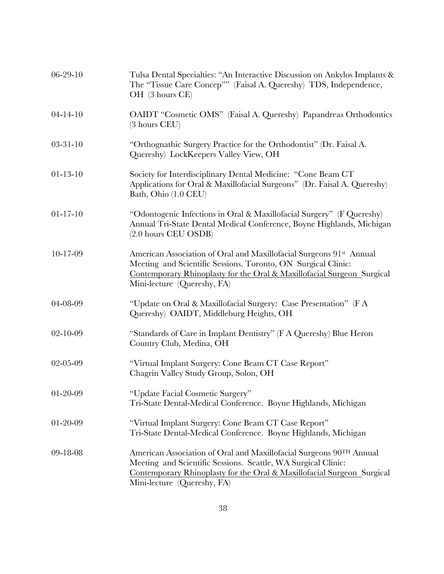| $06 - 29 - 10$ | Tulsa Dental Specialties: "An Interactive Discussion on Ankylos Implants &<br>The "Tissue Care Concep"" (Faisal A. Quereshy) TDS, Independence,<br>OH (3 hours CE)                                                                            |
|----------------|-----------------------------------------------------------------------------------------------------------------------------------------------------------------------------------------------------------------------------------------------|
| $04 - 14 - 10$ | OAIDT "Cosmetic OMS" (Faisal A. Quereshy) Papandreas Orthodontics<br>$(3 \text{ hours} \text{ CEU})$                                                                                                                                          |
| $03 - 31 - 10$ | "Orthognathic Surgery Practice for the Orthodontist" (Dr. Faisal A.<br>Quereshy) LockKeepers Valley View, OH                                                                                                                                  |
| $01 - 13 - 10$ | Society for Interdisciplinary Dental Medicine: "Cone Beam CT<br>Applications for Oral & Maxillofacial Surgeons" (Dr. Faisal A. Quereshy)<br>Bath, Ohio (1.0 CEU)                                                                              |
| $01 - 17 - 10$ | "Odontogenic Infections in Oral & Maxillofacial Surgery" (F Quereshy)<br>Annual Tri-State Dental Medical Conference, Boyne Highlands, Michigan<br>$(2.0 \text{ hours}$ CEU OSDB)                                                              |
| $10 - 17 - 09$ | American Association of Oral and Maxillofacial Surgeons 91st Annual<br>Meeting and Scientific Sessions. Toronto, ON Surgical Clinic:<br>Contemporary Rhinoplasty for the Oral & Maxillofacial Surgeon_Surgical<br>Mini-lecture (Quereshy, FA) |
| 04-08-09       | "Update on Oral & Maxillofacial Surgery: Case Presentation" (F A<br>Quereshy) OAIDT, Middleburg Heights, OH                                                                                                                                   |
| $02 - 10 - 09$ | "Standards of Care in Implant Dentistry" (F A Quereshy) Blue Heron<br>Country Club, Medina, OH                                                                                                                                                |
| 02-05-09       | "Virtual Implant Surgery: Cone Beam CT Case Report"<br>Chagrin Valley Study Group, Solon, OH                                                                                                                                                  |
| 01-20-09       | "Update Facial Cosmetic Surgery"<br>Tri-State Dental-Medical Conference. Boyne Highlands, Michigan                                                                                                                                            |
| $01 - 20 - 09$ | "Virtual Implant Surgery: Cone Beam CT Case Report"<br>Tri-State Dental-Medical Conference. Boyne Highlands, Michigan                                                                                                                         |
| 09-18-08       | American Association of Oral and Maxillofacial Surgeons 90TH Annual<br>Meeting and Scientific Sessions. Seattle, WA Surgical Clinic:<br>Contemporary Rhinoplasty for the Oral & Maxillofacial Surgeon Surgical<br>Mini-lecture (Quereshy, FA) |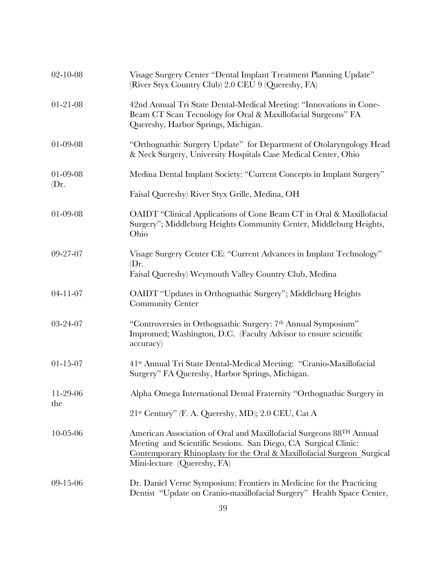| $02 - 10 - 08$             | Visage Surgery Center "Dental Implant Treatment Planning Update"<br>(River Styx Country Club) 2.0 CEU 9 (Quereshy, FA)                                                                                                                          |
|----------------------------|-------------------------------------------------------------------------------------------------------------------------------------------------------------------------------------------------------------------------------------------------|
| $01 - 21 - 08$             | 42nd Annual Tri State Dental-Medical Meeting: "Innovations in Cone-<br>Beam CT Scan Tecnology for Oral & Maxillofacial Surgeons" FA<br>Quereshy, Harbor Springs, Michigan.                                                                      |
| 01-09-08                   | "Orthognathic Surgery Update" for Department of Otolaryngology Head<br>& Neck Surgery, University Hospitals Case Medical Center, Ohio                                                                                                           |
| $01 - 09 - 08$<br>$(Dr)$ . | Medina Dental Implant Society: "Current Concepts in Implant Surgery"                                                                                                                                                                            |
|                            | Faisal Quereshy) River Styx Grille, Medina, OH                                                                                                                                                                                                  |
| 01-09-08                   | OAIDT "Clinical Applications of Cone Beam CT in Oral & Maxillofacial<br>Surgery"; Middleburg Heights Community Center, Middleburg Heights,<br>Ohio                                                                                              |
| 09-27-07                   | Visage Surgery Center CE: "Current Advances in Implant Technology"                                                                                                                                                                              |
|                            | (Dr.<br>Faisal Quereshy) Weymouth Valley Country Club, Medina                                                                                                                                                                                   |
| $04 - 11 - 07$             | OAIDT "Updates in Orthognathic Surgery"; Middleburg Heights<br><b>Community Center</b>                                                                                                                                                          |
| 03-24-07                   | "Controversies in Orthognathic Surgery: 7th Annual Symposium"<br>Impromed; Washington, D.C. (Faculty Advisor to ensure scientific<br>accuracy)                                                                                                  |
| $01 - 15 - 07$             | 41 <sup>st</sup> Annual Tri State Dental-Medical Meeting: "Cranio-Maxillofacial<br>Surgery" FA Quereshy, Harbor Springs, Michigan.                                                                                                              |
| $11-29-06$                 | Alpha Omega International Dental Fraternity "Orthognathic Surgery in                                                                                                                                                                            |
| the                        | 21 <sup>st</sup> Century" (F. A. Quereshy, MD); 2.0 CEU, Cat A                                                                                                                                                                                  |
| $10 - 05 - 06$             | American Association of Oral and Maxillofacial Surgeons 88TH Annual<br>Meeting and Scientific Sessions. San Diego, CA Surgical Clinic:<br>Contemporary Rhinoplasty for the Oral & Maxillofacial Surgeon_Surgical<br>Mini-lecture (Quereshy, FA) |
| $09-15-06$                 | Dr. Daniel Verne Symposium: Frontiers in Medicine for the Practicing<br>Dentist "Update on Cranio-maxillofacial Surgery" Health Space Center,                                                                                                   |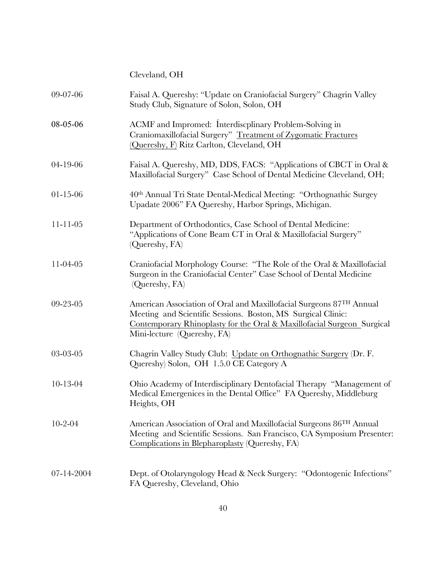| Cleveland, OH |  |
|---------------|--|
|---------------|--|

| 09-07-06       | Faisal A. Quereshy: "Update on Craniofacial Surgery" Chagrin Valley<br>Study Club, Signature of Solon, Solon, OH                                                                                                                             |
|----------------|----------------------------------------------------------------------------------------------------------------------------------------------------------------------------------------------------------------------------------------------|
| 08-05-06       | ACMF and Impromed: Interdiscplinary Problem-Solving in<br>Craniomaxillofacial Surgery" Treatment of Zygomatic Fractures<br>(Quereshy, F) Ritz Carlton, Cleveland, OH                                                                         |
| $04 - 19 - 06$ | Faisal A. Quereshy, MD, DDS, FACS: "Applications of CBCT in Oral &<br>Maxillofacial Surgery" Case School of Dental Medicine Cleveland, OH;                                                                                                   |
| $01 - 15 - 06$ | 40 <sup>th</sup> Annual Tri State Dental-Medical Meeting: "Orthognathic Surgey<br>Upadate 2006" FA Quereshy, Harbor Springs, Michigan.                                                                                                       |
| $11 - 11 - 05$ | Department of Orthodontics, Case School of Dental Medicine:<br>"Applications of Cone Beam CT in Oral & Maxillofacial Surgery"<br>(Quereshy, FA)                                                                                              |
| $11-04-05$     | Craniofacial Morphology Course: "The Role of the Oral & Maxillofacial<br>Surgeon in the Craniofacial Center" Case School of Dental Medicine<br>(Quereshy, FA)                                                                                |
| 09-23-05       | American Association of Oral and Maxillofacial Surgeons 87TH Annual<br>Meeting and Scientific Sessions. Boston, MS Surgical Clinic:<br>Contemporary Rhinoplasty for the Oral & Maxillofacial Surgeon Surgical<br>Mini-lecture (Quereshy, FA) |
| 03-03-05       | Chagrin Valley Study Club: Update on Orthognathic Surgery (Dr. F.<br>Quereshy) Solon, OH 1.5.0 CE Category A                                                                                                                                 |
| $10-13-04$     | Ohio Academy of Interdisciplinary Dentofacial Therapy "Management of<br>Medical Emergenices in the Dental Office" FA Quereshy, Middleburg<br>Heights, OH                                                                                     |
| $10 - 2 - 04$  | American Association of Oral and Maxillofacial Surgeons 86 <sup>TH</sup> Annual<br>Meeting and Scientific Sessions. San Francisco, CA Symposium Presenter:<br>Complications in Blepharoplasty (Quereshy, FA)                                 |
| 07-14-2004     | Dept. of Otolaryngology Head & Neck Surgery: "Odontogenic Infections"<br>FA Quereshy, Cleveland, Ohio                                                                                                                                        |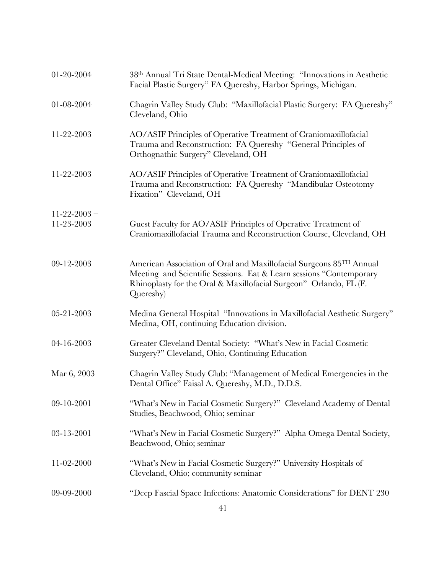| 01-20-2004         | 38th Annual Tri State Dental-Medical Meeting: "Innovations in Aesthetic<br>Facial Plastic Surgery" FA Quereshy, Harbor Springs, Michigan.                                                                                    |
|--------------------|------------------------------------------------------------------------------------------------------------------------------------------------------------------------------------------------------------------------------|
| 01-08-2004         | Chagrin Valley Study Club: "Maxillofacial Plastic Surgery: FA Quereshy"<br>Cleveland, Ohio                                                                                                                                   |
| 11-22-2003         | AO/ASIF Principles of Operative Treatment of Craniomaxillofacial<br>Trauma and Reconstruction: FA Quereshy "General Principles of<br>Orthognathic Surgery" Cleveland, OH                                                     |
| 11-22-2003         | AO/ASIF Principles of Operative Treatment of Craniomaxillofacial<br>Trauma and Reconstruction: FA Quereshy "Mandibular Osteotomy<br>Fixation" Cleveland, OH                                                                  |
| $11 - 22 - 2003$ – |                                                                                                                                                                                                                              |
| 11-23-2003         | Guest Faculty for AO/ASIF Principles of Operative Treatment of<br>Craniomaxillofacial Trauma and Reconstruction Course, Cleveland, OH                                                                                        |
| 09-12-2003         | American Association of Oral and Maxillofacial Surgeons 85TH Annual<br>Meeting and Scientific Sessions. Eat & Learn sessions "Contemporary<br>Rhinoplasty for the Oral & Maxillofacial Surgeon" Orlando, FL (F.<br>Quereshy) |
| 05-21-2003         | Medina General Hospital "Innovations in Maxillofacial Aesthetic Surgery"<br>Medina, OH, continuing Education division.                                                                                                       |
| 04-16-2003         | Greater Cleveland Dental Society: "What's New in Facial Cosmetic<br>Surgery?" Cleveland, Ohio, Continuing Education                                                                                                          |
| Mar 6, 2003        | Chagrin Valley Study Club: "Management of Medical Emergencies in the<br>Dental Office" Faisal A. Quereshy, M.D., D.D.S.                                                                                                      |
| 09-10-2001         | "What's New in Facial Cosmetic Surgery?" Cleveland Academy of Dental<br>Studies, Beachwood, Ohio; seminar                                                                                                                    |
| 03-13-2001         | "What's New in Facial Cosmetic Surgery?" Alpha Omega Dental Society,<br>Beachwood, Ohio; seminar                                                                                                                             |
| 11-02-2000         | "What's New in Facial Cosmetic Surgery?" University Hospitals of<br>Cleveland, Ohio; community seminar                                                                                                                       |
| 09-09-2000         | "Deep Fascial Space Infections: Anatomic Considerations" for DENT 230                                                                                                                                                        |
|                    |                                                                                                                                                                                                                              |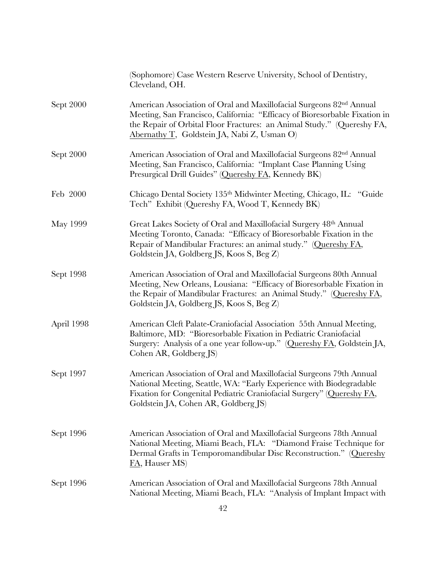|            | (Sophomore) Case Western Reserve University, School of Dentistry,<br>Cleveland, OH.                                                                                                                                                                                                    |
|------------|----------------------------------------------------------------------------------------------------------------------------------------------------------------------------------------------------------------------------------------------------------------------------------------|
| Sept 2000  | American Association of Oral and Maxillofacial Surgeons 82 <sup>nd</sup> Annual<br>Meeting, San Francisco, California: "Efficacy of Bioresorbable Fixation in<br>the Repair of Orbital Floor Fractures: an Animal Study." (Quereshy FA,<br>Abernathy T, Goldstein JA, Nabi Z, Usman O) |
| Sept 2000  | American Association of Oral and Maxillofacial Surgeons 82 <sup>nd</sup> Annual<br>Meeting, San Francisco, California: "Implant Case Planning Using<br>Presurgical Drill Guides" (Quereshy FA, Kennedy BK)                                                                             |
| Feb 2000   | Chicago Dental Society 135th Midwinter Meeting, Chicago, IL: "Guide<br>Tech" Exhibit (Quereshy FA, Wood T, Kennedy BK)                                                                                                                                                                 |
| May 1999   | Great Lakes Society of Oral and Maxillofacial Surgery 48th Annual<br>Meeting Toronto, Canada: "Efficacy of Bioresorbable Fixation in the<br>Repair of Mandibular Fractures: an animal study." (Quereshy FA,<br>Goldstein JA, Goldberg JS, Koos S, Beg Z)                               |
| Sept 1998  | American Association of Oral and Maxillofacial Surgeons 80th Annual<br>Meeting, New Orleans, Lousiana: "Efficacy of Bioresorbable Fixation in<br>the Repair of Mandibular Fractures: an Animal Study." (Quereshy FA,<br>Goldstein JA, Goldberg JS, Koos S, Beg Z)                      |
| April 1998 | American Cleft Palate-Craniofacial Association 55th Annual Meeting,<br>Baltimore, MD: "Bioresorbable Fixation in Pediatric Craniofacial<br>Surgery: Analysis of a one year follow-up." (Quereshy FA, Goldstein JA,<br>Cohen AR, Goldberg JS)                                           |
| Sept 1997  | American Association of Oral and Maxillofacial Surgeons 79th Annual<br>National Meeting, Seattle, WA: "Early Experience with Biodegradable<br>Fixation for Congenital Pediatric Craniofacial Surgery" (Quereshy FA,<br>Goldstein JA, Cohen AR, Goldberg JS)                            |
| Sept 1996  | American Association of Oral and Maxillofacial Surgeons 78th Annual<br>National Meeting, Miami Beach, FLA: "Diamond Fraise Technique for<br>Dermal Grafts in Temporomandibular Disc Reconstruction." (Quereshy<br>FA, Hauser MS)                                                       |
| Sept 1996  | American Association of Oral and Maxillofacial Surgeons 78th Annual<br>National Meeting, Miami Beach, FLA: "Analysis of Implant Impact with                                                                                                                                            |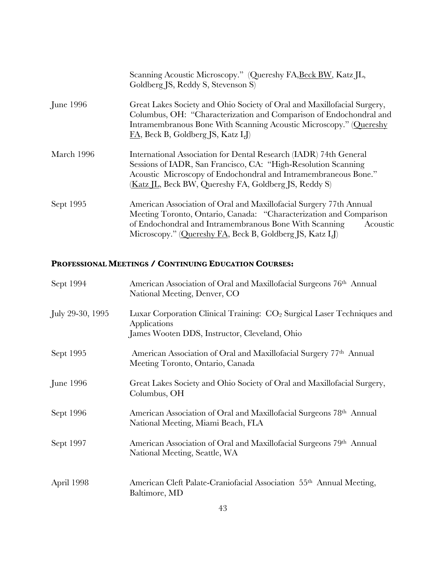|                  | Scanning Acoustic Microscopy." (Quereshy FA, Beck BW, Katz JL,<br>Goldberg JS, Reddy S, Stevenson S)                                                                                                                                                                       |
|------------------|----------------------------------------------------------------------------------------------------------------------------------------------------------------------------------------------------------------------------------------------------------------------------|
| <b>June 1996</b> | Great Lakes Society and Ohio Society of Oral and Maxillofacial Surgery,<br>Columbus, OH: "Characterization and Comparison of Endochondral and<br>Intramembranous Bone With Scanning Acoustic Microscopy." (Quereshy<br>FA, Beck B, Goldberg JS, Katz LJ)                   |
| March 1996       | International Association for Dental Research (IADR) 74th General<br>Sessions of IADR, San Francisco, CA: "High-Resolution Scanning<br>Acoustic Microscopy of Endochondral and Intramembraneous Bone."<br>(Katz JL, Beck BW, Quereshy FA, Goldberg JS, Reddy S)            |
| Sept 1995        | American Association of Oral and Maxillofacial Surgery 77th Annual<br>Meeting Toronto, Ontario, Canada: "Characterization and Comparison<br>of Endochondral and Intramembranous Bone With Scanning<br>Acoustic<br>Microscopy." (Quereshy FA, Beck B, Goldberg JS, Katz LJ) |

# **PROFESSIONAL MEETINGS / CONTINUING EDUCATION COURSES:**

| Sept 1994        | American Association of Oral and Maxillofacial Surgeons 76 <sup>th</sup> Annual<br>National Meeting, Denver, CO                                     |
|------------------|-----------------------------------------------------------------------------------------------------------------------------------------------------|
| July 29-30, 1995 | Luxar Corporation Clinical Training: CO <sub>2</sub> Surgical Laser Techniques and<br>Applications<br>James Wooten DDS, Instructor, Cleveland, Ohio |
| Sept 1995        | American Association of Oral and Maxillofacial Surgery 77th Annual<br>Meeting Toronto, Ontario, Canada                                              |
| June 1996        | Great Lakes Society and Ohio Society of Oral and Maxillofacial Surgery,<br>Columbus, OH                                                             |
| Sept 1996        | American Association of Oral and Maxillofacial Surgeons 78th Annual<br>National Meeting, Miami Beach, FLA                                           |
| Sept 1997        | American Association of Oral and Maxillofacial Surgeons 79th Annual<br>National Meeting, Seattle, WA                                                |
| April 1998       | American Cleft Palate-Craniofacial Association 55 <sup>th</sup> Annual Meeting,<br>Baltimore, MD                                                    |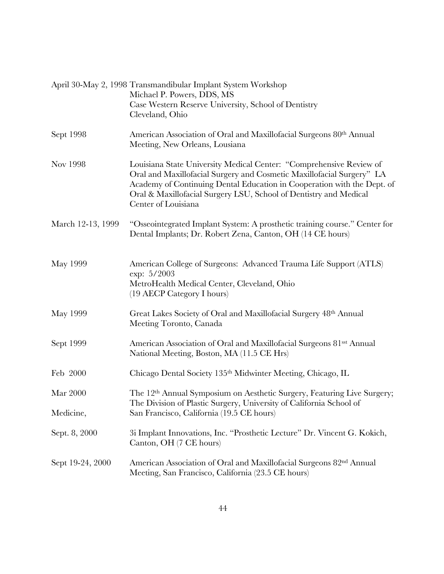|                   | April 30-May 2, 1998 Transmandibular Implant System Workshop<br>Michael P. Powers, DDS, MS                                                                                                                                                                                                                          |
|-------------------|---------------------------------------------------------------------------------------------------------------------------------------------------------------------------------------------------------------------------------------------------------------------------------------------------------------------|
|                   | Case Western Reserve University, School of Dentistry<br>Cleveland, Ohio                                                                                                                                                                                                                                             |
| Sept 1998         | American Association of Oral and Maxillofacial Surgeons 80th Annual<br>Meeting, New Orleans, Lousiana                                                                                                                                                                                                               |
| Nov 1998          | Louisiana State University Medical Center: "Comprehensive Review of<br>Oral and Maxillofacial Surgery and Cosmetic Maxillofacial Surgery" LA<br>Academy of Continuing Dental Education in Cooperation with the Dept. of<br>Oral & Maxillofacial Surgery LSU, School of Dentistry and Medical<br>Center of Louisiana |
| March 12-13, 1999 | "Osseointegrated Implant System: A prosthetic training course." Center for<br>Dental Implants; Dr. Robert Zena, Canton, OH (14 CE hours)                                                                                                                                                                            |
| May 1999          | American College of Surgeons: Advanced Trauma Life Support (ATLS)<br>exp: 5/2003<br>MetroHealth Medical Center, Cleveland, Ohio<br>(19 AECP Category I hours)                                                                                                                                                       |
| May 1999          | Great Lakes Society of Oral and Maxillofacial Surgery 48th Annual<br>Meeting Toronto, Canada                                                                                                                                                                                                                        |
| Sept 1999         | American Association of Oral and Maxillofacial Surgeons 81sst Annual<br>National Meeting, Boston, MA (11.5 CE Hrs)                                                                                                                                                                                                  |
| Feb 2000          | Chicago Dental Society 135th Midwinter Meeting, Chicago, IL                                                                                                                                                                                                                                                         |
| Mar 2000          | The 12 <sup>th</sup> Annual Symposium on Aesthetic Surgery, Featuring Live Surgery;<br>The Division of Plastic Surgery, University of California School of                                                                                                                                                          |
| Medicine,         | San Francisco, California (19.5 CE hours)                                                                                                                                                                                                                                                                           |
| Sept. 8, 2000     | 3i Implant Innovations, Inc. "Prosthetic Lecture" Dr. Vincent G. Kokich,<br>Canton, OH (7 CE hours)                                                                                                                                                                                                                 |
| Sept 19-24, 2000  | American Association of Oral and Maxillofacial Surgeons 82 <sup>nd</sup> Annual<br>Meeting, San Francisco, California (23.5 CE hours)                                                                                                                                                                               |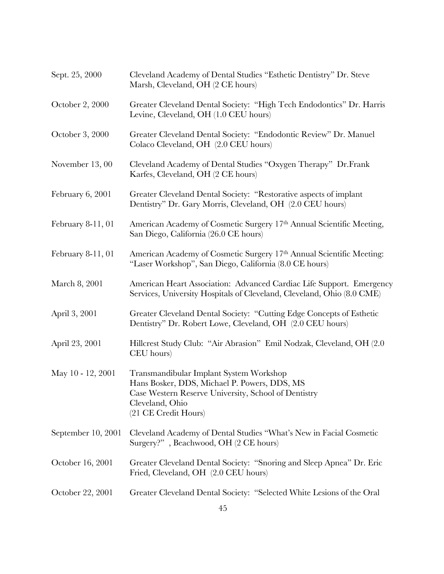| Sept. 25, 2000     | Cleveland Academy of Dental Studies "Esthetic Dentistry" Dr. Steve<br>Marsh, Cleveland, OH (2 CE hours)                                                                                    |
|--------------------|--------------------------------------------------------------------------------------------------------------------------------------------------------------------------------------------|
| October 2, 2000    | Greater Cleveland Dental Society: "High Tech Endodontics" Dr. Harris<br>Levine, Cleveland, OH (1.0 CEU hours)                                                                              |
| October 3, 2000    | Greater Cleveland Dental Society: "Endodontic Review" Dr. Manuel<br>Colaco Cleveland, OH (2.0 CEU hours)                                                                                   |
| November 13,00     | Cleveland Academy of Dental Studies "Oxygen Therapy" Dr.Frank<br>Karfes, Cleveland, OH (2 CE hours)                                                                                        |
| February 6, 2001   | Greater Cleveland Dental Society: "Restorative aspects of implant<br>Dentistry" Dr. Gary Morris, Cleveland, OH (2.0 CEU hours)                                                             |
| February 8-11, 01  | American Academy of Cosmetic Surgery 17th Annual Scientific Meeting,<br>San Diego, California (26.0 CE hours)                                                                              |
| February 8-11, 01  | American Academy of Cosmetic Surgery 17th Annual Scientific Meeting:<br>"Laser Workshop", San Diego, California (8.0 CE hours)                                                             |
| March 8, 2001      | American Heart Association: Advanced Cardiac Life Support. Emergency<br>Services, University Hospitals of Cleveland, Cleveland, Ohio (8.0 CME)                                             |
| April 3, 2001      | Greater Cleveland Dental Society: "Cutting Edge Concepts of Esthetic<br>Dentistry" Dr. Robert Lowe, Cleveland, OH (2.0 CEU hours)                                                          |
| April 23, 2001     | Hillcrest Study Club: "Air Abrasion" Emil Nodzak, Cleveland, OH (2.0)<br>CEU hours)                                                                                                        |
| May 10 - 12, 2001  | Transmandibular Implant System Workshop<br>Hans Bosker, DDS, Michael P. Powers, DDS, MS<br>Case Western Reserve University, School of Dentistry<br>Cleveland, Ohio<br>(21 CE Credit Hours) |
| September 10, 2001 | Cleveland Academy of Dental Studies "What's New in Facial Cosmetic<br>Surgery?", Beachwood, OH (2 CE hours)                                                                                |
| October 16, 2001   | Greater Cleveland Dental Society: "Snoring and Sleep Apnea" Dr. Eric<br>Fried, Cleveland, OH (2.0 CEU hours)                                                                               |
| October 22, 2001   | Greater Cleveland Dental Society: "Selected White Lesions of the Oral                                                                                                                      |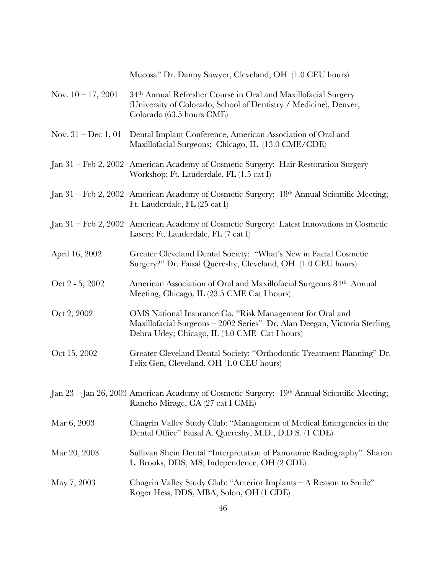Mucosa" Dr. Danny Sawyer, Cleveland, OH (1.0 CEU hours) Nov.  $10 - 17$ , 2001 34<sup>th</sup> Annual Refresher Course in Oral and Maxillofacial Surgery (University of Colorado, School of Dentistry / Medicine), Denver, Colorado (63.5 hours CME) Nov. 31 – Dec 1, 01 Dental Implant Conference, American Association of Oral and Maxillofacial Surgeons; Chicago, IL (13.0 CME/CDE) Jan 31 – Feb 2, 2002 American Academy of Cosmetic Surgery: Hair Restoration Surgery Workshop; Ft. Lauderdale, FL (1.5 cat I) Jan 31 – Feb 2, 2002 American Academy of Cosmetic Surgery: 18th Annual Scientific Meeting; Ft. Lauderdale, FL (25 cat I) Jan 31 – Feb 2, 2002 American Academy of Cosmetic Surgery: Latest Innovations in Cosmetic Lasers; Ft. Lauderdale, FL (7 cat I) April 16, 2002 Greater Cleveland Dental Society: "What's New in Facial Cosmetic Surgery?" Dr. Faisal Quereshy, Cleveland, OH (1.0 CEU hours) Oct 2 - 5, 2002 American Association of Oral and Maxillofacial Surgeons 84th Annual Meeting, Chicago, IL (23.5 CME Cat I hours) Oct 2, 2002 OMS National Insurance Co. "Risk Management for Oral and Maxillofacial Surgeons – 2002 Series" Dr. Alan Deegan, Victoria Sterling, Debra Udey; Chicago, IL (4.0 CME Cat I hours) Oct 15, 2002 Greater Cleveland Dental Society: "Orthodontic Treatment Planning" Dr. Felix Gen, Cleveland, OH (1.0 CEU hours) Jan 23 – Jan 26, 2003 American Academy of Cosmetic Surgery: 19th Annual Scientific Meeting; Rancho Mirage, CA (27 cat I CME) Mar 6, 2003 Chagrin Valley Study Club: "Management of Medical Emergencies in the Dental Office" Faisal A. Quereshy, M.D., D.D.S. (1 CDE) Mar 20, 2003 Sullivan Shein Dental "Interpretation of Panoramic Radiography" Sharon L. Brooks, DDS, MS; Independence, OH (2 CDE) May 7, 2003 Chagrin Valley Study Club: "Anterior Implants – A Reason to Smile" Roger Hess, DDS, MBA, Solon, OH (1 CDE)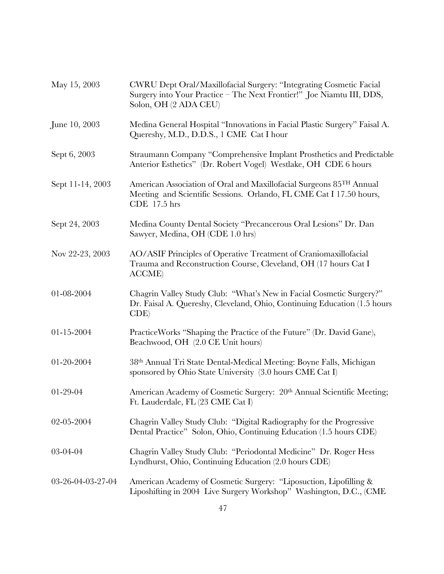| May 15, 2003      | CWRU Dept Oral/Maxillofacial Surgery: "Integrating Cosmetic Facial<br>Surgery into Your Practice - The Next Frontier!" Joe Niamtu III, DDS,<br>Solon, OH (2 ADA CEU) |
|-------------------|----------------------------------------------------------------------------------------------------------------------------------------------------------------------|
| June 10, 2003     | Medina General Hospital "Innovations in Facial Plastic Surgery" Faisal A.<br>Quereshy, M.D., D.D.S., 1 CME Cat I hour                                                |
| Sept 6, 2003      | Straumann Company "Comprehensive Implant Prosthetics and Predictable<br>Anterior Esthetics" (Dr. Robert Vogel) Westlake, OH CDE 6 hours                              |
| Sept 11-14, 2003  | American Association of Oral and Maxillofacial Surgeons 85TH Annual<br>Meeting and Scientific Sessions. Orlando, FL CME Cat I 17.50 hours,<br>CDE 17.5 hrs           |
| Sept 24, 2003     | Medina County Dental Society "Precancerous Oral Lesions" Dr. Dan<br>Sawyer, Medina, OH (CDE 1.0 hrs)                                                                 |
| Nov 22-23, 2003   | AO/ASIF Principles of Operative Treatment of Craniomaxillofacial<br>Trauma and Reconstruction Course, Cleveland, OH (17 hours Cat I<br><b>ACCME</b> )                |
| 01-08-2004        | Chagrin Valley Study Club: "What's New in Facial Cosmetic Surgery?"<br>Dr. Faisal A. Quereshy, Cleveland, Ohio, Continuing Education (1.5 hours<br>CDE               |
| 01-15-2004        | Practice Works "Shaping the Practice of the Future" (Dr. David Gane),<br>Beachwood, OH (2.0 CE Unit hours)                                                           |
| 01-20-2004        | 38th Annual Tri State Dental-Medical Meeting: Boyne Falls, Michigan<br>sponsored by Ohio State University (3.0 hours CME Cat I)                                      |
| 01-29-04          | American Academy of Cosmetic Surgery: 20th Annual Scientific Meeting;<br>Ft. Lauderdale, FL (23 CME Cat I)                                                           |
| 02-05-2004        | Chagrin Valley Study Club: "Digital Radiography for the Progressive<br>Dental Practice" Solon, Ohio, Continuing Education (1.5 hours CDE)                            |
| 03-04-04          | Chagrin Valley Study Club: "Periodontal Medicine" Dr. Roger Hess<br>Lyndhurst, Ohio, Continuing Education (2.0 hours CDE)                                            |
| 03-26-04-03-27-04 | American Academy of Cosmetic Surgery: "Liposuction, Lipofilling &<br>Liposhifting in 2004 Live Surgery Workshop" Washington, D.C., (CME                              |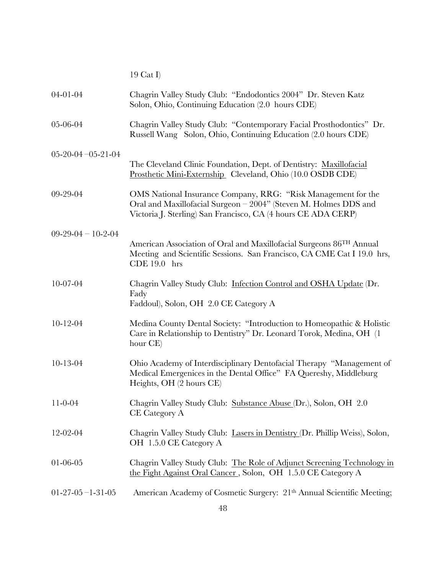19 Cat I)

| $04 - 01 - 04$      | Chagrin Valley Study Club: "Endodontics 2004" Dr. Steven Katz<br>Solon, Ohio, Continuing Education (2.0 hours CDE)                                                                                 |
|---------------------|----------------------------------------------------------------------------------------------------------------------------------------------------------------------------------------------------|
| 05-06-04            | Chagrin Valley Study Club: "Contemporary Facial Prosthodontics" Dr.<br>Russell Wang Solon, Ohio, Continuing Education (2.0 hours CDE)                                                              |
| $05-20-04-05-21-04$ |                                                                                                                                                                                                    |
|                     | The Cleveland Clinic Foundation, Dept. of Dentistry: Maxillofacial<br>Prosthetic Mini-Externship Cleveland, Ohio (10.0 OSDB CDE)                                                                   |
| 09-29-04            | OMS National Insurance Company, RRG: "Risk Management for the<br>Oral and Maxillofacial Surgeon - 2004" (Steven M. Holmes DDS and<br>Victoria J. Sterling) San Francisco, CA (4 hours CE ADA CERP) |
| $09-29-04-10-2-04$  |                                                                                                                                                                                                    |
|                     | American Association of Oral and Maxillofacial Surgeons 86TH Annual<br>Meeting and Scientific Sessions. San Francisco, CA CME Cat I 19.0 hrs,<br>$CDE 19.0$ hrs                                    |
| 10-07-04            | Chagrin Valley Study Club: Infection Control and OSHA Update (Dr.                                                                                                                                  |
|                     | Fady<br>Faddoul), Solon, OH 2.0 CE Category A                                                                                                                                                      |
| $10 - 12 - 04$      | Medina County Dental Society: "Introduction to Homeopathic & Holistic<br>Care in Relationship to Dentistry" Dr. Leonard Torok, Medina, OH (1)<br>hour CE)                                          |
| $10 - 13 - 04$      | Ohio Academy of Interdisciplinary Dentofacial Therapy "Management of<br>Medical Emergenices in the Dental Office" FA Quereshy, Middleburg<br>Heights, OH (2 hours CE)                              |
| $11 - 0 - 04$       | Chagrin Valley Study Club: Substance Abuse (Dr.), Solon, OH 2.0<br><b>CE</b> Category A                                                                                                            |
| 12-02-04            | Chagrin Valley Study Club: Lasers in Dentistry (Dr. Phillip Weiss), Solon,<br>OH 1.5.0 CE Category A                                                                                               |
| $01 - 06 - 05$      | Chagrin Valley Study Club: The Role of Adjunct Screening Technology in<br>the Fight Against Oral Cancer, Solon, OH 1.5.0 CE Category A                                                             |
| $01-27-05-1-31-05$  | American Academy of Cosmetic Surgery: 21th Annual Scientific Meeting;                                                                                                                              |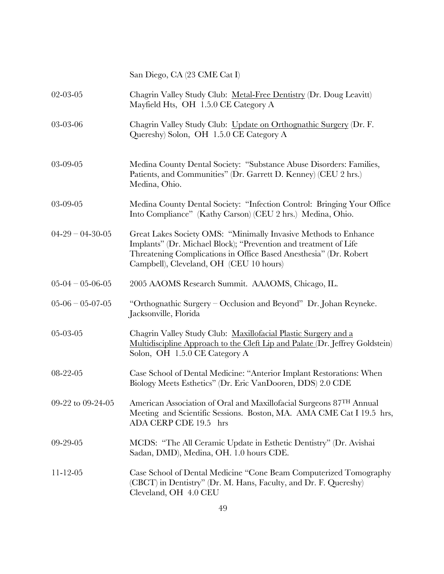San Diego, CA (23 CME Cat I)

| 02-03-05           | Chagrin Valley Study Club: Metal-Free Dentistry (Dr. Doug Leavitt)<br>Mayfield Hts, OH 1.5.0 CE Category A                                                                                                                                          |
|--------------------|-----------------------------------------------------------------------------------------------------------------------------------------------------------------------------------------------------------------------------------------------------|
| 03-03-06           | Chagrin Valley Study Club: Update on Orthognathic Surgery (Dr. F.<br>Quereshy) Solon, OH 1.5.0 CE Category A                                                                                                                                        |
| 03-09-05           | Medina County Dental Society: "Substance Abuse Disorders: Families,<br>Patients, and Communities" (Dr. Garrett D. Kenney) (CEU 2 hrs.)<br>Medina, Ohio.                                                                                             |
| 03-09-05           | Medina County Dental Society: "Infection Control: Bringing Your Office<br>Into Compliance" (Kathy Carson) (CEU 2 hrs.) Medina, Ohio.                                                                                                                |
| $04-29-04-30-05$   | Great Lakes Society OMS: "Minimally Invasive Methods to Enhance<br>Implants" (Dr. Michael Block); "Prevention and treatment of Life<br>Threatening Complications in Office Based Anesthesia" (Dr. Robert<br>Campbell), Cleveland, OH (CEU 10 hours) |
| $05-04 - 05-06-05$ | 2005 AAOMS Research Summit. AAAOMS, Chicago, IL.                                                                                                                                                                                                    |
| $05-06 - 05-07-05$ | "Orthognathic Surgery - Occlusion and Beyond" Dr. Johan Reyneke.<br>Jacksonville, Florida                                                                                                                                                           |
| 05-03-05           | Chagrin Valley Study Club: Maxillofacial Plastic Surgery and a<br>Multidiscipline Approach to the Cleft Lip and Palate (Dr. Jeffrey Goldstein)<br>Solon, OH 1.5.0 CE Category A                                                                     |
| 08-22-05           | Case School of Dental Medicine: "Anterior Implant Restorations: When<br>Biology Meets Esthetics" (Dr. Eric VanDooren, DDS) 2.0 CDE                                                                                                                  |
| 09-22 to 09-24-05  | American Association of Oral and Maxillofacial Surgeons 87TH Annual<br>Meeting and Scientific Sessions. Boston, MA. AMA CME Cat I 19.5 hrs,<br>ADA CERP CDE 19.5 hrs                                                                                |
| 09-29-05           | MCDS: "The All Ceramic Update in Esthetic Dentistry" (Dr. Avishai<br>Sadan, DMD), Medina, OH. 1.0 hours CDE.                                                                                                                                        |
| $11 - 12 - 05$     | Case School of Dental Medicine "Cone Beam Computerized Tomography<br>(CBCT) in Dentistry" (Dr. M. Hans, Faculty, and Dr. F. Quereshy)<br>Cleveland, OH 4.0 CEU                                                                                      |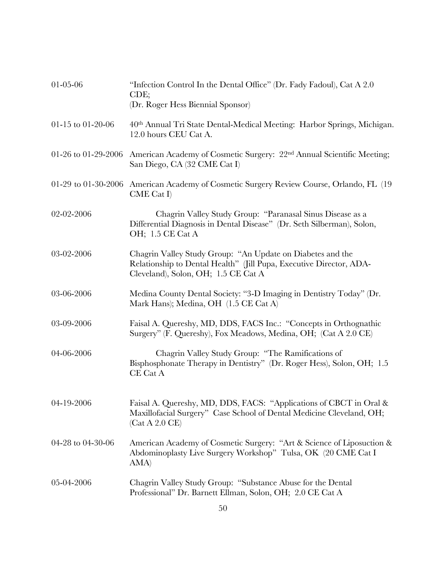| $01 - 05 - 06$      | "Infection Control In the Dental Office" (Dr. Fady Fadoul), Cat A 2.0<br>CDE;<br>(Dr. Roger Hess Biennial Sponsor)                                                       |
|---------------------|--------------------------------------------------------------------------------------------------------------------------------------------------------------------------|
| 01-15 to 01-20-06   | 40th Annual Tri State Dental-Medical Meeting: Harbor Springs, Michigan.<br>12.0 hours CEU Cat A.                                                                         |
| 01-26 to 01-29-2006 | American Academy of Cosmetic Surgery: 22 <sup>nd</sup> Annual Scientific Meeting;<br>San Diego, CA (32 CME Cat I)                                                        |
|                     | 01-29 to 01-30-2006 American Academy of Cosmetic Surgery Review Course, Orlando, FL (19)<br>CME Cat I                                                                    |
| 02-02-2006          | Chagrin Valley Study Group: "Paranasal Sinus Disease as a<br>Differential Diagnosis in Dental Disease" (Dr. Seth Silberman), Solon,<br>OH; 1.5 CE Cat A                  |
| 03-02-2006          | Chagrin Valley Study Group: "An Update on Diabetes and the<br>Relationship to Dental Health" (Jill Pupa, Executive Director, ADA-<br>Cleveland), Solon, OH; 1.5 CE Cat A |
| 03-06-2006          | Medina County Dental Society: "3-D Imaging in Dentistry Today" (Dr.<br>Mark Hans); Medina, OH (1.5 CE Cat A)                                                             |
| 03-09-2006          | Faisal A. Quereshy, MD, DDS, FACS Inc.: "Concepts in Orthognathic<br>Surgery" (F. Quereshy), Fox Meadows, Medina, OH; (Cat A 2.0 CE)                                     |
| 04-06-2006          | Chagrin Valley Study Group: "The Ramifications of<br>Bisphosphonate Therapy in Dentistry" (Dr. Roger Hess), Solon, OH; 1.5<br>CE Cat A                                   |
| 04-19-2006          | Faisal A. Quereshy, MD, DDS, FACS: "Applications of CBCT in Oral &<br>Maxillofacial Surgery" Case School of Dental Medicine Cleveland, OH;<br>(Cat A 2.0 CE)             |
| 04-28 to 04-30-06   | American Academy of Cosmetic Surgery: "Art & Science of Liposuction &<br>Abdominoplasty Live Surgery Workshop" Tulsa, OK (20 CME Cat I<br>AMA)                           |
| 05-04-2006          | Chagrin Valley Study Group: "Substance Abuse for the Dental<br>Professional" Dr. Barnett Ellman, Solon, OH; 2.0 CE Cat A                                                 |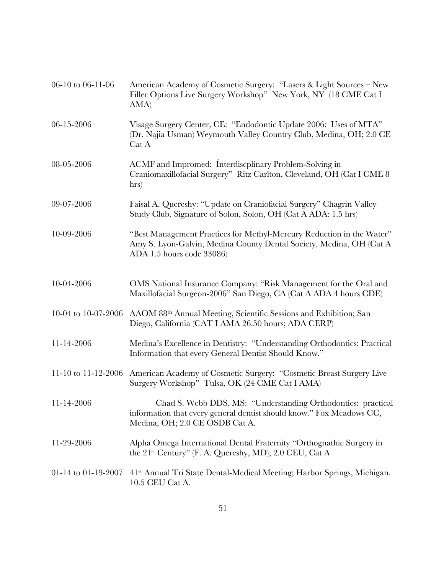| 06-10 to 06-11-06   | American Academy of Cosmetic Surgery: "Lasers & Light Sources – New<br>Filler Options Live Surgery Workshop" New York, NY (18 CME Cat I<br>AMA)                           |
|---------------------|---------------------------------------------------------------------------------------------------------------------------------------------------------------------------|
| 06-15-2006          | Visage Surgery Center, CE: "Endodontic Update 2006: Uses of MTA"<br>(Dr. Najia Usman) Weymouth Valley Country Club, Medina, OH; 2.0 CE<br>Cat A                           |
| 08-05-2006          | ACMF and Impromed: Interdiscplinary Problem-Solving in<br>Craniomaxillofacial Surgery" Ritz Carlton, Cleveland, OH (Cat I CME 8<br>hrs)                                   |
| 09-07-2006          | Faisal A. Quereshy: "Update on Craniofacial Surgery" Chagrin Valley<br>Study Club, Signature of Solon, Solon, OH (Cat A ADA: 1.5 hrs)                                     |
| 10-09-2006          | "Best Management Practices for Methyl-Mercury Reduction in the Water"<br>Amy S. Lyon-Galvin, Medina County Dental Society, Medina, OH (Cat A<br>ADA 1.5 hours code 33086) |
| 10-04-2006          | OMS National Insurance Company: "Risk Management for the Oral and<br>Maxillofacial Surgeon-2006" San Diego, CA (Cat A ADA 4 hours CDE)                                    |
| 10-04 to 10-07-2006 | AAOM 88th Annual Meeting, Scientific Sessions and Exhibition; San<br>Diego, California (CAT I AMA 26.50 hours; ADA CERP)                                                  |
| $11 - 14 - 2006$    | Medina's Excellence in Dentistry: "Understanding Orthodontics: Practical<br>Information that every General Dentist Should Know."                                          |
| 11-10 to 11-12-2006 | American Academy of Cosmetic Surgery: "Cosmetic Breast Surgery Live<br>Surgery Workshop" Tulsa, OK (24 CME Cat I AMA)                                                     |
| 11-14-2006          | Chad S. Webb DDS, MS: "Understanding Orthodontics: practical<br>information that every general dentist should know." Fox Meadows CC,<br>Medina, OH; 2.0 CE OSDB Cat A.    |
| 11-29-2006          | Alpha Omega International Dental Fraternity "Orthognathic Surgery in<br>the 21st Century" (F. A. Quereshy, MD); 2.0 CEU, Cat A                                            |
| 01-14 to 01-19-2007 | 41 <sup>st</sup> Annual Tri State Dental-Medical Meeting; Harbor Springs, Michigan.<br>10.5 CEU Cat A.                                                                    |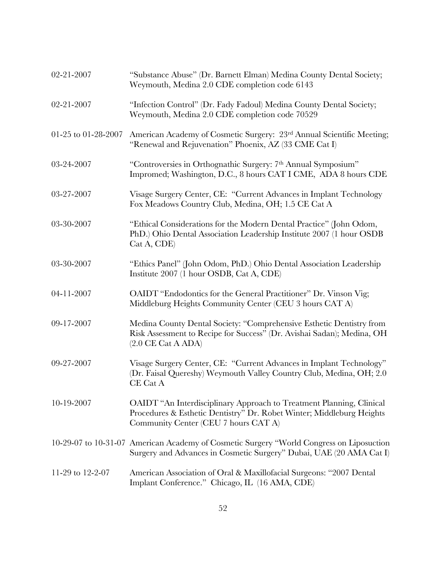| 02-21-2007          | "Substance Abuse" (Dr. Barnett Elman) Medina County Dental Society;<br>Weymouth, Medina 2.0 CDE completion code 6143                                                                                    |
|---------------------|---------------------------------------------------------------------------------------------------------------------------------------------------------------------------------------------------------|
| 02-21-2007          | "Infection Control" (Dr. Fady Fadoul) Medina County Dental Society;<br>Weymouth, Medina 2.0 CDE completion code 70529                                                                                   |
| 01-25 to 01-28-2007 | American Academy of Cosmetic Surgery: 23rd Annual Scientific Meeting;<br>"Renewal and Rejuvenation" Phoenix, AZ (33 CME Cat I)                                                                          |
| 03-24-2007          | "Controversies in Orthognathic Surgery: 7th Annual Symposium"<br>Impromed; Washington, D.C., 8 hours CAT I CME, ADA 8 hours CDE                                                                         |
| 03-27-2007          | Visage Surgery Center, CE: "Current Advances in Implant Technology<br>Fox Meadows Country Club, Medina, OH; 1.5 CE Cat A                                                                                |
| 03-30-2007          | "Ethical Considerations for the Modern Dental Practice" (John Odom,<br>PhD.) Ohio Dental Association Leadership Institute 2007 (1 hour OSDB<br>Cat A, CDE)                                              |
| 03-30-2007          | "Ethics Panel" (John Odom, PhD.) Ohio Dental Association Leadership<br>Institute 2007 (1 hour OSDB, Cat A, CDE)                                                                                         |
| 04-11-2007          | OAIDT "Endodontics for the General Practitioner" Dr. Vinson Vig;<br>Middleburg Heights Community Center (CEU 3 hours CAT A)                                                                             |
| 09-17-2007          | Medina County Dental Society: "Comprehensive Esthetic Dentistry from<br>Risk Assessment to Recipe for Success" (Dr. Avishai Sadan); Medina, OH<br>$(2.0 \t\t\t\t CE \t\t\t Cat \t\t\t\t A \t\t\t\tADA)$ |
| 09-27-2007          | Visage Surgery Center, CE: "Current Advances in Implant Technology"<br>(Dr. Faisal Quereshy) Weymouth Valley Country Club, Medina, OH; 2.0<br>CE Cat A                                                  |
| 10-19-2007          | OAIDT "An Interdisciplinary Approach to Treatment Planning, Clinical<br>Procedures & Esthetic Dentistry" Dr. Robet Winter; Middleburg Heights<br>Community Center (CEU 7 hours CAT A)                   |
|                     | 10-29-07 to 10-31-07 American Academy of Cosmetic Surgery "World Congress on Liposuction<br>Surgery and Advances in Cosmetic Surgery" Dubai, UAE (20 AMA Cat I)                                         |
| 11-29 to 12-2-07    | American Association of Oral & Maxillofacial Surgeons: "2007 Dental<br>Implant Conference." Chicago, IL (16 AMA, CDE)                                                                                   |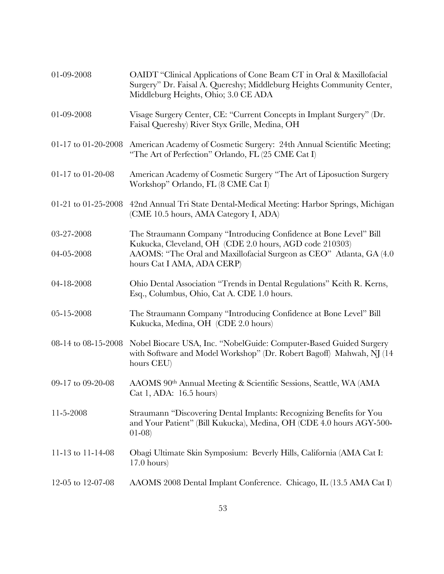| 01-09-2008          | OAIDT "Clinical Applications of Cone Beam CT in Oral & Maxillofacial<br>Surgery" Dr. Faisal A. Quereshy; Middleburg Heights Community Center,<br>Middleburg Heights, Ohio; 3.0 CE ADA |
|---------------------|---------------------------------------------------------------------------------------------------------------------------------------------------------------------------------------|
| 01-09-2008          | Visage Surgery Center, CE: "Current Concepts in Implant Surgery" (Dr.<br>Faisal Quereshy) River Styx Grille, Medina, OH                                                               |
| 01-17 to 01-20-2008 | American Academy of Cosmetic Surgery: 24th Annual Scientific Meeting;<br>"The Art of Perfection" Orlando, FL (25 CME Cat I)                                                           |
| 01-17 to 01-20-08   | American Academy of Cosmetic Surgery "The Art of Liposuction Surgery<br>Workshop" Orlando, FL (8 CME Cat I)                                                                           |
| 01-21 to 01-25-2008 | 42nd Annual Tri State Dental-Medical Meeting: Harbor Springs, Michigan<br>(CME 10.5 hours, AMA Category I, ADA)                                                                       |
| 03-27-2008          | The Straumann Company "Introducing Confidence at Bone Level" Bill                                                                                                                     |
| 04-05-2008          | Kukucka, Cleveland, OH (CDE 2.0 hours, AGD code 210303)<br>AAOMS: "The Oral and Maxillofacial Surgeon as CEO" Atlanta, GA (4.0)<br>hours Cat I AMA, ADA CERP)                         |
| 04-18-2008          | Ohio Dental Association "Trends in Dental Regulations" Keith R. Kerns,<br>Esq., Columbus, Ohio, Cat A. CDE 1.0 hours.                                                                 |
| 05-15-2008          | The Straumann Company "Introducing Confidence at Bone Level" Bill<br>Kukucka, Medina, OH (CDE 2.0 hours)                                                                              |
| 08-14 to 08-15-2008 | Nobel Biocare USA, Inc. "NobelGuide: Computer-Based Guided Surgery<br>with Software and Model Workshop" (Dr. Robert Bagoff) Mahwah, NJ (14<br>hours CEU)                              |
| 09-17 to 09-20-08   | AAOMS 90th Annual Meeting & Scientific Sessions, Seattle, WA (AMA<br>Cat 1, ADA: $16.5$ hours)                                                                                        |
| $11-5-2008$         | Straumann "Discovering Dental Implants: Recognizing Benefits for You<br>and Your Patient" (Bill Kukucka), Medina, OH (CDE 4.0 hours AGY-500-<br>$(01-08)$                             |
| 11-13 to 11-14-08   | Obagi Ultimate Skin Symposium: Beverly Hills, California (AMA Cat I:<br>$17.0$ hours)                                                                                                 |
| 12-05 to 12-07-08   | AAOMS 2008 Dental Implant Conference. Chicago, IL (13.5 AMA Cat I)                                                                                                                    |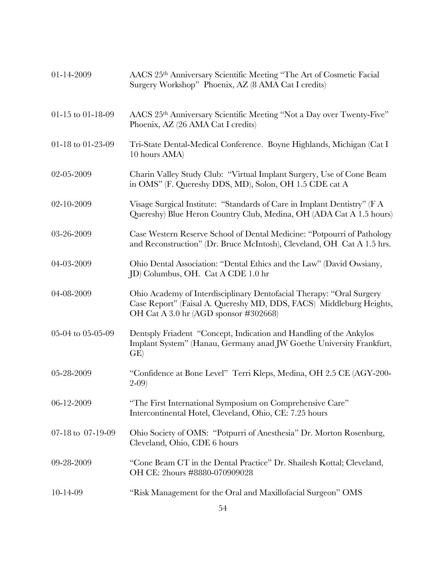| 01-14-2009        | AACS 25th Anniversary Scientific Meeting "The Art of Cosmetic Facial<br>Surgery Workshop" Phoenix, AZ (8 AMA Cat I credits)                                                          |
|-------------------|--------------------------------------------------------------------------------------------------------------------------------------------------------------------------------------|
| 01-15 to 01-18-09 | AACS 25th Anniversary Scientific Meeting "Not a Day over Twenty-Five"<br>Phoenix, AZ (26 AMA Cat I credits)                                                                          |
| 01-18 to 01-23-09 | Tri-State Dental-Medical Conference. Boyne Highlands, Michigan (Cat I<br>10 hours AMA)                                                                                               |
| 02-05-2009        | Charin Valley Study Club: "Virtual Implant Surgery, Use of Cone Beam<br>in OMS" (F. Quereshy DDS, MD), Solon, OH 1.5 CDE cat A                                                       |
| 02-10-2009        | Visage Surgical Institute: "Standards of Care in Implant Dentistry" (F A<br>Quereshy) Blue Heron Country Club, Medina, OH (ADA Cat A 1.5 hours)                                      |
| 03-26-2009        | Case Western Reserve School of Dental Medicine: "Potpourri of Pathology<br>and Reconstruction" (Dr. Bruce McIntosh), Cleveland, OH Cat A 1.5 hrs.                                    |
| 04-03-2009        | Ohio Dental Association: "Dental Ethics and the Law" (David Owsiany,<br>JD) Columbus, OH. Cat A CDE 1.0 hr                                                                           |
| 04-08-2009        | Ohio Academy of Interdisciplinary Dentofacial Therapy: "Oral Surgery<br>Case Report" (Faisal A. Quereshy MD, DDS, FACS) Middleburg Heights,<br>OH Cat A 3.0 hr (AGD sponsor #302668) |
| 05-04 to 05-05-09 | Dentsply Friadent "Concept, Indication and Handling of the Ankylos<br>Implant System" (Hanau, Germany anad JW Goethe University Frankfurt,<br>GE)                                    |
| 05-28-2009        | "Confidence at Bone Level" Terri Kleps, Medina, OH 2.5 CE (AGY-200-<br>$2 - 09$                                                                                                      |
| 06-12-2009        | "The First International Symposium on Comprehensive Care"<br>Intercontinental Hotel, Cleveland, Ohio, CE: 7.25 hours                                                                 |
| 07-18 to 07-19-09 | Ohio Society of OMS: "Potpurri of Anesthesia" Dr. Morton Rosenburg,<br>Cleveland, Ohio, CDE 6 hours                                                                                  |
| 09-28-2009        | "Cone Beam CT in the Dental Practice" Dr. Shailesh Kottal; Cleveland,<br>OH CE: 2hours #8880-070909028                                                                               |
| $10-14-09$        | "Risk Management for the Oral and Maxillofacial Surgeon" OMS                                                                                                                         |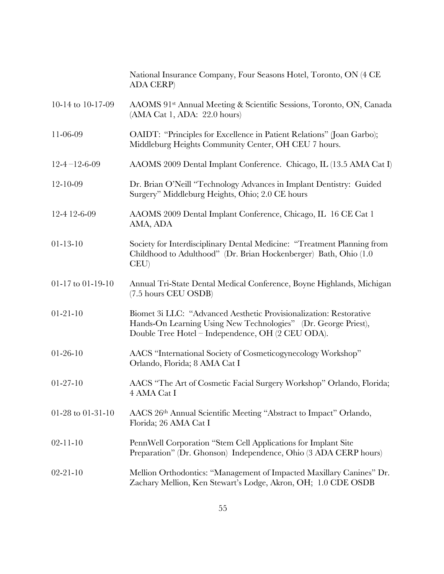|                        | National Insurance Company, Four Seasons Hotel, Toronto, ON (4 CE<br><b>ADA CERP</b> )                                                                                                    |
|------------------------|-------------------------------------------------------------------------------------------------------------------------------------------------------------------------------------------|
| 10-14 to 10-17-09      | AAOMS 91st Annual Meeting & Scientific Sessions, Toronto, ON, Canada<br>(AMA Cat 1, ADA: 22.0 hours)                                                                                      |
| 11-06-09               | OAIDT: "Principles for Excellence in Patient Relations" (Joan Garbo);<br>Middleburg Heights Community Center, OH CEU 7 hours.                                                             |
| $12 - 4 - 12 - 6 - 09$ | AAOMS 2009 Dental Implant Conference. Chicago, IL (13.5 AMA Cat I)                                                                                                                        |
| 12-10-09               | Dr. Brian O'Neill "Technology Advances in Implant Dentistry: Guided<br>Surgery" Middleburg Heights, Ohio; 2.0 CE hours                                                                    |
| 12-4 12-6-09           | AAOMS 2009 Dental Implant Conference, Chicago, IL 16 CE Cat 1<br>AMA, ADA                                                                                                                 |
| $01 - 13 - 10$         | Society for Interdisciplinary Dental Medicine: "Treatment Planning from<br>Childhood to Adulthood" (Dr. Brian Hockenberger) Bath, Ohio (1.0<br>CEU                                        |
| 01-17 to 01-19-10      | Annual Tri-State Dental Medical Conference, Boyne Highlands, Michigan<br>(7.5 hours CEU OSDB)                                                                                             |
| $01 - 21 - 10$         | Biomet 3i LLC: "Advanced Aesthetic Provisionalization: Restorative<br>Hands-On Learning Using New Technologies" (Dr. George Priest),<br>Double Tree Hotel – Independence, OH (2 CEU ODA). |
| $01 - 26 - 10$         | AACS "International Society of Cosmeticogynecology Workshop"<br>Orlando, Florida; 8 AMA Cat I                                                                                             |
| $01 - 27 - 10$         | AACS "The Art of Cosmetic Facial Surgery Workshop" Orlando, Florida;<br>4 AMA Cat I                                                                                                       |
| 01-28 to 01-31-10      | AACS 26th Annual Scientific Meeting "Abstract to Impact" Orlando,<br>Florida; 26 AMA Cat I                                                                                                |
| $02 - 11 - 10$         | PennWell Corporation "Stem Cell Applications for Implant Site<br>Preparation" (Dr. Ghonson) Independence, Ohio (3 ADA CERP hours)                                                         |
| $02 - 21 - 10$         | Mellion Orthodontics: "Management of Impacted Maxillary Canines" Dr.<br>Zachary Mellion, Ken Stewart's Lodge, Akron, OH; 1.0 CDE OSDB                                                     |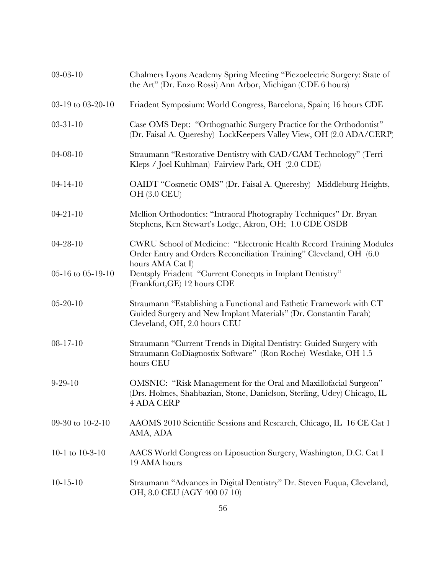| $03-03-10$        | Chalmers Lyons Academy Spring Meeting "Piezoelectric Surgery: State of<br>the Art" (Dr. Enzo Rossi) Ann Arbor, Michigan (CDE 6 hours)                                   |
|-------------------|-------------------------------------------------------------------------------------------------------------------------------------------------------------------------|
| 03-19 to 03-20-10 | Friadent Symposium: World Congress, Barcelona, Spain; 16 hours CDE                                                                                                      |
| $03 - 31 - 10$    | Case OMS Dept: "Orthognathic Surgery Practice for the Orthodontist"<br>(Dr. Faisal A. Quereshy) LockKeepers Valley View, OH (2.0 ADA/CERP)                              |
| $04 - 08 - 10$    | Straumann "Restorative Dentistry with CAD/CAM Technology" (Terri<br>Kleps / Joel Kuhlman) Fairview Park, OH (2.0 CDE)                                                   |
| $04 - 14 - 10$    | OAIDT "Cosmetic OMS" (Dr. Faisal A. Quereshy) Middleburg Heights,<br><b>OH</b> (3.0 CEU)                                                                                |
| $04 - 21 - 10$    | Mellion Orthodontics: "Intraoral Photography Techniques" Dr. Bryan<br>Stephens, Ken Stewart's Lodge, Akron, OH; 1.0 CDE OSDB                                            |
| $04 - 28 - 10$    | CWRU School of Medicine: "Electronic Health Record Training Modules<br>Order Entry and Orders Reconciliation Training" Cleveland, OH (6.0)                              |
| 05-16 to 05-19-10 | hours AMA Cat I)<br>Dentsply Friadent "Current Concepts in Implant Dentistry"<br>(Frankfurt, GE) 12 hours CDE                                                           |
| $05 - 20 - 10$    | Straumann "Establishing a Functional and Esthetic Framework with CT<br>Guided Surgery and New Implant Materials" (Dr. Constantin Farah)<br>Cleveland, OH, 2.0 hours CEU |
| $08 - 17 - 10$    | Straumann "Current Trends in Digital Dentistry: Guided Surgery with<br>Straumann CoDiagnostix Software" (Ron Roche) Westlake, OH 1.5<br>hours CEU                       |
| $9 - 29 - 10$     | OMSNIC: "Risk Management for the Oral and Maxillofacial Surgeon"<br>(Drs. Holmes, Shahbazian, Stone, Danielson, Sterling, Udey) Chicago, IL<br><b>4 ADA CERP</b>        |
| 09-30 to 10-2-10  | AAOMS 2010 Scientific Sessions and Research, Chicago, IL 16 CE Cat 1<br>AMA, ADA                                                                                        |
| 10-1 to 10-3-10   | AACS World Congress on Liposuction Surgery, Washington, D.C. Cat I<br>19 AMA hours                                                                                      |
| $10-15-10$        | Straumann "Advances in Digital Dentistry" Dr. Steven Fuqua, Cleveland,<br>OH, 8.0 CEU (AGY 400 07 10)                                                                   |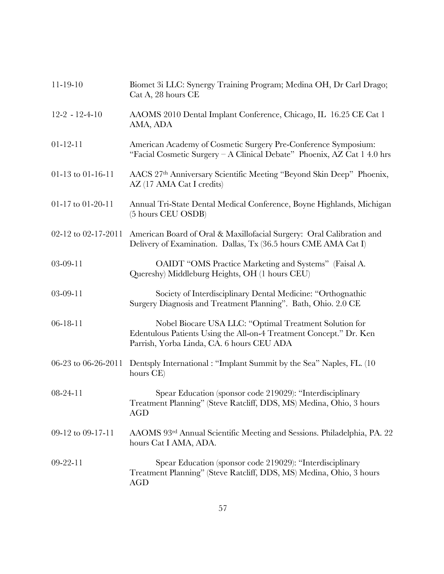| $11 - 19 - 10$      | Biomet 3i LLC: Synergy Training Program; Medina OH, Dr Carl Drago;<br>Cat A, 28 hours CE                                                                                  |
|---------------------|---------------------------------------------------------------------------------------------------------------------------------------------------------------------------|
| $12-2 - 12-4-10$    | AAOMS 2010 Dental Implant Conference, Chicago, IL 16.25 CE Cat 1<br>AMA, ADA                                                                                              |
| $01 - 12 - 11$      | American Academy of Cosmetic Surgery Pre-Conference Symposium:<br>"Facial Cosmetic Surgery - A Clinical Debate" Phoenix, AZ Cat 1 4.0 hrs                                 |
| 01-13 to 01-16-11   | AACS 27th Anniversary Scientific Meeting "Beyond Skin Deep" Phoenix,<br>AZ (17 AMA Cat I credits)                                                                         |
| 01-17 to 01-20-11   | Annual Tri-State Dental Medical Conference, Boyne Highlands, Michigan<br>(5 hours CEU OSDB)                                                                               |
| 02-12 to 02-17-2011 | American Board of Oral & Maxillofacial Surgery: Oral Calibration and<br>Delivery of Examination. Dallas, Tx (36.5 hours CME AMA Cat I)                                    |
| $03-09-11$          | OAIDT "OMS Practice Marketing and Systems" (Faisal A.<br>Quereshy) Middleburg Heights, OH (1 hours CEU)                                                                   |
| $03-09-11$          | Society of Interdisciplinary Dental Medicine: "Orthognathic<br>Surgery Diagnosis and Treatment Planning". Bath, Ohio. 2.0 CE                                              |
| $06 - 18 - 11$      | Nobel Biocare USA LLC: "Optimal Treatment Solution for<br>Edentulous Patients Using the All-on-4 Treatment Concept." Dr. Ken<br>Parrish, Yorba Linda, CA. 6 hours CEU ADA |
| 06-23 to 06-26-2011 | Dentsply International: "Implant Summit by the Sea" Naples, FL. (10)<br>hours CE)                                                                                         |
| $08 - 24 - 11$      | Spear Education (sponsor code 219029): "Interdisciplinary<br>Treatment Planning" (Steve Ratcliff, DDS, MS) Medina, Ohio, 3 hours<br><b>AGD</b>                            |
| 09-12 to 09-17-11   | AAOMS 93rd Annual Scientific Meeting and Sessions. Philadelphia, PA. 22<br>hours Cat I AMA, ADA.                                                                          |
| $09-22-11$          | Spear Education (sponsor code 219029): "Interdisciplinary<br>Treatment Planning" (Steve Ratcliff, DDS, MS) Medina, Ohio, 3 hours<br>AGD                                   |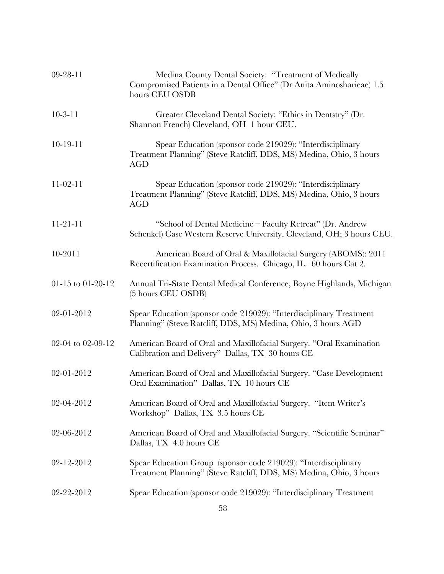| $09-28-11$        | Medina County Dental Society: "Treatment of Medically<br>Compromised Patients in a Dental Office" (Dr Anita Aminosharieae) 1.5<br>hours CEU OSDB |
|-------------------|--------------------------------------------------------------------------------------------------------------------------------------------------|
| $10-3-11$         | Greater Cleveland Dental Society: "Ethics in Dentstry" (Dr.<br>Shannon French) Cleveland, OH 1 hour CEU.                                         |
| $10-19-11$        | Spear Education (sponsor code 219029): "Interdisciplinary<br>Treatment Planning" (Steve Ratcliff, DDS, MS) Medina, Ohio, 3 hours<br><b>AGD</b>   |
| $11-02-11$        | Spear Education (sponsor code 219029): "Interdisciplinary<br>Treatment Planning" (Steve Ratcliff, DDS, MS) Medina, Ohio, 3 hours<br><b>AGD</b>   |
| $11-21-11$        | "School of Dental Medicine - Faculty Retreat" (Dr. Andrew<br>Schenkel) Case Western Reserve University, Cleveland, OH; 3 hours CEU.              |
| $10 - 2011$       | American Board of Oral & Maxillofacial Surgery (ABOMS): 2011<br>Recertification Examination Process. Chicago, IL. 60 hours Cat 2.                |
| 01-15 to 01-20-12 | Annual Tri-State Dental Medical Conference, Boyne Highlands, Michigan<br>(5 hours CEU OSDB)                                                      |
| 02-01-2012        | Spear Education (sponsor code 219029): "Interdisciplinary Treatment<br>Planning" (Steve Ratcliff, DDS, MS) Medina, Ohio, 3 hours AGD             |
| 02-04 to 02-09-12 | American Board of Oral and Maxillofacial Surgery. "Oral Examination<br>Calibration and Delivery" Dallas, TX 30 hours CE                          |
| 02-01-2012        | American Board of Oral and Maxillofacial Surgery. "Case Development<br>Oral Examination" Dallas, TX 10 hours CE                                  |
| 02-04-2012        | American Board of Oral and Maxillofacial Surgery. "Item Writer's<br>Workshop" Dallas, TX 3.5 hours CE                                            |
| 02-06-2012        | American Board of Oral and Maxillofacial Surgery. "Scientific Seminar"<br>Dallas, TX 4.0 hours CE                                                |
| 02-12-2012        | Spear Education Group (sponsor code 219029): "Interdisciplinary<br>Treatment Planning" (Steve Ratcliff, DDS, MS) Medina, Ohio, 3 hours           |
| 02-22-2012        | Spear Education (sponsor code 219029): "Interdisciplinary Treatment                                                                              |
|                   |                                                                                                                                                  |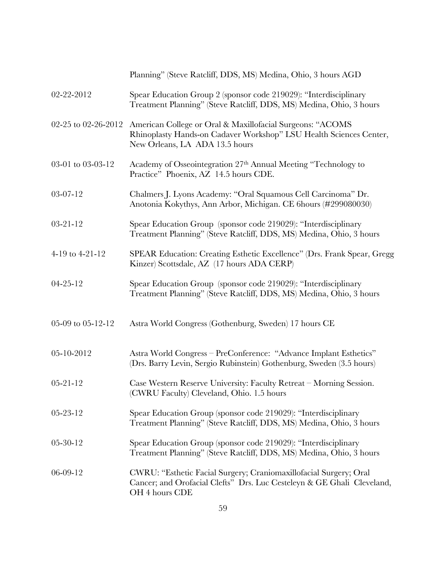|                     | Planning" (Steve Ratcliff, DDS, MS) Medina, Ohio, 3 hours AGD                                                                                                     |
|---------------------|-------------------------------------------------------------------------------------------------------------------------------------------------------------------|
| 02-22-2012          | Spear Education Group 2 (sponsor code 219029): "Interdisciplinary<br>Treatment Planning" (Steve Ratcliff, DDS, MS) Medina, Ohio, 3 hours                          |
| 02-25 to 02-26-2012 | American College or Oral & Maxillofacial Surgeons: "ACOMS<br>Rhinoplasty Hands-on Cadaver Workshop" LSU Health Sciences Center,<br>New Orleans, LA ADA 13.5 hours |
| 03-01 to 03-03-12   | Academy of Osseointegration 27th Annual Meeting "Technology to<br>Practice" Phoenix, AZ 14.5 hours CDE.                                                           |
| $03-07-12$          | Chalmers J. Lyons Academy: "Oral Squamous Cell Carcinoma" Dr.<br>Anotonia Kokythys, Ann Arbor, Michigan. CE 6hours (#299080030)                                   |
| $03 - 21 - 12$      | Spear Education Group (sponsor code 219029): "Interdisciplinary<br>Treatment Planning" (Steve Ratcliff, DDS, MS) Medina, Ohio, 3 hours                            |
| 4-19 to 4-21-12     | SPEAR Education: Creating Esthetic Excellence" (Drs. Frank Spear, Gregg<br>Kinzer) Scottsdale, AZ (17 hours ADA CERP)                                             |
| $04 - 25 - 12$      | Spear Education Group (sponsor code 219029): "Interdisciplinary<br>Treatment Planning" (Steve Ratcliff, DDS, MS) Medina, Ohio, 3 hours                            |
| 05-09 to 05-12-12   | Astra World Congress (Gothenburg, Sweden) 17 hours CE                                                                                                             |
| 05-10-2012          | Astra World Congress - PreConference: "Advance Implant Esthetics"<br>(Drs. Barry Levin, Sergio Rubinstein) Gothenburg, Sweden (3.5 hours)                         |
| $05 - 21 - 12$      | Case Western Reserve University: Faculty Retreat - Morning Session.<br>(CWRU Faculty) Cleveland, Ohio. 1.5 hours                                                  |
| $05 - 23 - 12$      | Spear Education Group (sponsor code 219029): "Interdisciplinary<br>Treatment Planning" (Steve Ratcliff, DDS, MS) Medina, Ohio, 3 hours                            |
| $05 - 30 - 12$      | Spear Education Group (sponsor code 219029): "Interdisciplinary<br>Treatment Planning" (Steve Ratcliff, DDS, MS) Medina, Ohio, 3 hours                            |
| $06-09-12$          | CWRU: "Esthetic Facial Surgery; Craniomaxillofacial Surgery; Oral<br>Cancer; and Orofacial Clefts" Drs. Luc Cesteleyn & GE Ghali Cleveland,<br>OH 4 hours CDE     |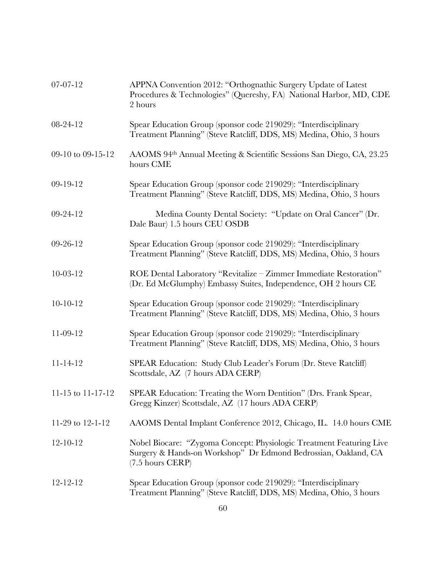| 07-07-12          | APPNA Convention 2012: "Orthognathic Surgery Update of Latest<br>Procedures & Technologies" (Quereshy, FA) National Harbor, MD, CDE<br>2 hours             |
|-------------------|------------------------------------------------------------------------------------------------------------------------------------------------------------|
| 08-24-12          | Spear Education Group (sponsor code 219029): "Interdisciplinary<br>Treatment Planning" (Steve Ratcliff, DDS, MS) Medina, Ohio, 3 hours                     |
| 09-10 to 09-15-12 | AAOMS 94th Annual Meeting & Scientific Sessions San Diego, CA, 23.25<br>hours CME                                                                          |
| 09-19-12          | Spear Education Group (sponsor code 219029): "Interdisciplinary<br>Treatment Planning" (Steve Ratcliff, DDS, MS) Medina, Ohio, 3 hours                     |
| 09-24-12          | Medina County Dental Society: "Update on Oral Cancer" (Dr.<br>Dale Baur) 1.5 hours CEU OSDB                                                                |
| $09-26-12$        | Spear Education Group (sponsor code 219029): "Interdisciplinary<br>Treatment Planning" (Steve Ratcliff, DDS, MS) Medina, Ohio, 3 hours                     |
| $10-03-12$        | ROE Dental Laboratory "Revitalize - Zimmer Immediate Restoration"<br>(Dr. Ed McGlumphy) Embassy Suites, Independence, OH 2 hours CE                        |
| $10-10-12$        | Spear Education Group (sponsor code 219029): "Interdisciplinary<br>Treatment Planning" (Steve Ratcliff, DDS, MS) Medina, Ohio, 3 hours                     |
| 11-09-12          | Spear Education Group (sponsor code 219029): "Interdisciplinary<br>Treatment Planning" (Steve Ratcliff, DDS, MS) Medina, Ohio, 3 hours                     |
| $11 - 14 - 12$    | SPEAR Education: Study Club Leader's Forum (Dr. Steve Ratcliff)<br>Scottsdale, AZ (7 hours ADA CERP)                                                       |
| 11-15 to 11-17-12 | SPEAR Education: Treating the Worn Dentition" (Drs. Frank Spear,<br>Gregg Kinzer) Scottsdale, AZ (17 hours ADA CERP)                                       |
| 11-29 to 12-1-12  | AAOMS Dental Implant Conference 2012, Chicago, IL. 14.0 hours CME                                                                                          |
| $12 - 10 - 12$    | Nobel Biocare: "Zygoma Concept: Physiologic Treatment Featuring Live<br>Surgery & Hands-on Workshop" Dr Edmond Bedrossian, Oakland, CA<br>(7.5 hours CERP) |
| $12 - 12 - 12$    | Spear Education Group (sponsor code 219029): "Interdisciplinary<br>Treatment Planning" (Steve Ratcliff, DDS, MS) Medina, Ohio, 3 hours                     |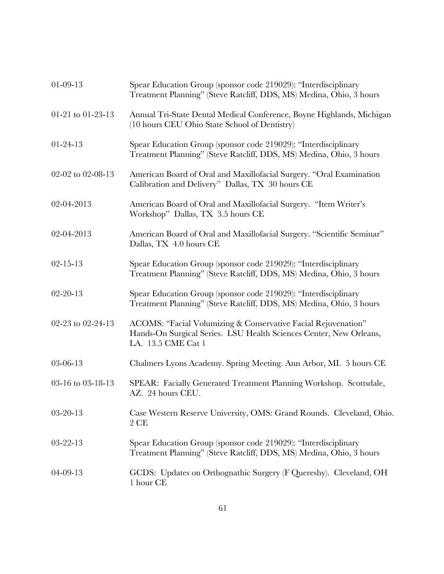| $01-09-13$        | Spear Education Group (sponsor code 219029): "Interdisciplinary<br>Treatment Planning" (Steve Ratcliff, DDS, MS) Medina, Ohio, 3 hours                    |
|-------------------|-----------------------------------------------------------------------------------------------------------------------------------------------------------|
| 01-21 to 01-23-13 | Annual Tri-State Dental Medical Conference, Boyne Highlands, Michigan<br>(10 hours CEU Ohio State School of Dentistry)                                    |
| $01-24-13$        | Spear Education Group (sponsor code 219029): "Interdisciplinary<br>Treatment Planning" (Steve Ratcliff, DDS, MS) Medina, Ohio, 3 hours                    |
| 02-02 to 02-08-13 | American Board of Oral and Maxillofacial Surgery. "Oral Examination<br>Calibration and Delivery" Dallas, TX 30 hours CE                                   |
| 02-04-2013        | American Board of Oral and Maxillofacial Surgery. "Item Writer's<br>Workshop" Dallas, TX 3.5 hours CE                                                     |
| 02-04-2013        | American Board of Oral and Maxillofacial Surgery. "Scientific Seminar"<br>Dallas, TX 4.0 hours CE                                                         |
| $02 - 15 - 13$    | Spear Education Group (sponsor code 219029): "Interdisciplinary<br>Treatment Planning" (Steve Ratcliff, DDS, MS) Medina, Ohio, 3 hours                    |
| $02 - 20 - 13$    | Spear Education Group (sponsor code 219029): "Interdisciplinary<br>Treatment Planning" (Steve Ratcliff, DDS, MS) Medina, Ohio, 3 hours                    |
| 02-23 to 02-24-13 | ACOMS: "Facial Volumizing & Conservative Facial Rejuvenation"<br>Hands-On Surgical Series. LSU Health Sciences Center, New Orleans,<br>LA. 13.5 CME Cat 1 |
| 03-06-13          | Chalmers Lyons Academy. Spring Meeting. Ann Arbor, MI. 5 hours CE                                                                                         |
| 03-16 to 03-18-13 | SPEAR: Facially Generated Treatment Planning Workshop. Scottsdale,<br>AZ. 24 hours CEU.                                                                   |
| $03 - 20 - 13$    | Case Western Reserve University, OMS: Grand Rounds. Cleveland, Ohio.<br>2 CE                                                                              |
| $03 - 22 - 13$    | Spear Education Group (sponsor code 219029): "Interdisciplinary<br>Treatment Planning" (Steve Ratcliff, DDS, MS) Medina, Ohio, 3 hours                    |
| $04 - 09 - 13$    | GCDS: Updates on Orthognathic Surgery (F Quereshy). Cleveland, OH<br>1 hour CE                                                                            |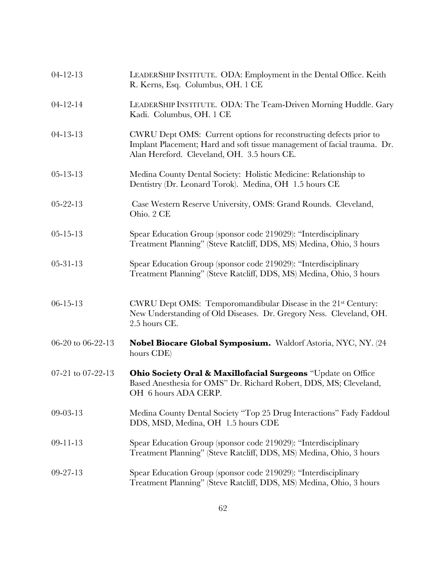| $04 - 12 - 13$    | LEADERSHIP INSTITUTE. ODA: Employment in the Dental Office. Keith<br>R. Kerns, Esq. Columbus, OH. 1 CE                                                                                        |
|-------------------|-----------------------------------------------------------------------------------------------------------------------------------------------------------------------------------------------|
| $04 - 12 - 14$    | LEADERSHIP INSTITUTE. ODA: The Team-Driven Morning Huddle. Gary<br>Kadi. Columbus, OH. 1 CE                                                                                                   |
| $04 - 13 - 13$    | CWRU Dept OMS: Current options for reconstructing defects prior to<br>Implant Placement; Hard and soft tissue management of facial trauma. Dr.<br>Alan Hereford. Cleveland, OH. 3.5 hours CE. |
| $05 - 13 - 13$    | Medina County Dental Society: Holistic Medicine: Relationship to<br>Dentistry (Dr. Leonard Torok). Medina, OH 1.5 hours CE                                                                    |
| $05 - 22 - 13$    | Case Western Reserve University, OMS: Grand Rounds. Cleveland,<br>Ohio. 2 CE                                                                                                                  |
| $05 - 15 - 13$    | Spear Education Group (sponsor code 219029): "Interdisciplinary<br>Treatment Planning" (Steve Ratcliff, DDS, MS) Medina, Ohio, 3 hours                                                        |
| $05 - 31 - 13$    | Spear Education Group (sponsor code 219029): "Interdisciplinary<br>Treatment Planning" (Steve Ratcliff, DDS, MS) Medina, Ohio, 3 hours                                                        |
| $06 - 15 - 13$    | CWRU Dept OMS: Temporomandibular Disease in the 21 <sup>st</sup> Century:<br>New Understanding of Old Diseases. Dr. Gregory Ness. Cleveland, OH.<br>2.5 hours CE.                             |
| 06-20 to 06-22-13 | Nobel Biocare Global Symposium. Waldorf Astoria, NYC, NY. (24<br>hours CDE)                                                                                                                   |
| 07-21 to 07-22-13 | Ohio Society Oral & Maxillofacial Surgeons "Update on Office<br>Based Anesthesia for OMS" Dr. Richard Robert, DDS, MS; Cleveland,<br>OH 6 hours ADA CERP.                                     |
| 09-03-13          | Medina County Dental Society "Top 25 Drug Interactions" Fady Faddoul<br>DDS, MSD, Medina, OH 1.5 hours CDE                                                                                    |
| $09 - 11 - 13$    | Spear Education Group (sponsor code 219029): "Interdisciplinary<br>Treatment Planning" (Steve Ratcliff, DDS, MS) Medina, Ohio, 3 hours                                                        |
| $09 - 27 - 13$    | Spear Education Group (sponsor code 219029): "Interdisciplinary<br>Treatment Planning" (Steve Ratcliff, DDS, MS) Medina, Ohio, 3 hours                                                        |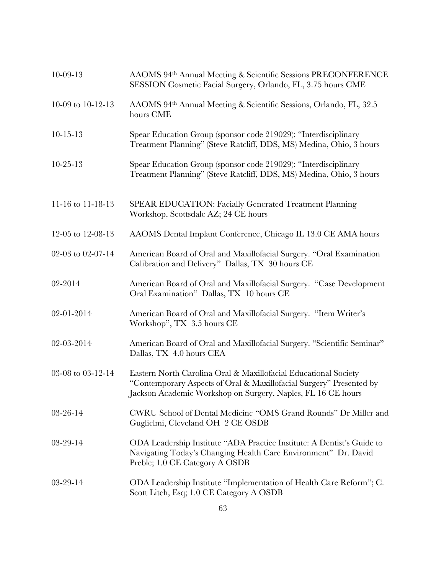| $10 - 09 - 13$    | AAOMS 94th Annual Meeting & Scientific Sessions PRECONFERENCE<br>SESSION Cosmetic Facial Surgery, Orlando, FL, 3.75 hours CME                                                                          |
|-------------------|--------------------------------------------------------------------------------------------------------------------------------------------------------------------------------------------------------|
| 10-09 to 10-12-13 | AAOMS 94th Annual Meeting & Scientific Sessions, Orlando, FL, 32.5<br>hours CME                                                                                                                        |
| $10 - 15 - 13$    | Spear Education Group (sponsor code 219029): "Interdisciplinary<br>Treatment Planning" (Steve Ratcliff, DDS, MS) Medina, Ohio, 3 hours                                                                 |
| $10 - 25 - 13$    | Spear Education Group (sponsor code 219029): "Interdisciplinary<br>Treatment Planning" (Steve Ratcliff, DDS, MS) Medina, Ohio, 3 hours                                                                 |
| 11-16 to 11-18-13 | <b>SPEAR EDUCATION: Facially Generated Treatment Planning</b><br>Workshop, Scottsdale AZ; 24 CE hours                                                                                                  |
| 12-05 to 12-08-13 | AAOMS Dental Implant Conference, Chicago IL 13.0 CE AMA hours                                                                                                                                          |
| 02-03 to 02-07-14 | American Board of Oral and Maxillofacial Surgery. "Oral Examination<br>Calibration and Delivery" Dallas, TX 30 hours CE                                                                                |
| 02-2014           | American Board of Oral and Maxillofacial Surgery. "Case Development<br>Oral Examination" Dallas, TX 10 hours CE                                                                                        |
| 02-01-2014        | American Board of Oral and Maxillofacial Surgery. "Item Writer's<br>Workshop", TX 3.5 hours CE                                                                                                         |
| 02-03-2014        | American Board of Oral and Maxillofacial Surgery. "Scientific Seminar"<br>Dallas, TX 4.0 hours CEA                                                                                                     |
| 03-08 to 03-12-14 | Eastern North Carolina Oral & Maxillofacial Educational Society<br>"Contemporary Aspects of Oral & Maxillofacial Surgery" Presented by<br>Jackson Academic Workshop on Surgery, Naples, FL 16 CE hours |
| $03 - 26 - 14$    | CWRU School of Dental Medicine "OMS Grand Rounds" Dr Miller and<br>Guglielmi, Cleveland OH 2 CE OSDB                                                                                                   |
| $03-29-14$        | ODA Leadership Institute "ADA Practice Institute: A Dentist's Guide to<br>Navigating Today's Changing Health Care Environment" Dr. David<br>Preble; 1.0 CE Category A OSDB                             |
| $03-29-14$        | ODA Leadership Institute "Implementation of Health Care Reform"; C.<br>Scott Litch, Esq; 1.0 CE Category A OSDB                                                                                        |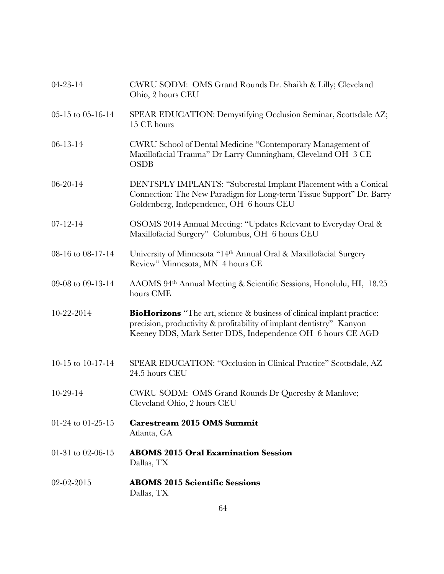| $04 - 23 - 14$    | CWRU SODM: OMS Grand Rounds Dr. Shaikh & Lilly; Cleveland<br>Ohio, 2 hours CEU                                                                                                                                       |
|-------------------|----------------------------------------------------------------------------------------------------------------------------------------------------------------------------------------------------------------------|
| 05-15 to 05-16-14 | SPEAR EDUCATION: Demystifying Occlusion Seminar, Scottsdale AZ;<br>15 CE hours                                                                                                                                       |
| $06 - 13 - 14$    | CWRU School of Dental Medicine "Contemporary Management of<br>Maxillofacial Trauma" Dr Larry Cunningham, Cleveland OH 3 CE<br><b>OSDB</b>                                                                            |
| $06 - 20 - 14$    | DENTSPLY IMPLANTS: "Subcrestal Implant Placement with a Conical<br>Connection: The New Paradigm for Long-term Tissue Support" Dr. Barry<br>Goldenberg, Independence, OH 6 hours CEU                                  |
| $07 - 12 - 14$    | OSOMS 2014 Annual Meeting: "Updates Relevant to Everyday Oral &<br>Maxillofacial Surgery" Columbus, OH 6 hours CEU                                                                                                   |
| 08-16 to 08-17-14 | University of Minnesota "14th Annual Oral & Maxillofacial Surgery<br>Review" Minnesota, MN 4 hours CE                                                                                                                |
| 09-08 to 09-13-14 | AAOMS 94th Annual Meeting & Scientific Sessions, Honolulu, HI, 18.25<br>hours CME                                                                                                                                    |
| 10-22-2014        | <b>BioHorizons</b> "The art, science & business of clinical implant practice:<br>precision, productivity & profitability of implant dentistry" Kanyon<br>Keeney DDS, Mark Setter DDS, Independence OH 6 hours CE AGD |
| 10-15 to 10-17-14 | SPEAR EDUCATION: "Occlusion in Clinical Practice" Scottsdale, AZ<br>24.5 hours CEU                                                                                                                                   |
| $10-29-14$        | CWRU SODM: OMS Grand Rounds Dr Quereshy & Manlove;<br>Cleveland Ohio, 2 hours CEU                                                                                                                                    |
| 01-24 to 01-25-15 | <b>Carestream 2015 OMS Summit</b><br>Atlanta, GA                                                                                                                                                                     |
| 01-31 to 02-06-15 | <b>ABOMS 2015 Oral Examination Session</b><br>Dallas, TX                                                                                                                                                             |
| 02-02-2015        | <b>ABOMS 2015 Scientific Sessions</b><br>Dallas, TX                                                                                                                                                                  |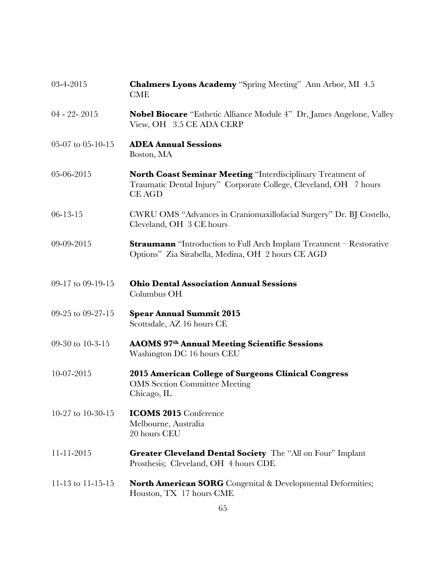| 03-4-2015         | <b>Chalmers Lyons Academy</b> "Spring Meeting" Ann Arbor, MI 4.5<br><b>CME</b>                                                                           |
|-------------------|----------------------------------------------------------------------------------------------------------------------------------------------------------|
| $04 - 22 - 2015$  | <b>Nobel Biocare</b> "Esthetic Alliance Module 4" Dr, James Angelone, Valley<br>View, OH 3.5 CE ADA CERP                                                 |
| 05-07 to 05-10-15 | <b>ADEA Annual Sessions</b><br>Boston, MA                                                                                                                |
| 05-06-2015        | <b>North Coast Seminar Meeting "Interdisciplinary Treatment of</b><br>Traumatic Dental Injury" Corporate College, Cleveland, OH 7 hours<br><b>CE AGD</b> |
| $06 - 13 - 15$    | CWRU OMS "Advances in Craniomaxillofacial Surgery" Dr. BJ Costello,<br>Cleveland, OH 3 CE hours                                                          |
| 09-09-2015        | <b>Straumann</b> "Introduction to Full Arch Implant Treatment - Restorative<br>Options" Zia Sirabella, Medina, OH 2 hours CE AGD                         |
| 09-17 to 09-19-15 | <b>Ohio Dental Association Annual Sessions</b><br>Columbus OH                                                                                            |
| 09-25 to 09-27-15 | <b>Spear Annual Summit 2015</b><br>Scottsdale, AZ 16 hours CE                                                                                            |
| 09-30 to 10-3-15  | <b>AAOMS 97th Annual Meeting Scientific Sessions</b><br>Washington DC 16 hours CEU                                                                       |
| 10-07-2015        | 2015 American College of Surgeons Clinical Congress<br><b>OMS</b> Section Committee Meeting<br>Chicago, IL                                               |
| 10-27 to 10-30-15 | <b>ICOMS 2015 Conference</b><br>Melbourne, Australia<br>20 hours CEU                                                                                     |
| $11 - 11 - 2015$  | Greater Cleveland Dental Society The "All on Four" Implant<br>Prosthesis; Cleveland, OH 4 hours CDE                                                      |
| 11-13 to 11-15-15 | <b>North American SORG</b> Congenital & Developmental Deformities;<br>Houston, TX 17 hours CME                                                           |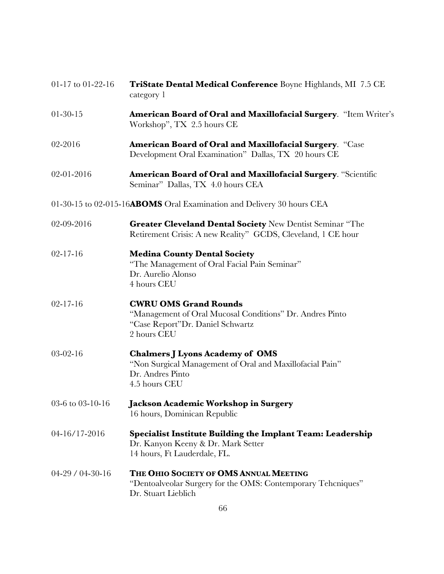| 01-17 to 01-22-16 | TriState Dental Medical Conference Boyne Highlands, MI 7.5 CE<br>category 1                                                                 |
|-------------------|---------------------------------------------------------------------------------------------------------------------------------------------|
| $01-30-15$        | <b>American Board of Oral and Maxillofacial Surgery.</b> "Item Writer's<br>Workshop", TX 2.5 hours CE                                       |
| 02-2016           | American Board of Oral and Maxillofacial Surgery. "Case<br>Development Oral Examination" Dallas, TX 20 hours CE                             |
| 02-01-2016        | <b>American Board of Oral and Maxillofacial Surgery. "Scientific</b><br>Seminar" Dallas, TX 4.0 hours CEA                                   |
|                   | 01-30-15 to 02-015-16ABOMS Oral Examination and Delivery 30 hours CEA                                                                       |
| 02-09-2016        | Greater Cleveland Dental Society New Dentist Seminar "The<br>Retirement Crisis: A new Reality" GCDS, Cleveland, 1 CE hour                   |
| $02 - 17 - 16$    | <b>Medina County Dental Society</b><br>"The Management of Oral Facial Pain Seminar"<br>Dr. Aurelio Alonso<br>4 hours CEU                    |
| $02 - 17 - 16$    | <b>CWRU OMS Grand Rounds</b><br>"Management of Oral Mucosal Conditions" Dr. Andres Pinto<br>"Case Report"Dr. Daniel Schwartz<br>2 hours CEU |
| $03-02-16$        | <b>Chalmers J Lyons Academy of OMS</b><br>"Non Surgical Management of Oral and Maxillofacial Pain"<br>Dr. Andres Pinto<br>4.5 hours CEU     |
| 03-6 to 03-10-16  | Jackson Academic Workshop in Surgery<br>16 hours, Dominican Republic                                                                        |
| 04-16/17-2016     | <b>Specialist Institute Building the Implant Team: Leadership</b><br>Dr. Kanyon Keeny & Dr. Mark Setter<br>14 hours, Ft Lauderdale, FL.     |
| $04-29/04-30-16$  | THE OHIO SOCIETY OF OMS ANNUAL MEETING<br>"Dentoalveolar Surgery for the OMS: Contemporary Teheniques"<br>Dr. Stuart Lieblich               |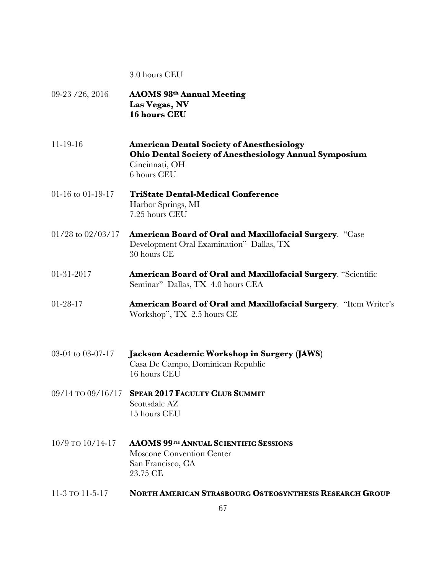#### 3.0 hours CEU

09-23 /26, 2016 **AAOMS 98th Annual Meeting Las Vegas, NV 16 hours CEU** 11-19-16 **American Dental Society of Anesthesiology Ohio Dental Society of Anesthesiology Annual Symposium** Cincinnati, OH 6 hours CEU 01-16 to 01-19-17 **TriState Dental-Medical Conference** Harbor Springs, MI 7.25 hours CEU 01/28 to 02/03/17 **American Board of Oral and Maxillofacial Surgery**. "Case Development Oral Examination" Dallas, TX 30 hours CE 01-31-2017 **American Board of Oral and Maxillofacial Surgery**. "Scientific Seminar" Dallas, TX 4.0 hours CEA 01-28-17 **American Board of Oral and Maxillofacial Surgery**. "Item Writer's Workshop", TX 2.5 hours CE 03-04 to 03-07-17 **Jackson Academic Workshop in Surgery (JAWS)** Casa De Campo, Dominican Republic 16 hours CEU 09/14 TO 09/16/17 **SPEAR 2017 FACULTY CLUB SUMMIT** Scottsdale AZ 15 hours CEU 10/9 TO 10/14-17 **AAOMS 99TH ANNUAL SCIENTIFIC SESSIONS**  Moscone Convention Center San Francisco, CA 23.75 CE 11-3 TO 11-5-17 **NORTH AMERICAN STRASBOURG OSTEOSYNTHESIS RESEARCH GROUP**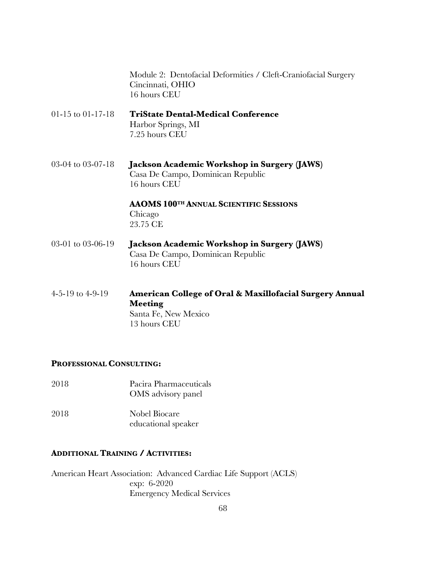Module 2: Dentofacial Deformities / Cleft-Craniofacial Surgery Cincinnati, OHIO 16 hours CEU

01-15 to 01-17-18 **TriState Dental-Medical Conference** Harbor Springs, MI 7.25 hours CEU

03-04 to 03-07-18 **Jackson Academic Workshop in Surgery (JAWS)** Casa De Campo, Dominican Republic 16 hours CEU

> **AAOMS 100TH ANNUAL SCIENTIFIC SESSIONS**  Chicago 23.75 CE

- 03-01 to 03-06-19 **Jackson Academic Workshop in Surgery (JAWS)** Casa De Campo, Dominican Republic 16 hours CEU
- 4-5-19 to 4-9-19 **American College of Oral & Maxillofacial Surgery Annual Meeting** Santa Fe, New Mexico 13 hours CEU

#### **PROFESSIONAL CONSULTING:**

2018 Pacira Pharmaceuticals OMS advisory panel 2018 Nobel Biocare educational speaker

# **ADDITIONAL TRAINING / ACTIVITIES:**

American Heart Association: Advanced Cardiac Life Support (ACLS) exp: 6-2020 Emergency Medical Services